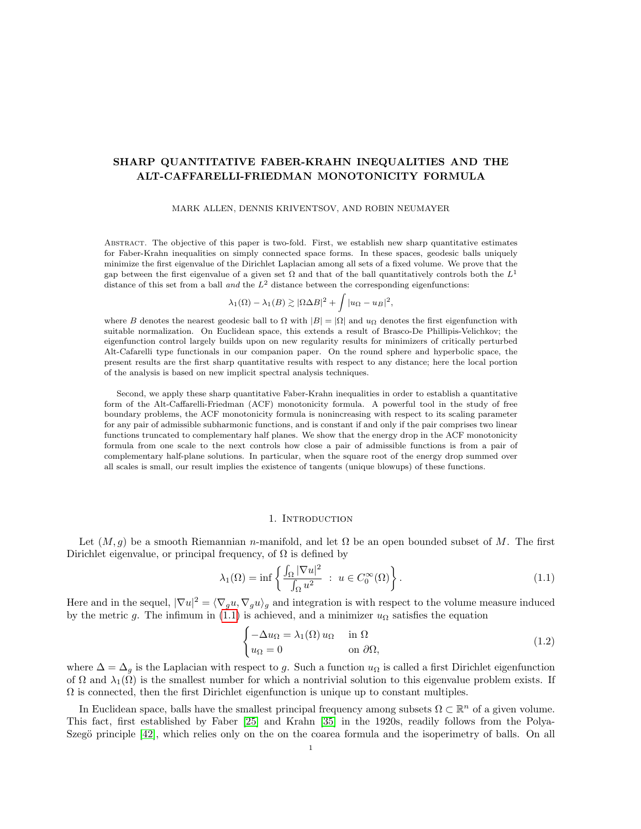# SHARP QUANTITATIVE FABER-KRAHN INEQUALITIES AND THE ALT-CAFFARELLI-FRIEDMAN MONOTONICITY FORMULA

### MARK ALLEN, DENNIS KRIVENTSOV, AND ROBIN NEUMAYER

Abstract. The objective of this paper is two-fold. First, we establish new sharp quantitative estimates for Faber-Krahn inequalities on simply connected space forms. In these spaces, geodesic balls uniquely minimize the first eigenvalue of the Dirichlet Laplacian among all sets of a fixed volume. We prove that the gap between the first eigenvalue of a given set  $\Omega$  and that of the ball quantitatively controls both the  $L^1$ distance of this set from a ball and the  $L^2$  distance between the corresponding eigenfunctions:

$$
\lambda_1(\Omega) - \lambda_1(B) \gtrsim |\Omega \Delta B|^2 + \int |u_{\Omega} - u_B|^2,
$$

where B denotes the nearest geodesic ball to  $\Omega$  with  $|B| = |\Omega|$  and  $u_{\Omega}$  denotes the first eigenfunction with suitable normalization. On Euclidean space, this extends a result of Brasco-De Phillipis-Velichkov; the eigenfunction control largely builds upon on new regularity results for minimizers of critically perturbed Alt-Cafarelli type functionals in our companion paper. On the round sphere and hyperbolic space, the present results are the first sharp quantitative results with respect to any distance; here the local portion of the analysis is based on new implicit spectral analysis techniques.

Second, we apply these sharp quantitative Faber-Krahn inequalities in order to establish a quantitative form of the Alt-Caffarelli-Friedman (ACF) monotonicity formula. A powerful tool in the study of free boundary problems, the ACF monotonicity formula is nonincreasing with respect to its scaling parameter for any pair of admissible subharmonic functions, and is constant if and only if the pair comprises two linear functions truncated to complementary half planes. We show that the energy drop in the ACF monotonicity formula from one scale to the next controls how close a pair of admissible functions is from a pair of complementary half-plane solutions. In particular, when the square root of the energy drop summed over all scales is small, our result implies the existence of tangents (unique blowups) of these functions.

### 1. Introduction

Let  $(M, g)$  be a smooth Riemannian n-manifold, and let  $\Omega$  be an open bounded subset of M. The first Dirichlet eigenvalue, or principal frequency, of  $\Omega$  is defined by

<span id="page-0-0"></span>
$$
\lambda_1(\Omega) = \inf \left\{ \frac{\int_{\Omega} |\nabla u|^2}{\int_{\Omega} u^2} : u \in C_0^{\infty}(\Omega) \right\}.
$$
 (1.1)

Here and in the sequel,  $|\nabla u|^2 = \langle \nabla_g u, \nabla_g u \rangle_g$  and integration is with respect to the volume measure induced by the metric g. The infimum in [\(1.1\)](#page-0-0) is achieved, and a minimizer  $u_{\Omega}$  satisfies the equation

<span id="page-0-1"></span>
$$
\begin{cases}\n-\Delta u_{\Omega} = \lambda_1(\Omega) u_{\Omega} & \text{in } \Omega \\
u_{\Omega} = 0 & \text{on } \partial\Omega,\n\end{cases}
$$
\n(1.2)

where  $\Delta = \Delta_q$  is the Laplacian with respect to g. Such a function  $u_{\Omega}$  is called a first Dirichlet eigenfunction of  $\Omega$  and  $\lambda_1(\Omega)$  is the smallest number for which a nontrivial solution to this eigenvalue problem exists. If  $\Omega$  is connected, then the first Dirichlet eigenfunction is unique up to constant multiples.

In Euclidean space, balls have the smallest principal frequency among subsets  $\Omega \subset \mathbb{R}^n$  of a given volume. This fact, first established by Faber [\[25\]](#page-37-0) and Krahn [\[35\]](#page-38-0) in the 1920s, readily follows from the Polya-Szegö principle [\[42\]](#page-38-1), which relies only on the on the coarea formula and the isoperimetry of balls. On all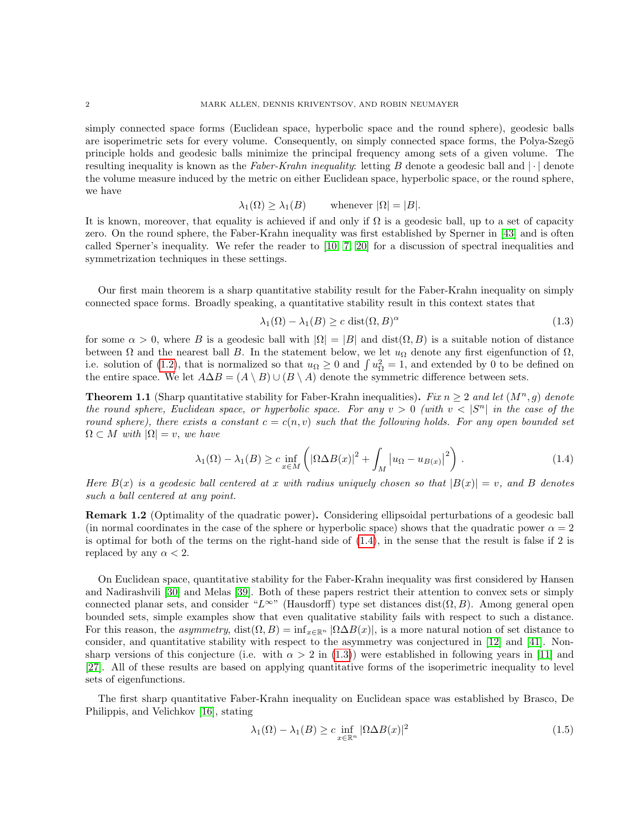simply connected space forms (Euclidean space, hyperbolic space and the round sphere), geodesic balls are isoperimetric sets for every volume. Consequently, on simply connected space forms, the Polya-Szegö principle holds and geodesic balls minimize the principal frequency among sets of a given volume. The resulting inequality is known as the Faber-Krahn inequality: letting B denote a geodesic ball and  $|\cdot|$  denote the volume measure induced by the metric on either Euclidean space, hyperbolic space, or the round sphere, we have

$$
\lambda_1(\Omega) \ge \lambda_1(B)
$$
 whenever  $|\Omega| = |B|$ .

It is known, moreover, that equality is achieved if and only if  $\Omega$  is a geodesic ball, up to a set of capacity zero. On the round sphere, the Faber-Krahn inequality was first established by Sperner in [\[43\]](#page-38-2) and is often called Sperner's inequality. We refer the reader to [\[10,](#page-37-1) [7,](#page-37-2) [20\]](#page-37-3) for a discussion of spectral inequalities and symmetrization techniques in these settings.

Our first main theorem is a sharp quantitative stability result for the Faber-Krahn inequality on simply connected space forms. Broadly speaking, a quantitative stability result in this context states that

<span id="page-1-1"></span>
$$
\lambda_1(\Omega) - \lambda_1(B) \ge c \text{ dist}(\Omega, B)^\alpha \tag{1.3}
$$

for some  $\alpha > 0$ , where B is a geodesic ball with  $|\Omega| = |B|$  and  $dist(\Omega, B)$  is a suitable notion of distance between  $\Omega$  and the nearest ball B. In the statement below, we let  $u_{\Omega}$  denote any first eigenfunction of  $\Omega$ , i.e. solution of [\(1.2\)](#page-0-1), that is normalized so that  $u_{\Omega} \ge 0$  and  $\int u_{\Omega}^2 = 1$ , and extended by 0 to be defined on the entire space. We let  $A\Delta B = (A \setminus B) \cup (B \setminus A)$  denote the symmetric difference between sets.

<span id="page-1-2"></span>**Theorem 1.1** (Sharp quantitative stability for Faber-Krahn inequalities). Fix  $n \geq 2$  and let  $(M^n, g)$  denote the round sphere, Euclidean space, or hyperbolic space. For any  $v > 0$  (with  $v < |S^n|$  in the case of the round sphere), there exists a constant  $c = c(n, v)$  such that the following holds. For any open bounded set  $\Omega \subset M$  with  $|\Omega| = v$ , we have

<span id="page-1-0"></span>
$$
\lambda_1(\Omega) - \lambda_1(B) \ge c \inf_{x \in M} \left( \left| \Omega \Delta B(x) \right|^2 + \int_M \left| u_{\Omega} - u_{B(x)} \right|^2 \right). \tag{1.4}
$$

Here  $B(x)$  is a geodesic ball centered at x with radius uniquely chosen so that  $|B(x)| = v$ , and B denotes such a ball centered at any point.

Remark 1.2 (Optimality of the quadratic power). Considering ellipsoidal perturbations of a geodesic ball (in normal coordinates in the case of the sphere or hyperbolic space) shows that the quadratic power  $\alpha = 2$ is optimal for both of the terms on the right-hand side of [\(1.4\)](#page-1-0), in the sense that the result is false if 2 is replaced by any  $\alpha < 2$ .

On Euclidean space, quantitative stability for the Faber-Krahn inequality was first considered by Hansen and Nadirashvili [\[30\]](#page-38-3) and Melas [\[39\]](#page-38-4). Both of these papers restrict their attention to convex sets or simply connected planar sets, and consider "L∞" (Hausdorff) type set distances dist( $\Omega, B$ ). Among general open bounded sets, simple examples show that even qualitative stability fails with respect to such a distance. For this reason, the *asymmetry*, dist $(\Omega, B) = \inf_{x \in \mathbb{R}^n} |\Omega \Delta B(x)|$ , is a more natural notion of set distance to consider, and quantitative stability with respect to the asymmetry was conjectured in [\[12\]](#page-37-4) and [\[41\]](#page-38-5). Nonsharp versions of this conjecture (i.e. with  $\alpha > 2$  in [\(1.3\)](#page-1-1)) were established in following years in [\[11\]](#page-37-5) and [\[27\]](#page-37-6). All of these results are based on applying quantitative forms of the isoperimetric inequality to level sets of eigenfunctions.

The first sharp quantitative Faber-Krahn inequality on Euclidean space was established by Brasco, De Philippis, and Velichkov [\[16\]](#page-37-7), stating

<span id="page-1-3"></span>
$$
\lambda_1(\Omega) - \lambda_1(B) \ge c \inf_{x \in \mathbb{R}^n} |\Omega \Delta B(x)|^2
$$
\n(1.5)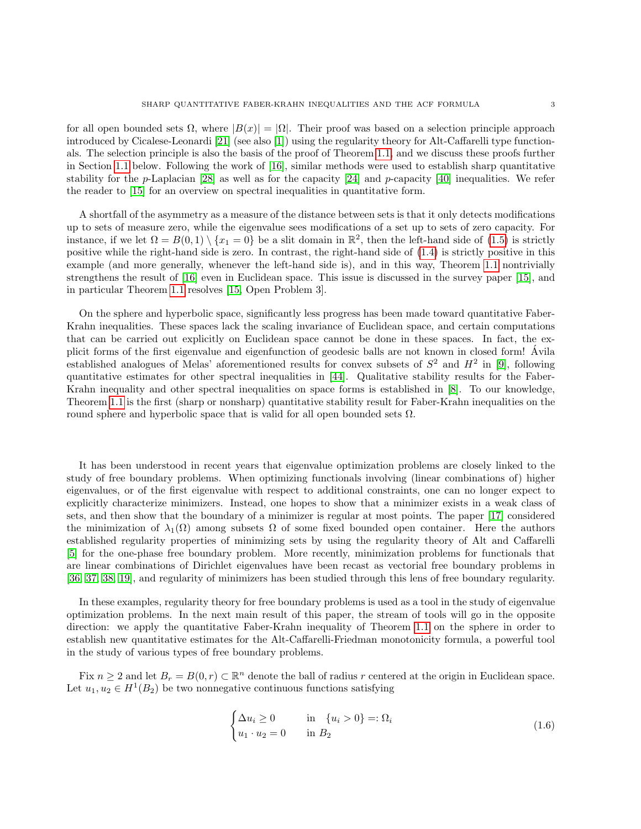for all open bounded sets  $\Omega$ , where  $|B(x)| = |\Omega|$ . Their proof was based on a selection principle approach introduced by Cicalese-Leonardi [\[21\]](#page-37-8) (see also [\[1\]](#page-37-9)) using the regularity theory for Alt-Caffarelli type functionals. The selection principle is also the basis of the proof of Theorem [1.1,](#page-1-2) and we discuss these proofs further in Section [1.1](#page-4-0) below. Following the work of [\[16\]](#page-37-7), similar methods were used to establish sharp quantitative stability for the p-Laplacian  $[28]$  as well as for the capacity  $[24]$  and p-capacity  $[40]$  inequalities. We refer the reader to [\[15\]](#page-37-12) for an overview on spectral inequalities in quantitative form.

A shortfall of the asymmetry as a measure of the distance between sets is that it only detects modifications up to sets of measure zero, while the eigenvalue sees modifications of a set up to sets of zero capacity. For instance, if we let  $\Omega = B(0,1) \setminus \{x_1 = 0\}$  be a slit domain in  $\mathbb{R}^2$ , then the left-hand side of  $(1.5)$  is strictly positive while the right-hand side is zero. In contrast, the right-hand side of [\(1.4\)](#page-1-0) is strictly positive in this example (and more generally, whenever the left-hand side is), and in this way, Theorem [1.1](#page-1-2) nontrivially strengthens the result of [\[16\]](#page-37-7) even in Euclidean space. This issue is discussed in the survey paper [\[15\]](#page-37-12), and in particular Theorem [1.1](#page-1-2) resolves [\[15,](#page-37-12) Open Problem 3].

On the sphere and hyperbolic space, significantly less progress has been made toward quantitative Faber-Krahn inequalities. These spaces lack the scaling invariance of Euclidean space, and certain computations that can be carried out explicitly on Euclidean space cannot be done in these spaces. In fact, the explicit forms of the first eigenvalue and eigenfunction of geodesic balls are not known in closed form! Avila ´ established analogues of Melas' aforementioned results for convex subsets of  $S^2$  and  $H^2$  in [\[9\]](#page-37-13), following quantitative estimates for other spectral inequalities in [\[44\]](#page-38-7). Qualitative stability results for the Faber-Krahn inequality and other spectral inequalities on space forms is established in [\[8\]](#page-37-14). To our knowledge, Theorem [1.1](#page-1-2) is the first (sharp or nonsharp) quantitative stability result for Faber-Krahn inequalities on the round sphere and hyperbolic space that is valid for all open bounded sets  $\Omega$ .

It has been understood in recent years that eigenvalue optimization problems are closely linked to the study of free boundary problems. When optimizing functionals involving (linear combinations of) higher eigenvalues, or of the first eigenvalue with respect to additional constraints, one can no longer expect to explicitly characterize minimizers. Instead, one hopes to show that a minimizer exists in a weak class of sets, and then show that the boundary of a minimizer is regular at most points. The paper [\[17\]](#page-37-15) considered the minimization of  $\lambda_1(\Omega)$  among subsets  $\Omega$  of some fixed bounded open container. Here the authors established regularity properties of minimizing sets by using the regularity theory of Alt and Caffarelli [\[5\]](#page-37-16) for the one-phase free boundary problem. More recently, minimization problems for functionals that are linear combinations of Dirichlet eigenvalues have been recast as vectorial free boundary problems in [\[36,](#page-38-8) [37,](#page-38-9) [38,](#page-38-10) [19\]](#page-37-17), and regularity of minimizers has been studied through this lens of free boundary regularity.

In these examples, regularity theory for free boundary problems is used as a tool in the study of eigenvalue optimization problems. In the next main result of this paper, the stream of tools will go in the opposite direction: we apply the quantitative Faber-Krahn inequality of Theorem [1.1](#page-1-2) on the sphere in order to establish new quantitative estimates for the Alt-Caffarelli-Friedman monotonicity formula, a powerful tool in the study of various types of free boundary problems.

Fix  $n \geq 2$  and let  $B_r = B(0, r) \subset \mathbb{R}^n$  denote the ball of radius r centered at the origin in Euclidean space. Let  $u_1, u_2 \in H^1(B_2)$  be two nonnegative continuous functions satisfying

<span id="page-2-0"></span>
$$
\begin{cases} \Delta u_i \ge 0 & \text{in } \{u_i > 0\} =: \Omega_i \\ u_1 \cdot u_2 = 0 & \text{in } B_2 \end{cases}
$$
\n(1.6)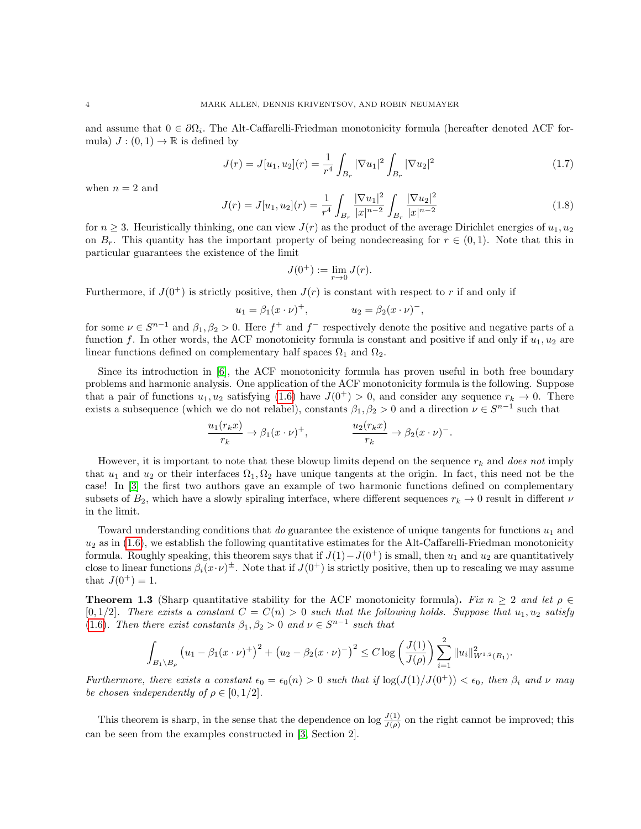and assume that  $0 \in \partial \Omega_i$ . The Alt-Caffarelli-Friedman monotonicity formula (hereafter denoted ACF formula)  $J:(0,1)\to\mathbb{R}$  is defined by

<span id="page-3-1"></span>
$$
J(r) = J[u_1, u_2](r) = \frac{1}{r^4} \int_{B_r} |\nabla u_1|^2 \int_{B_r} |\nabla u_2|^2
$$
 (1.7)

when  $n = 2$  and

<span id="page-3-2"></span>
$$
J(r) = J[u_1, u_2](r) = \frac{1}{r^4} \int_{B_r} \frac{|\nabla u_1|^2}{|x|^{n-2}} \int_{B_r} \frac{|\nabla u_2|^2}{|x|^{n-2}} \tag{1.8}
$$

for  $n \geq 3$ . Heuristically thinking, one can view  $J(r)$  as the product of the average Dirichlet energies of  $u_1, u_2$ on  $B_r$ . This quantity has the important property of being nondecreasing for  $r \in (0,1)$ . Note that this in particular guarantees the existence of the limit

$$
J(0^+) := \lim_{r \to 0} J(r).
$$

Furthermore, if  $J(0^+)$  is strictly positive, then  $J(r)$  is constant with respect to r if and only if

$$
u_1 = \beta_1(x \cdot \nu)^+, \qquad u_2 = \beta_2(x \cdot \nu)^-,
$$

for some  $\nu \in S^{n-1}$  and  $\beta_1, \beta_2 > 0$ . Here  $f^+$  and  $f^-$  respectively denote the positive and negative parts of a function f. In other words, the ACF monotonicity formula is constant and positive if and only if  $u_1, u_2$  are linear functions defined on complementary half spaces  $\Omega_1$  and  $\Omega_2$ .

Since its introduction in [\[6\]](#page-37-18), the ACF monotonicity formula has proven useful in both free boundary problems and harmonic analysis. One application of the ACF monotonicity formula is the following. Suppose that a pair of functions  $u_1, u_2$  satisfying [\(1.6\)](#page-2-0) have  $J(0^+) > 0$ , and consider any sequence  $r_k \to 0$ . There exists a subsequence (which we do not relabel), constants  $\beta_1, \beta_2 > 0$  and a direction  $\nu \in S^{n-1}$  such that

$$
\frac{u_1(r_k x)}{r_k} \to \beta_1(x \cdot \nu)^+, \qquad \frac{u_2(r_k x)}{r_k} \to \beta_2(x \cdot \nu)^-.
$$

However, it is important to note that these blowup limits depend on the sequence  $r_k$  and does not imply that  $u_1$  and  $u_2$  or their interfaces  $\Omega_1, \Omega_2$  have unique tangents at the origin. In fact, this need not be the case! In [\[3\]](#page-37-19) the first two authors gave an example of two harmonic functions defined on complementary subsets of  $B_2$ , which have a slowly spiraling interface, where different sequences  $r_k \to 0$  result in different  $\nu$ in the limit.

Toward understanding conditions that do guarantee the existence of unique tangents for functions  $u_1$  and  $u_2$  as in [\(1.6\)](#page-2-0), we establish the following quantitative estimates for the Alt-Caffarelli-Friedman monotonicity formula. Roughly speaking, this theorem says that if  $J(1)-J(0^+)$  is small, then  $u_1$  and  $u_2$  are quantitatively close to linear functions  $\beta_i(x \cdot \nu)^{\pm}$ . Note that if  $J(0^+)$  is strictly positive, then up to rescaling we may assume that  $J(0^+) = 1$ .

<span id="page-3-0"></span>**Theorem 1.3** (Sharp quantitative stability for the ACF monotonicity formula). Fix  $n \geq 2$  and let  $\rho \in$  $[0, 1/2]$ . There exists a constant  $C = C(n) > 0$  such that the following holds. Suppose that  $u_1, u_2$  satisfy [\(1.6\)](#page-2-0). Then there exist constants  $\beta_1, \beta_2 > 0$  and  $\nu \in S^{n-1}$  such that

$$
\int_{B_1 \setminus B_\rho} \left( u_1 - \beta_1 (x \cdot \nu)^+ \right)^2 + \left( u_2 - \beta_2 (x \cdot \nu)^- \right)^2 \leq C \log \left( \frac{J(1)}{J(\rho)} \right) \sum_{i=1}^2 \| u_i \|_{W^{1,2}(B_1)}^2.
$$

Furthermore, there exists a constant  $\epsilon_0 = \epsilon_0(n) > 0$  such that if  $\log(J(1)/J(0^+)) < \epsilon_0$ , then  $\beta_i$  and  $\nu$  may be chosen independently of  $\rho \in [0, 1/2]$ .

This theorem is sharp, in the sense that the dependence on  $\log \frac{J(1)}{J(\rho)}$  on the right cannot be improved; this can be seen from the examples constructed in [\[3,](#page-37-19) Section 2].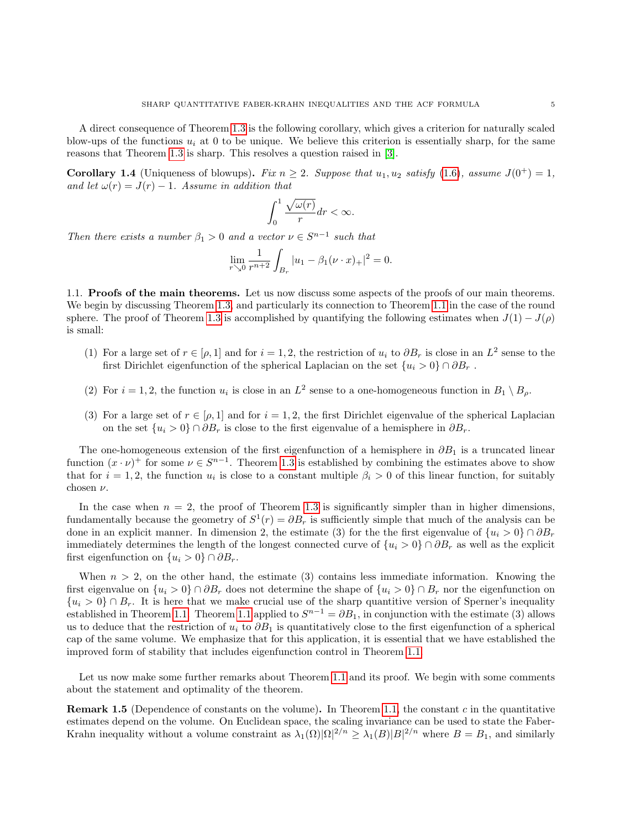A direct consequence of Theorem [1.3](#page-3-0) is the following corollary, which gives a criterion for naturally scaled blow-ups of the functions  $u_i$  at 0 to be unique. We believe this criterion is essentially sharp, for the same reasons that Theorem [1.3](#page-3-0) is sharp. This resolves a question raised in [\[3\]](#page-37-19).

<span id="page-4-1"></span>**Corollary 1.4** (Uniqueness of blowups). Fix  $n \geq 2$ . Suppose that  $u_1, u_2$  satisfy [\(1.6\)](#page-2-0), assume  $J(0^+) = 1$ , and let  $\omega(r) = J(r) - 1$ . Assume in addition that

$$
\int_0^1 \frac{\sqrt{\omega(r)}}{r} dr < \infty.
$$

Then there exists a number  $\beta_1 > 0$  and a vector  $\nu \in S^{n-1}$  such that

$$
\lim_{r \searrow 0} \frac{1}{r^{n+2}} \int_{B_r} |u_1 - \beta_1(\nu \cdot x)_+|^2 = 0.
$$

<span id="page-4-0"></span>1.1. Proofs of the main theorems. Let us now discuss some aspects of the proofs of our main theorems. We begin by discussing Theorem [1.3,](#page-3-0) and particularly its connection to Theorem [1.1](#page-1-2) in the case of the round sphere. The proof of Theorem [1.3](#page-3-0) is accomplished by quantifying the following estimates when  $J(1) - J(\rho)$ is small:

- (1) For a large set of  $r \in [\rho, 1]$  and for  $i = 1, 2$ , the restriction of  $u_i$  to  $\partial B_r$  is close in an  $L^2$  sense to the first Dirichlet eigenfunction of the spherical Laplacian on the set  $\{u_i > 0\} \cap \partial B_r$ .
- (2) For  $i = 1, 2$ , the function  $u_i$  is close in an  $L^2$  sense to a one-homogeneous function in  $B_1 \setminus B_\rho$ .
- (3) For a large set of  $r \in [\rho, 1]$  and for  $i = 1, 2$ , the first Dirichlet eigenvalue of the spherical Laplacian on the set  $\{u_i > 0\} \cap \partial B_r$  is close to the first eigenvalue of a hemisphere in  $\partial B_r$ .

The one-homogeneous extension of the first eigenfunction of a hemisphere in  $\partial B_1$  is a truncated linear function  $(x \cdot \nu)^+$  for some  $\nu \in S^{n-1}$ . Theorem [1.3](#page-3-0) is established by combining the estimates above to show that for  $i = 1, 2$ , the function  $u_i$  is close to a constant multiple  $\beta_i > 0$  of this linear function, for suitably chosen  $\nu$ .

In the case when  $n = 2$ , the proof of Theorem [1.3](#page-3-0) is significantly simpler than in higher dimensions, fundamentally because the geometry of  $S^1(r) = \partial B_r$  is sufficiently simple that much of the analysis can be done in an explicit manner. In dimension 2, the estimate (3) for the the first eigenvalue of  $\{u_i > 0\} \cap \partial B_r$ immediately determines the length of the longest connected curve of  $\{u_i > 0\} \cap \partial B_r$  as well as the explicit first eigenfunction on  $\{u_i > 0\} \cap \partial B_r$ .

When  $n > 2$ , on the other hand, the estimate (3) contains less immediate information. Knowing the first eigenvalue on  $\{u_i > 0\} \cap \partial B_r$  does not determine the shape of  $\{u_i > 0\} \cap B_r$  nor the eigenfunction on  $\{u_i > 0\} \cap B_r$ . It is here that we make crucial use of the sharp quantitive version of Sperner's inequality established in Theorem [1.1.](#page-1-2) Theorem [1.1](#page-1-2) applied to  $S^{n-1} = \partial B_1$ , in conjunction with the estimate (3) allows us to deduce that the restriction of  $u_i$  to  $\partial B_1$  is quantitatively close to the first eigenfunction of a spherical cap of the same volume. We emphasize that for this application, it is essential that we have established the improved form of stability that includes eigenfunction control in Theorem [1.1.](#page-1-2)

Let us now make some further remarks about Theorem [1.1](#page-1-2) and its proof. We begin with some comments about the statement and optimality of the theorem.

**Remark 1.5** (Dependence of constants on the volume). In Theorem [1.1,](#page-1-2) the constant c in the quantitative estimates depend on the volume. On Euclidean space, the scaling invariance can be used to state the Faber-Krahn inequality without a volume constraint as  $\lambda_1(\Omega)|\Omega|^{2/n} \geq \lambda_1(B)|B|^{2/n}$  where  $B = B_1$ , and similarly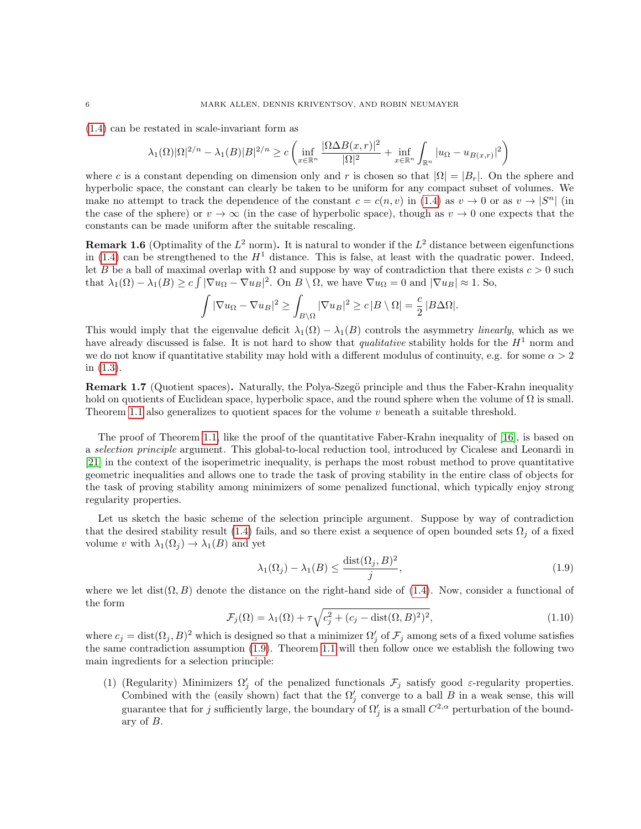[\(1.4\)](#page-1-0) can be restated in scale-invariant form as

$$
\lambda_1(\Omega)|\Omega|^{2/n} - \lambda_1(B)|B|^{2/n} \ge c \left( \inf_{x \in \mathbb{R}^n} \frac{|\Omega \Delta B(x,r)|^2}{|\Omega|^2} + \inf_{x \in \mathbb{R}^n} \int_{\mathbb{R}^n} |u_{\Omega} - u_{B(x,r)}|^2 \right)
$$

where c is a constant depending on dimension only and r is chosen so that  $|\Omega| = |B_r|$ . On the sphere and hyperbolic space, the constant can clearly be taken to be uniform for any compact subset of volumes. We make no attempt to track the dependence of the constant  $c = c(n, v)$  in [\(1.4\)](#page-1-0) as  $v \to 0$  or as  $v \to |S^n|$  (in the case of the sphere) or  $v \to \infty$  (in the case of hyperbolic space), though as  $v \to 0$  one expects that the constants can be made uniform after the suitable rescaling.

**Remark 1.6** (Optimality of the  $L^2$  norm). It is natural to wonder if the  $L^2$  distance between eigenfunctions in [\(1.4\)](#page-1-0) can be strengthened to the  $H<sup>1</sup>$  distance. This is false, at least with the quadratic power. Indeed, let B be a ball of maximal overlap with  $\Omega$  and suppose by way of contradiction that there exists  $c > 0$  such that  $\lambda_1(\Omega) - \lambda_1(B) \ge c \int |\nabla u_{\Omega} - \nabla u_{B}|^2$ . On  $B \setminus \Omega$ , we have  $\nabla u_{\Omega} = 0$  and  $|\nabla u_{B}| \approx 1$ . So,

$$
\int |\nabla u_{\Omega} - \nabla u_B|^2 \ge \int_{B \setminus \Omega} |\nabla u_B|^2 \ge c |B \setminus \Omega| = \frac{c}{2} |B \Delta \Omega|.
$$

This would imply that the eigenvalue deficit  $\lambda_1(\Omega) - \lambda_1(B)$  controls the asymmetry *linearly*, which as we have already discussed is false. It is not hard to show that *qualitative* stability holds for the  $H<sup>1</sup>$  norm and we do not know if quantitative stability may hold with a different modulus of continuity, e.g. for some  $\alpha > 2$ in [\(1.3\)](#page-1-1).

**Remark 1.7** (Quotient spaces). Naturally, the Polya-Szegö principle and thus the Faber-Krahn inequality hold on quotients of Euclidean space, hyperbolic space, and the round sphere when the volume of  $\Omega$  is small. Theorem [1.1](#page-1-2) also generalizes to quotient spaces for the volume  $v$  beneath a suitable threshold.

The proof of Theorem [1.1,](#page-1-2) like the proof of the quantitative Faber-Krahn inequality of [\[16\]](#page-37-7), is based on a selection principle argument. This global-to-local reduction tool, introduced by Cicalese and Leonardi in [\[21\]](#page-37-8) in the context of the isoperimetric inequality, is perhaps the most robust method to prove quantitative geometric inequalities and allows one to trade the task of proving stability in the entire class of objects for the task of proving stability among minimizers of some penalized functional, which typically enjoy strong regularity properties.

Let us sketch the basic scheme of the selection principle argument. Suppose by way of contradiction that the desired stability result [\(1.4\)](#page-1-0) fails, and so there exist a sequence of open bounded sets  $\Omega_i$  of a fixed volume v with  $\lambda_1(\Omega_i) \to \lambda_1(B)$  and yet

<span id="page-5-0"></span>
$$
\lambda_1(\Omega_j) - \lambda_1(B) \le \frac{\text{dist}(\Omega_j, B)^2}{j},\tag{1.9}
$$

where we let dist $(\Omega, B)$  denote the distance on the right-hand side of [\(1.4\)](#page-1-0). Now, consider a functional of the form

<span id="page-5-1"></span>
$$
\mathcal{F}_j(\Omega) = \lambda_1(\Omega) + \tau \sqrt{c_j^2 + (c_j - \text{dist}(\Omega, B)^2)^2},\tag{1.10}
$$

where  $c_j = \text{dist}(\Omega_j, B)^2$  which is designed so that a minimizer  $\Omega'_j$  of  $\mathcal{F}_j$  among sets of a fixed volume satisfies the same contradiction assumption [\(1.9\)](#page-5-0). Theorem [1.1](#page-1-2) will then follow once we establish the following two main ingredients for a selection principle:

(1) (Regularity) Minimizers  $\Omega'_j$  of the penalized functionals  $\mathcal{F}_j$  satisfy good  $\varepsilon$ -regularity properties. Combined with the (easily shown) fact that the  $\Omega'_{j}$  converge to a ball B in a weak sense, this will guarantee that for j sufficiently large, the boundary of  $\Omega'_j$  is a small  $C^{2,\alpha}$  perturbation of the boundary of B.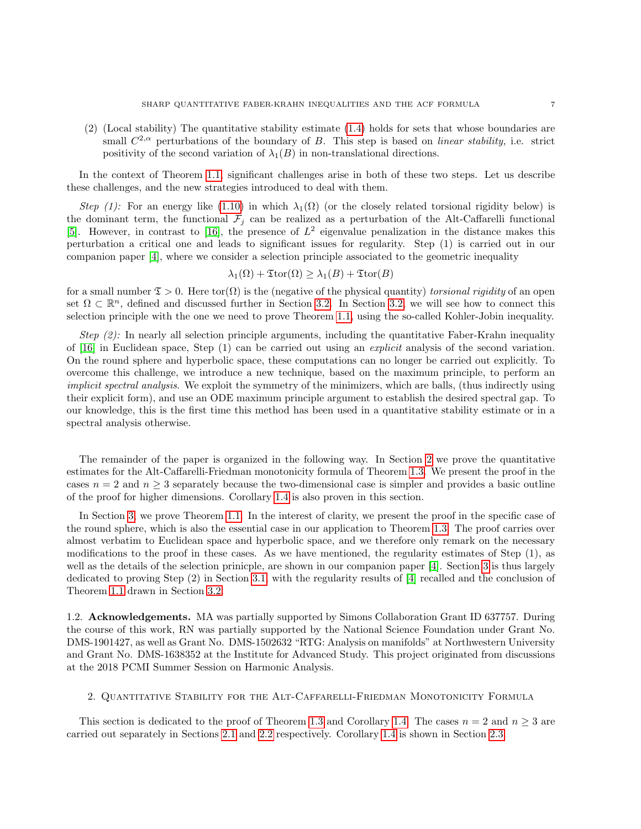(2) (Local stability) The quantitative stability estimate [\(1.4\)](#page-1-0) holds for sets that whose boundaries are small  $C^{2,\alpha}$  perturbations of the boundary of B. This step is based on *linear stability*, i.e. strict positivity of the second variation of  $\lambda_1(B)$  in non-translational directions.

In the context of Theorem [1.1,](#page-1-2) significant challenges arise in both of these two steps. Let us describe these challenges, and the new strategies introduced to deal with them.

Step (1): For an energy like [\(1.10\)](#page-5-1) in which  $\lambda_1(\Omega)$  (or the closely related torsional rigidity below) is the dominant term, the functional  $\mathcal{F}_i$  can be realized as a perturbation of the Alt-Caffarelli functional [\[5\]](#page-37-16). However, in contrast to [\[16\]](#page-37-7), the presence of  $L^2$  eigenvalue penalization in the distance makes this perturbation a critical one and leads to significant issues for regularity. Step (1) is carried out in our companion paper [\[4\]](#page-37-20), where we consider a selection principle associated to the geometric inequality

$$
\lambda_1(\Omega) + \mathfrak{T}\mathrm{tor}(\Omega) \ge \lambda_1(B) + \mathfrak{T}\mathrm{tor}(B)
$$

for a small number  $\mathfrak{T} > 0$ . Here tor $(\Omega)$  is the (negative of the physical quantity) torsional rigidity of an open set  $\Omega \subset \mathbb{R}^n$ , defined and discussed further in Section [3.2.](#page-34-0) In Section [3.2,](#page-34-0) we will see how to connect this selection principle with the one we need to prove Theorem [1.1,](#page-1-2) using the so-called Kohler-Jobin inequality.

Step  $(2)$ : In nearly all selection principle arguments, including the quantitative Faber-Krahn inequality of [\[16\]](#page-37-7) in Euclidean space, Step  $(1)$  can be carried out using an *explicit* analysis of the second variation. On the round sphere and hyperbolic space, these computations can no longer be carried out explicitly. To overcome this challenge, we introduce a new technique, based on the maximum principle, to perform an implicit spectral analysis. We exploit the symmetry of the minimizers, which are balls, (thus indirectly using their explicit form), and use an ODE maximum principle argument to establish the desired spectral gap. To our knowledge, this is the first time this method has been used in a quantitative stability estimate or in a spectral analysis otherwise.

The remainder of the paper is organized in the following way. In Section [2](#page-6-0) we prove the quantitative estimates for the Alt-Caffarelli-Friedman monotonicity formula of Theorem [1.3.](#page-3-0) We present the proof in the cases  $n = 2$  and  $n \geq 3$  separately because the two-dimensional case is simpler and provides a basic outline of the proof for higher dimensions. Corollary [1.4](#page-4-1) is also proven in this section.

In Section [3,](#page-22-0) we prove Theorem [1.1.](#page-1-2) In the interest of clarity, we present the proof in the specific case of the round sphere, which is also the essential case in our application to Theorem [1.3.](#page-3-0) The proof carries over almost verbatim to Euclidean space and hyperbolic space, and we therefore only remark on the necessary modifications to the proof in these cases. As we have mentioned, the regularity estimates of Step (1), as well as the details of the selection prinicple, are shown in our companion paper [\[4\]](#page-37-20). Section [3](#page-22-0) is thus largely dedicated to proving Step (2) in Section [3.1,](#page-23-0) with the regularity results of [\[4\]](#page-37-20) recalled and the conclusion of Theorem [1.1](#page-1-2) drawn in Section [3.2.](#page-34-0)

1.2. Acknowledgements. MA was partially supported by Simons Collaboration Grant ID 637757. During the course of this work, RN was partially supported by the National Science Foundation under Grant No. DMS-1901427, as well as Grant No. DMS-1502632 "RTG: Analysis on manifolds" at Northwestern University and Grant No. DMS-1638352 at the Institute for Advanced Study. This project originated from discussions at the 2018 PCMI Summer Session on Harmonic Analysis.

## <span id="page-6-0"></span>2. Quantitative Stability for the Alt-Caffarelli-Friedman Monotonicity Formula

This section is dedicated to the proof of Theorem [1.3](#page-3-0) and Corollary [1.4.](#page-4-1) The cases  $n = 2$  and  $n \geq 3$  are carried out separately in Sections [2.1](#page-7-0) and [2.2](#page-13-0) respectively. Corollary [1.4](#page-4-1) is shown in Section [2.3.](#page-20-0)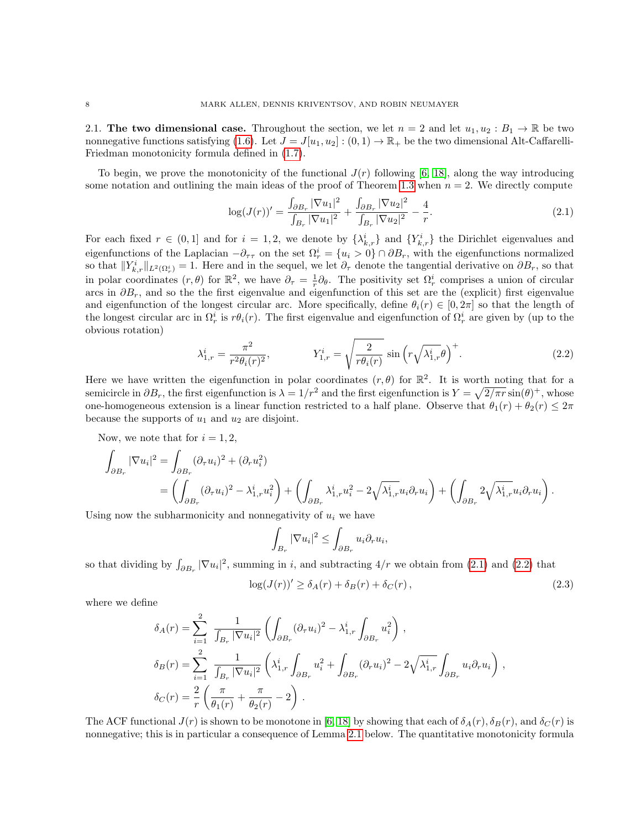<span id="page-7-0"></span>2.1. The two dimensional case. Throughout the section, we let  $n = 2$  and let  $u_1, u_2 : B_1 \to \mathbb{R}$  be two nonnegative functions satisfying [\(1.6\)](#page-2-0). Let  $J = J[u_1, u_2] : (0, 1) \to \mathbb{R}_+$  be the two dimensional Alt-Caffarelli-Friedman monotonicity formula defined in [\(1.7\)](#page-3-1).

To begin, we prove the monotonicity of the functional  $J(r)$  following [\[6,](#page-37-18) [18\]](#page-37-21), along the way introducing some notation and outlining the main ideas of the proof of Theorem [1.3](#page-3-0) when  $n = 2$ . We directly compute

<span id="page-7-1"></span>
$$
\log(J(r))' = \frac{\int_{\partial B_r} |\nabla u_1|^2}{\int_{B_r} |\nabla u_1|^2} + \frac{\int_{\partial B_r} |\nabla u_2|^2}{\int_{B_r} |\nabla u_2|^2} - \frac{4}{r}.
$$
 (2.1)

For each fixed  $r \in (0,1]$  and for  $i=1,2$ , we denote by  $\{\lambda_{k,r}^i\}$  and  $\{Y_{k,r}^i\}$  the Dirichlet eigenvalues and eigenfunctions of the Laplacian  $-\partial_{\tau\tau}$  on the set  $\Omega_r^i = \{u_i > 0\} \cap \partial B_r$ , with the eigenfunctions normalized so that  $||Y_{k,r}^i||_{L^2(\Omega_r^i)} = 1$ . Here and in the sequel, we let  $\partial_{\tau}$  denote the tangential derivative on  $\partial B_r$ , so that in polar coordinates  $(r, \theta)$  for  $\mathbb{R}^2$ , we have  $\partial_{\tau} = \frac{1}{r} \partial_{\theta}$ . The positivity set  $\Omega_r^i$  comprises a union of circular arcs in  $\partial B_r$ , and so the the first eigenvalue and eigenfunction of this set are the (explicit) first eigenvalue and eigenfunction of the longest circular arc. More specifically, define  $\theta_i(r) \in [0, 2\pi]$  so that the length of the longest circular arc in  $\Omega_r^i$  is  $r\theta_i(r)$ . The first eigenvalue and eigenfunction of  $\Omega_r^i$  are given by (up to the obvious rotation)

<span id="page-7-2"></span>
$$
\lambda_{1,r}^{i} = \frac{\pi^{2}}{r^{2} \theta_{i}(r)^{2}}, \qquad \qquad Y_{1,r}^{i} = \sqrt{\frac{2}{r \theta_{i}(r)}} \sin\left(r \sqrt{\lambda_{1,r}^{i}} \theta\right)^{+}.
$$
\n(2.2)

Here we have written the eigenfunction in polar coordinates  $(r, \theta)$  for  $\mathbb{R}^2$ . It is worth noting that for a semicircle in  $\partial B_r$ , the first eigenfunction is  $\lambda = 1/r^2$  and the first eigenfunction is  $Y = \sqrt{2/\pi r} \sin(\theta)^+$ , whose one-homogeneous extension is a linear function restricted to a half plane. Observe that  $\theta_1(r) + \theta_2(r) \leq 2\pi$ because the supports of  $u_1$  and  $u_2$  are disjoint.

Now, we note that for  $i = 1, 2$ ,

$$
\int_{\partial B_r} |\nabla u_i|^2 = \int_{\partial B_r} (\partial_\tau u_i)^2 + (\partial_r u_i^2) \n= \left( \int_{\partial B_r} (\partial_\tau u_i)^2 - \lambda_{1,\tau}^i u_i^2 \right) + \left( \int_{\partial B_r} \lambda_{1,\tau}^i u_i^2 - 2\sqrt{\lambda_{1,\tau}^i} u_i \partial_\tau u_i \right) + \left( \int_{\partial B_r} 2\sqrt{\lambda_{1,\tau}^i} u_i \partial_\tau u_i \right).
$$

Using now the subharmonicity and nonnegativity of  $u_i$  we have

$$
\int_{B_r} |\nabla u_i|^2 \le \int_{\partial B_r} u_i \partial_r u_i,
$$

so that dividing by  $\int_{\partial B_r} |\nabla u_i|^2$ , summing in i, and subtracting  $4/r$  we obtain from [\(2.1\)](#page-7-1) and [\(2.2\)](#page-7-2) that

<span id="page-7-3"></span>
$$
\log(J(r))' \ge \delta_A(r) + \delta_B(r) + \delta_C(r), \qquad (2.3)
$$

where we define

$$
\delta_A(r) = \sum_{i=1}^2 \frac{1}{\int_{B_r} |\nabla u_i|^2} \left( \int_{\partial B_r} (\partial_\tau u_i)^2 - \lambda_{1,r}^i \int_{\partial B_r} u_i^2 \right),
$$
  
\n
$$
\delta_B(r) = \sum_{i=1}^2 \frac{1}{\int_{B_r} |\nabla u_i|^2} \left( \lambda_{1,r}^i \int_{\partial B_r} u_i^2 + \int_{\partial B_r} (\partial_r u_i)^2 - 2\sqrt{\lambda_{1,r}^i} \int_{\partial B_r} u_i \partial_r u_i \right),
$$
  
\n
$$
\delta_C(r) = \frac{2}{r} \left( \frac{\pi}{\theta_1(r)} + \frac{\pi}{\theta_2(r)} - 2 \right).
$$

The ACF functional  $J(r)$  is shown to be monotone in [\[6,](#page-37-18) [18\]](#page-37-21) by showing that each of  $\delta_A(r)$ ,  $\delta_B(r)$ , and  $\delta_C(r)$  is nonnegative; this is in particular a consequence of Lemma [2.1](#page-8-0) below. The quantitative monotonicity formula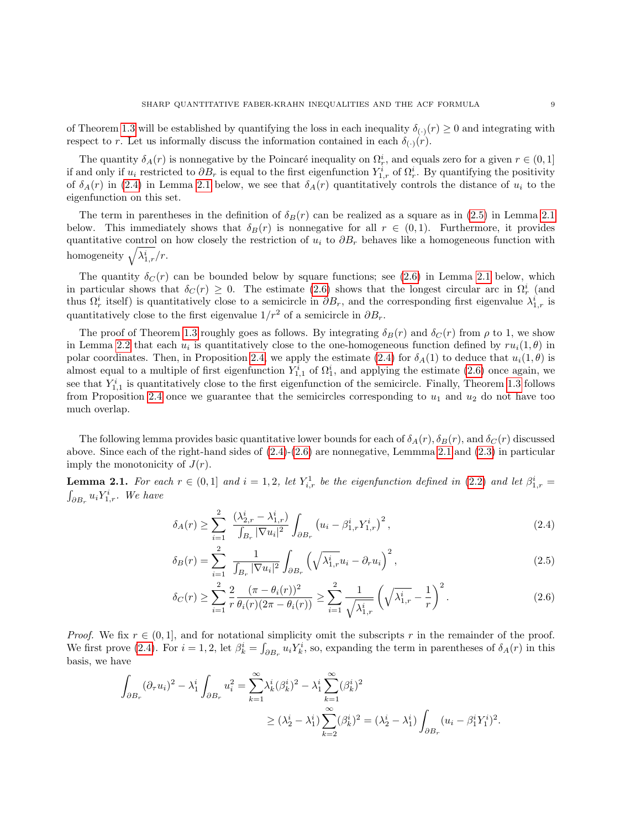of Theorem [1.3](#page-3-0) will be established by quantifying the loss in each inequality  $\delta_{(\cdot)}(r) \geq 0$  and integrating with respect to r. Let us informally discuss the information contained in each  $\delta_{(\cdot)}(r)$ .

The quantity  $\delta_A(r)$  is nonnegative by the Poincaré inequality on  $\Omega_r^i$ , and equals zero for a given  $r \in (0,1]$ if and only if  $u_i$  restricted to  $\partial B_r$  is equal to the first eigenfunction  $Y_{1,r}^i$  of  $\Omega_r^i$ . By quantifying the positivity of  $\delta_A(r)$  in [\(2.4\)](#page-8-1) in Lemma [2.1](#page-8-0) below, we see that  $\delta_A(r)$  quantitatively controls the distance of  $u_i$  to the eigenfunction on this set.

The term in parentheses in the definition of  $\delta_B(r)$  can be realized as a square as in [\(2.5\)](#page-8-2) in Lemma [2.1](#page-8-0) below. This immediately shows that  $\delta_B(r)$  is nonnegative for all  $r \in (0,1)$ . Furthermore, it provides quantitative control on how closely the restriction of  $u_i$  to  $\partial B_r$  behaves like a homogeneous function with homogeneity  $\sqrt{\lambda_{1,r}^i}/r$ .

The quantity  $\delta_C(r)$  can be bounded below by square functions; see [\(2.6\)](#page-8-3) in Lemma [2.1](#page-8-0) below, which in particular shows that  $\delta_C(r) \geq 0$ . The estimate [\(2.6\)](#page-8-3) shows that the longest circular arc in  $\Omega_r^i$  (and thus  $\Omega_r^i$  itself) is quantitatively close to a semicircle in  $\partial B_r$ , and the corresponding first eigenvalue  $\lambda_{1,r}^i$  is quantitatively close to the first eigenvalue  $1/r^2$  of a semicircle in  $\partial B_r$ .

The proof of Theorem [1.3](#page-3-0) roughly goes as follows. By integrating  $\delta_B(r)$  and  $\delta_C(r)$  from  $\rho$  to 1, we show in Lemma [2.2](#page-9-0) that each  $u_i$  is quantitatively close to the one-homogeneous function defined by  $ru_i(1,\theta)$  in polar coordinates. Then, in Proposition [2.4,](#page-12-0) we apply the estimate [\(2.4\)](#page-8-1) for  $\delta_A(1)$  to deduce that  $u_i(1,\theta)$  is almost equal to a multiple of first eigenfunction  $Y_{1,1}^i$  of  $\Omega_1^i$ , and applying the estimate [\(2.6\)](#page-8-3) once again, we see that  $Y_{1,1}^i$  is quantitatively close to the first eigenfunction of the semicircle. Finally, Theorem [1.3](#page-3-0) follows from Proposition [2.4](#page-12-0) once we guarantee that the semicircles corresponding to  $u_1$  and  $u_2$  do not have too much overlap.

The following lemma provides basic quantitative lower bounds for each of  $\delta_A(r)$ ,  $\delta_B(r)$ , and  $\delta_C(r)$  discussed above. Since each of the right-hand sides of  $(2.4)-(2.6)$  $(2.4)-(2.6)$  $(2.4)-(2.6)$  are nonnegative, Lemmma [2.1](#page-8-0) and  $(2.3)$  in particular imply the monotonicity of  $J(r)$ .

<span id="page-8-0"></span>**Lemma 2.1.** For each  $r \in (0,1]$  and  $i = 1,2$ , let  $Y_{i,r}^1$  be the eigenfunction defined in [\(2.2\)](#page-7-2) and let  $\beta_{1,r}^i =$  $\int_{\partial B_r} u_i Y^i_{1,r}$ . We have

$$
\delta_A(r) \ge \sum_{i=1}^2 \frac{(\lambda_{2,r}^i - \lambda_{1,r}^i)}{\int_{B_r} |\nabla u_i|^2} \int_{\partial B_r} \left( u_i - \beta_{1,r}^i Y_{1,r}^i \right)^2, \tag{2.4}
$$

<span id="page-8-2"></span><span id="page-8-1"></span>
$$
\delta_B(r) = \sum_{i=1}^2 \frac{1}{\int_{B_r} |\nabla u_i|^2} \int_{\partial B_r} \left( \sqrt{\lambda_{1,r}^i} u_i - \partial_r u_i \right)^2, \tag{2.5}
$$

<span id="page-8-3"></span>
$$
\delta_C(r) \ge \sum_{i=1}^2 \frac{2}{r} \frac{(\pi - \theta_i(r))^2}{\theta_i(r)(2\pi - \theta_i(r))} \ge \sum_{i=1}^2 \frac{1}{\sqrt{\lambda_{1,r}^i}} \left(\sqrt{\lambda_{1,r}^i} - \frac{1}{r}\right)^2.
$$
\n(2.6)

*Proof.* We fix  $r \in (0,1]$ , and for notational simplicity omit the subscripts r in the remainder of the proof. We first prove [\(2.4\)](#page-8-1). For  $i = 1, 2$ , let  $\beta_k^i = \int_{\partial B_r} u_i Y_k^i$ , so, expanding the term in parentheses of  $\delta_A(r)$  in this basis, we have

$$
\int_{\partial B_r} (\partial_\tau u_i)^2 - \lambda_1^i \int_{\partial B_r} u_i^2 = \sum_{k=1}^\infty \lambda_k^i (\beta_k^i)^2 - \lambda_1^i \sum_{k=1}^\infty (\beta_k^i)^2
$$
  

$$
\geq (\lambda_2^i - \lambda_1^i) \sum_{k=2}^\infty (\beta_k^i)^2 = (\lambda_2^i - \lambda_1^i) \int_{\partial B_r} (u_i - \beta_1^i Y_1^i)^2.
$$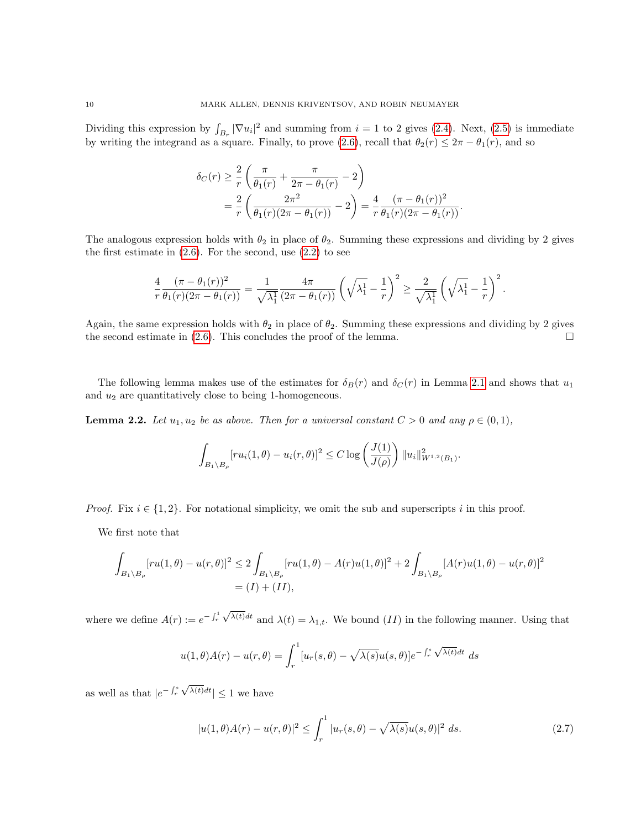Dividing this expression by  $\int_{B_r} |\nabla u_i|^2$  and summing from  $i = 1$  to 2 gives [\(2.4\)](#page-8-1). Next, [\(2.5\)](#page-8-2) is immediate by writing the integrand as a square. Finally, to prove [\(2.6\)](#page-8-3), recall that  $\theta_2(r) \leq 2\pi - \theta_1(r)$ , and so

$$
\delta_C(r) \geq \frac{2}{r} \left( \frac{\pi}{\theta_1(r)} + \frac{\pi}{2\pi - \theta_1(r)} - 2 \right)
$$
  
=  $\frac{2}{r} \left( \frac{2\pi^2}{\theta_1(r)(2\pi - \theta_1(r))} - 2 \right) = \frac{4}{r} \frac{(\pi - \theta_1(r))^2}{\theta_1(r)(2\pi - \theta_1(r))}.$ 

The analogous expression holds with  $\theta_2$  in place of  $\theta_2$ . Summing these expressions and dividing by 2 gives the first estimate in  $(2.6)$ . For the second, use  $(2.2)$  to see

$$
\frac{4}{r}\frac{(\pi-\theta_1(r))^2}{\theta_1(r)(2\pi-\theta_1(r))}=\frac{1}{\sqrt{\lambda_1^1}}\frac{4\pi}{(2\pi-\theta_1(r))}\left(\sqrt{\lambda_1^1}-\frac{1}{r}\right)^2\geq \frac{2}{\sqrt{\lambda_1^1}}\left(\sqrt{\lambda_1^1}-\frac{1}{r}\right)^2.
$$

Again, the same expression holds with  $\theta_2$  in place of  $\theta_2$ . Summing these expressions and dividing by 2 gives the second estimate in  $(2.6)$ . This concludes the proof of the lemma.

The following lemma makes use of the estimates for  $\delta_B(r)$  and  $\delta_C(r)$  in Lemma [2.1](#page-8-0) and shows that  $u_1$ and  $u_2$  are quantitatively close to being 1-homogeneous.

<span id="page-9-0"></span>**Lemma 2.2.** Let  $u_1, u_2$  be as above. Then for a universal constant  $C > 0$  and any  $\rho \in (0, 1)$ ,

$$
\int_{B_1 \setminus B_{\rho}} [r u_i(1, \theta) - u_i(r, \theta)]^2 \le C \log \left( \frac{J(1)}{J(\rho)} \right) ||u_i||_{W^{1,2}(B_1)}^2
$$

*Proof.* Fix  $i \in \{1, 2\}$ . For notational simplicity, we omit the sub and superscripts i in this proof.

We first note that

$$
\int_{B_1 \backslash B_\rho} [ru(1,\theta) - u(r,\theta)]^2 \le 2 \int_{B_1 \backslash B_\rho} [ru(1,\theta) - A(r)u(1,\theta)]^2 + 2 \int_{B_1 \backslash B_\rho} [A(r)u(1,\theta) - u(r,\theta)]^2
$$
  
=  $(I) + (II)$ ,

where we define  $A(r) := e^{-\int_r^1 r}$ √  $\lambda(t)dt$  and  $\lambda(t) = \lambda_{1,t}$ . We bound  $(II)$  in the following manner. Using that

$$
u(1,\theta)A(r) - u(r,\theta) = \int_r^1 [u_r(s,\theta) - \sqrt{\lambda(s)}u(s,\theta)]e^{-\int_r^s \sqrt{\lambda(t)}dt} ds
$$

as well as that  $|e^{-\int_r^s}$ √  $\lambda(t)dt \leq 1$  we have

$$
|u(1,\theta)A(r) - u(r,\theta)|^2 \le \int_r^1 |u_r(s,\theta) - \sqrt{\lambda(s)}u(s,\theta)|^2 \ ds.
$$
 (2.7)

.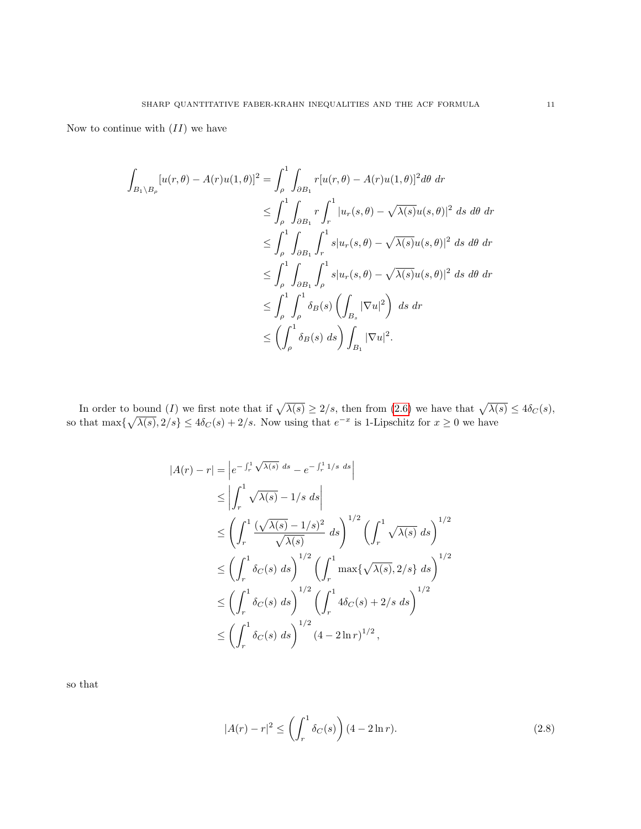Now to continue with  $(II)$  we have

$$
\int_{B_1 \setminus B_\rho} [u(r, \theta) - A(r)u(1, \theta)]^2 = \int_{\rho}^1 \int_{\partial B_1} r [u(r, \theta) - A(r)u(1, \theta)]^2 d\theta dr
$$
  
\n
$$
\leq \int_{\rho}^1 \int_{\partial B_1} r \int_r^1 |u_r(s, \theta) - \sqrt{\lambda(s)}u(s, \theta)|^2 ds d\theta dr
$$
  
\n
$$
\leq \int_{\rho}^1 \int_{\partial B_1} \int_r^1 s |u_r(s, \theta) - \sqrt{\lambda(s)}u(s, \theta)|^2 ds d\theta dr
$$
  
\n
$$
\leq \int_{\rho}^1 \int_{\partial B_1} \int_{\rho}^1 s |u_r(s, \theta) - \sqrt{\lambda(s)}u(s, \theta)|^2 ds d\theta dr
$$
  
\n
$$
\leq \int_{\rho}^1 \int_{\rho}^1 \delta_B(s) \left( \int_{B_s} |\nabla u|^2 \right) ds dr
$$
  
\n
$$
\leq \left( \int_{\rho}^1 \delta_B(s) ds \right) \int_{B_1} |\nabla u|^2.
$$

In order to bound (I) we first note that if  $\sqrt{\lambda(s)} \ge 2/s$ , then from [\(2.6\)](#page-8-3) we have that  $\sqrt{\lambda(s)} \le 4\delta_C(s)$ , so that  $\max{\{\sqrt{\lambda(s)}, 2/s\}} \le 4\delta_C(s) + 2/s$ . Now using that  $e^{-x}$  is 1-Lipschitz for  $x \ge 0$  we have

$$
|A(r) - r| = \left| e^{-\int_r^1 \sqrt{\lambda(s)} ds} - e^{-\int_r^1 1/s ds} \right|
$$
  
\n
$$
\leq \left| \int_r^1 \sqrt{\lambda(s)} - 1/s ds \right|
$$
  
\n
$$
\leq \left( \int_r^1 \frac{(\sqrt{\lambda(s)} - 1/s)^2}{\sqrt{\lambda(s)}} ds \right)^{1/2} \left( \int_r^1 \sqrt{\lambda(s)} ds \right)^{1/2}
$$
  
\n
$$
\leq \left( \int_r^1 \delta_C(s) ds \right)^{1/2} \left( \int_r^1 \max{\sqrt{\lambda(s)}, 2/s} ds \right)^{1/2}
$$
  
\n
$$
\leq \left( \int_r^1 \delta_C(s) ds \right)^{1/2} \left( \int_r^1 4 \delta_C(s) + 2/s ds \right)^{1/2}
$$
  
\n
$$
\leq \left( \int_r^1 \delta_C(s) ds \right)^{1/2} (4 - 2 \ln r)^{1/2},
$$

so that

$$
|A(r) - r|^2 \le \left(\int_r^1 \delta_C(s)\right) (4 - 2\ln r). \tag{2.8}
$$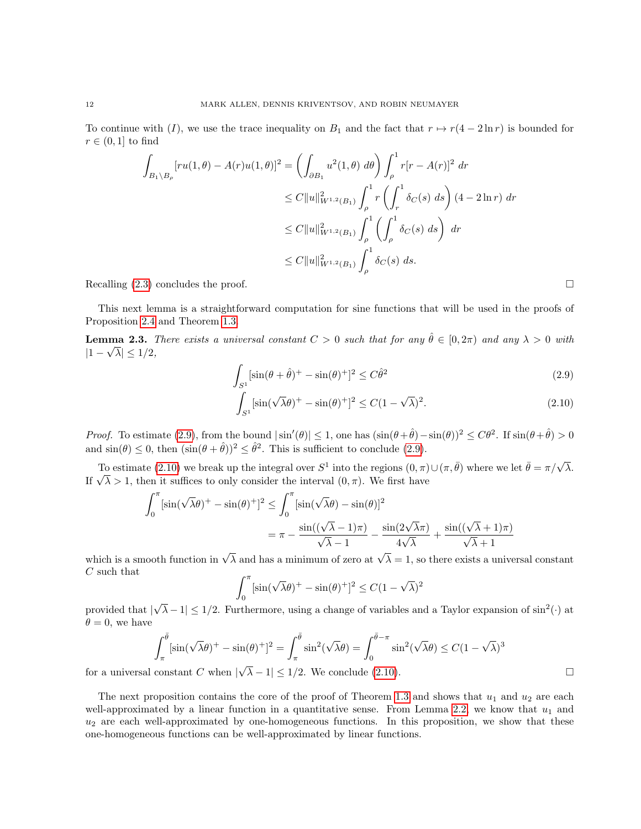To continue with (I), we use the trace inequality on  $B_1$  and the fact that  $r \mapsto r(4-2\ln r)$  is bounded for  $r \in (0,1]$  to find

$$
\int_{B_1 \setminus B_\rho} [ru(1,\theta) - A(r)u(1,\theta)]^2 = \left( \int_{\partial B_1} u^2(1,\theta) \, d\theta \right) \int_{\rho}^1 r[r - A(r)]^2 \, dr
$$
\n
$$
\leq C \|u\|_{W^{1,2}(B_1)}^2 \int_{\rho}^1 r \left( \int_r^1 \delta_C(s) \, ds \right) (4 - 2 \ln r) \, dr
$$
\n
$$
\leq C \|u\|_{W^{1,2}(B_1)}^2 \int_{\rho}^1 \left( \int_\rho^1 \delta_C(s) \, ds \right) \, dr
$$
\n
$$
\leq C \|u\|_{W^{1,2}(B_1)}^2 \int_{\rho}^1 \delta_C(s) \, ds.
$$

Recalling  $(2.3)$  concludes the proof.

This next lemma is a straightforward computation for sine functions that will be used in the proofs of Proposition [2.4](#page-12-0) and Theorem [1.3.](#page-3-0)

<span id="page-11-2"></span>**Lemma 2.3.** There exists a universal constant  $C > 0$  such that for any  $\hat{\theta} \in [0, 2\pi)$  and any  $\lambda > 0$  with  $|1-\sqrt{\lambda}| \leq 1/2,$ 

$$
\int_{S^1} [\sin(\theta + \hat{\theta})^+ - \sin(\theta)^+]^2 \le C\hat{\theta}^2
$$
\n(2.9)

$$
\int_{S^1} \left[ \sin(\sqrt{\lambda}\theta)^+ - \sin(\theta)^+ \right]^2 \le C(1 - \sqrt{\lambda})^2. \tag{2.10}
$$

*Proof.* To estimate [\(2.9\)](#page-11-0), from the bound  $|\sin'(\theta)| \le 1$ , one has  $(\sin(\theta + \hat{\theta}) - \sin(\theta))^2 \le C\theta^2$ . If  $\sin(\theta + \hat{\theta}) > 0$ and  $\sin(\theta) \leq 0$ , then  $(\sin(\theta + \hat{\theta}))^2 \leq \hat{\theta}^2$ . This is sufficient to conclude [\(2.9\)](#page-11-0).

To estimate [\(2.10\)](#page-11-1) we break up the integral over  $S^1$  into the regions  $(0, \pi) \cup (\pi, \bar{\theta})$  where we let  $\bar{\theta} = \pi/\sqrt{\lambda}$ . Io estimate (2.10) we break up the integral over  $5^{\circ}$  into the regions (0, π).<br>If  $\sqrt{\lambda} > 1$ , then it suffices to only consider the interval  $(0, \pi)$ . We first have

$$
\int_0^\pi \left[\sin(\sqrt{\lambda}\theta)^+ - \sin(\theta)^+\right]^2 \le \int_0^\pi \left[\sin(\sqrt{\lambda}\theta) - \sin(\theta)\right]^2
$$

$$
= \pi - \frac{\sin((\sqrt{\lambda}-1)\pi)}{\sqrt{\lambda}-1} - \frac{\sin(2\sqrt{\lambda}\pi)}{4\sqrt{\lambda}} + \frac{\sin((\sqrt{\lambda}+1)\pi)}{\sqrt{\lambda}+1}
$$

which is a smooth function in  $\sqrt{\lambda}$  and has a minimum of zero at  $\sqrt{\lambda} = 1$ , so there exists a universal constant C such that

$$
\int_0^{\pi} \left[ \sin(\sqrt{\lambda}\theta)^+ - \sin(\theta)^+ \right]^2 \le C(1 - \sqrt{\lambda})^2
$$

provided that |  $\sqrt{\lambda}-1 \leq 1/2$ . Furthermore, using a change of variables and a Taylor expansion of  $\sin^2(\cdot)$  at  $\theta = 0$ , we have

$$
\int_{\pi}^{\bar{\theta}} [\sin(\sqrt{\lambda}\theta)^{+} - \sin(\theta)^{+}]^{2} = \int_{\pi}^{\bar{\theta}} \sin^{2}(\sqrt{\lambda}\theta) = \int_{0}^{\bar{\theta}-\pi} \sin^{2}(\sqrt{\lambda}\theta) \le C(1-\sqrt{\lambda})^{3}
$$
  
constant C when  $|\sqrt{\lambda}-1| \le 1/2$ . We conclude (2.10).

for a universal constant  $C$  when  $|$ 

The next proposition contains the core of the proof of Theorem [1.3](#page-3-0) and shows that  $u_1$  and  $u_2$  are each well-approximated by a linear function in a quantitative sense. From Lemma [2.2,](#page-9-0) we know that  $u_1$  and  $u_2$  are each well-approximated by one-homogeneous functions. In this proposition, we show that these one-homogeneous functions can be well-approximated by linear functions.

<span id="page-11-1"></span><span id="page-11-0"></span>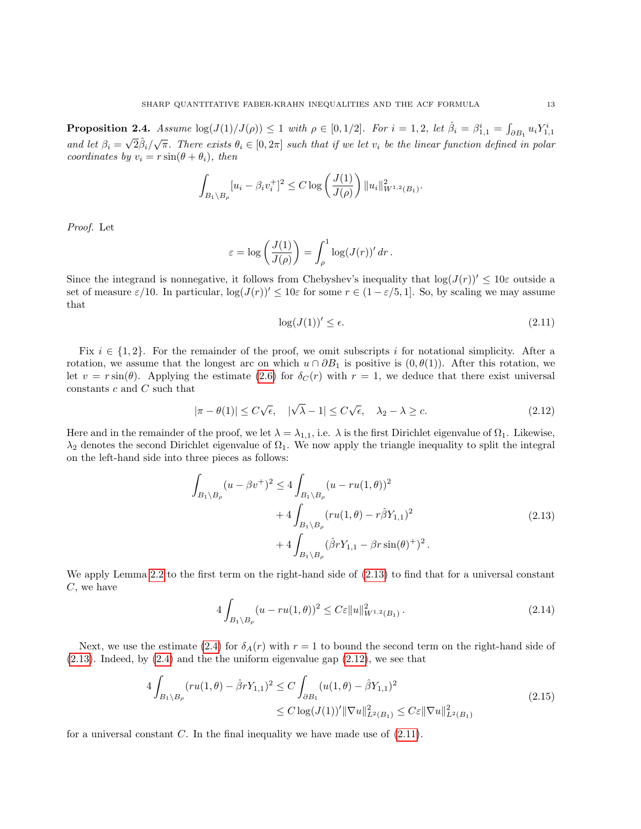<span id="page-12-0"></span>**Proposition 2.4.** Assume  $\log(J(1)/J(\rho)) \leq 1$  with  $\rho \in [0, 1/2]$ . For  $i = 1, 2$ , let  $\hat{\beta}_i = \beta_{1,1}^i = \int_{\partial B_1} u_i Y_{1,1}^i$ and let  $\beta_i =$  $\sqrt{2}\hat{\beta}_i/\sqrt{\pi}$ . There exists  $\theta_i \in [0, 2\pi]$  such that if we let  $v_i$  be the linear function defined in polar coordinates by  $v_i = r \sin(\theta + \theta_i)$ , then

$$
\int_{B_1 \setminus B_{\rho}} [u_i - \beta_i v_i^+]^2 \leq C \log \left( \frac{J(1)}{J(\rho)} \right) ||u_i||^2_{W^{1,2}(B_1)}.
$$

Proof. Let

$$
\varepsilon = \log\left(\frac{J(1)}{J(\rho)}\right) = \int_{\rho}^{1} \log(J(r))' dr.
$$

Since the integrand is nonnegative, it follows from Chebyshev's inequality that  $\log(J(r))' < 10\varepsilon$  outside a set of measure  $\varepsilon/10$ . In particular,  $\log(J(r))' \leq 10\varepsilon$  for some  $r \in (1 - \varepsilon/5, 1]$ . So, by scaling we may assume that

<span id="page-12-3"></span>
$$
\log(J(1))' \le \epsilon. \tag{2.11}
$$

Fix  $i \in \{1, 2\}$ . For the remainder of the proof, we omit subscripts i for notational simplicity. After a rotation, we assume that the longest arc on which  $u \cap \partial B_1$  is positive is  $(0, \theta(1))$ . After this rotation, we let  $v = r \sin(\theta)$ . Applying the estimate [\(2.6\)](#page-8-3) for  $\delta_C(r)$  with  $r = 1$ , we deduce that there exist universal constants  $c$  and  $C$  such that

<span id="page-12-2"></span>
$$
|\pi - \theta(1)| \le C\sqrt{\epsilon}, \quad |\sqrt{\lambda} - 1| \le C\sqrt{\epsilon}, \quad \lambda_2 - \lambda \ge c. \tag{2.12}
$$

Here and in the remainder of the proof, we let  $\lambda = \lambda_{1,1}$ , i.e.  $\lambda$  is the first Dirichlet eigenvalue of  $\Omega_1$ . Likewise,  $\lambda_2$  denotes the second Dirichlet eigenvalue of  $\Omega_1$ . We now apply the triangle inequality to split the integral on the left-hand side into three pieces as follows:

$$
\int_{B_1 \setminus B_\rho} (u - \beta v^+)^2 \le 4 \int_{B_1 \setminus B_\rho} (u - ru(1, \theta))^2 \n+ 4 \int_{B_1 \setminus B_\rho} (ru(1, \theta) - r\hat{\beta}Y_{1,1})^2 \n+ 4 \int_{B_1 \setminus B_\rho} (\hat{\beta}rY_{1,1} - \beta r\sin(\theta)^+)^2.
$$
\n(2.13)

<span id="page-12-1"></span>We apply Lemma [2.2](#page-9-0) to the first term on the right-hand side of [\(2.13\)](#page-12-1) to find that for a universal constant  $C$ , we have

<span id="page-12-4"></span>
$$
4\int_{B_1 \setminus B_\rho} (u - ru(1,\theta))^2 \le C\varepsilon \|u\|_{W^{1,2}(B_1)}^2.
$$
\n(2.14)

Next, we use the estimate [\(2.4\)](#page-8-1) for  $\delta_A(r)$  with  $r = 1$  to bound the second term on the right-hand side of [\(2.13\)](#page-12-1). Indeed, by [\(2.4\)](#page-8-1) and the the uniform eigenvalue gap [\(2.12\)](#page-12-2), we see that

$$
4\int_{B_1 \setminus B_\rho} (ru(1,\theta) - \hat{\beta}rY_{1,1})^2 \le C\int_{\partial B_1} (u(1,\theta) - \hat{\beta}Y_{1,1})^2
$$
  

$$
\le C\log(J(1))' \|\nabla u\|_{L^2(B_1)}^2 \le C\epsilon \|\nabla u\|_{L^2(B_1)}^2
$$
\n(2.15)

<span id="page-12-5"></span>for a universal constant  $C$ . In the final inequality we have made use of  $(2.11)$ .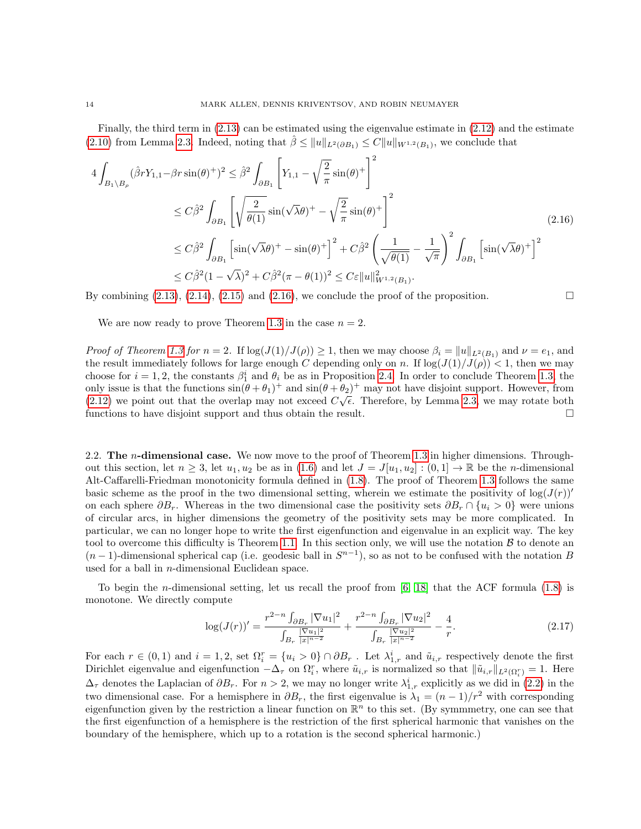Finally, the third term in [\(2.13\)](#page-12-1) can be estimated using the eigenvalue estimate in [\(2.12\)](#page-12-2) and the estimate [\(2.10\)](#page-11-1) from Lemma [2.3.](#page-11-2) Indeed, noting that  $\hat{\beta} \le ||u||_{L^2(\partial B_1)} \le C||u||_{W^{1,2}(B_1)}$ , we conclude that

<span id="page-13-1"></span>
$$
4\int_{B_1\backslash B_\rho} (\hat{\beta}rY_{1,1} - \beta r\sin(\theta)^+)^2 \leq \hat{\beta}^2 \int_{\partial B_1} \left[ Y_{1,1} - \sqrt{\frac{2}{\pi}}\sin(\theta)^+ \right]^2
$$
  
\n
$$
\leq C\hat{\beta}^2 \int_{\partial B_1} \left[ \sqrt{\frac{2}{\theta(1)}}\sin(\sqrt{\lambda}\theta)^+ - \sqrt{\frac{2}{\pi}}\sin(\theta)^+ \right]^2
$$
  
\n
$$
\leq C\hat{\beta}^2 \int_{\partial B_1} \left[ \sin(\sqrt{\lambda}\theta)^+ - \sin(\theta)^+ \right]^2 + C\hat{\beta}^2 \left( \frac{1}{\sqrt{\theta(1)}} - \frac{1}{\sqrt{\pi}} \right)^2 \int_{\partial B_1} \left[ \sin(\sqrt{\lambda}\theta)^+ \right]^2
$$
  
\n
$$
\leq C\hat{\beta}^2 (1 - \sqrt{\lambda})^2 + C\hat{\beta}^2 (\pi - \theta(1))^2 \leq C\epsilon \|u\|_{W^{1,2}(B_1)}^2.
$$
 (2.16)

By combining  $(2.13)$ ,  $(2.14)$ ,  $(2.15)$  and  $(2.16)$ , we conclude the proof of the proposition.

We are now ready to prove Theorem [1.3](#page-3-0) in the case  $n = 2$ .

*Proof of Theorem [1.3](#page-3-0) for n* = 2. If  $\log(J(1)/J(\rho)) \geq 1$ , then we may choose  $\beta_i = ||u||_{L^2(B_1)}$  and  $\nu = e_1$ , and the result immediately follows for large enough C depending only on n. If  $\log(J(1)/J(\rho)) < 1$ , then we may choose for  $i = 1, 2$ , the constants  $\beta_1^i$  and  $\theta_i$  be as in Proposition [2.4.](#page-12-0) In order to conclude Theorem [1.3,](#page-3-0) the only issue is that the functions  $\sin(\theta + \theta_1)^+$  and  $\sin(\theta + \theta_2)^+$  may not have disjoint support. However, from  $(2.12)$  we point out that the overlap may not exceed  $C\sqrt{\epsilon}$ . Therefore, by Lemma [2.3,](#page-11-2) we may rotate both functions to have disjoint support and thus obtain the result.

<span id="page-13-0"></span>2.2. The *n*-dimensional case. We now move to the proof of Theorem [1.3](#page-3-0) in higher dimensions. Throughout this section, let  $n \geq 3$ , let  $u_1, u_2$  be as in [\(1.6\)](#page-2-0) and let  $J = J[u_1, u_2] : (0, 1] \to \mathbb{R}$  be the *n*-dimensional Alt-Caffarelli-Friedman monotonicity formula defined in [\(1.8\)](#page-3-2). The proof of Theorem [1.3](#page-3-0) follows the same basic scheme as the proof in the two dimensional setting, wherein we estimate the positivity of  $\log(J(r))'$ on each sphere  $\partial B_r$ . Whereas in the two dimensional case the positivity sets  $\partial B_r \cap \{u_i > 0\}$  were unions of circular arcs, in higher dimensions the geometry of the positivity sets may be more complicated. In particular, we can no longer hope to write the first eigenfunction and eigenvalue in an explicit way. The key tool to overcome this difficulty is Theorem [1.1.](#page-1-2) In this section only, we will use the notation  $\beta$  to denote an  $(n-1)$ -dimensional spherical cap (i.e. geodesic ball in  $S^{n-1}$ ), so as not to be confused with the notation B used for a ball in  $n$ -dimensional Euclidean space.

To begin the n-dimensional setting, let us recall the proof from [\[6,](#page-37-18) [18\]](#page-37-21) that the ACF formula [\(1.8\)](#page-3-2) is monotone. We directly compute

<span id="page-13-2"></span>
$$
\log(J(r))' = \frac{r^{2-n} \int_{\partial B_r} |\nabla u_1|^2}{\int_{B_r} \frac{|\nabla u_1|^2}{|x|^{n-2}}} + \frac{r^{2-n} \int_{\partial B_r} |\nabla u_2|^2}{\int_{B_r} \frac{|\nabla u_2|^2}{|x|^{n-2}}} - \frac{4}{r}.
$$
\n(2.17)

For each  $r \in (0,1)$  and  $i=1,2$ , set  $\Omega_i^r = \{u_i > 0\} \cap \partial B_r$ . Let  $\lambda_{1,r}^i$  and  $\tilde{u}_{i,r}$  respectively denote the first Dirichlet eigenvalue and eigenfunction  $-\Delta_{\tau}$  on  $\Omega_i^r$ , where  $\tilde{u}_{i,r}$  is normalized so that  $\|\tilde{u}_{i,r}\|_{L^2(\Omega_i^r)}=1$ . Here  $\Delta_{\tau}$  denotes the Laplacian of  $\partial B_r$ . For  $n > 2$ , we may no longer write  $\lambda_{1,r}^i$  explicitly as we did in [\(2.2\)](#page-7-2) in the two dimensional case. For a hemisphere in  $\partial B_r$ , the first eigenvalue is  $\lambda_1 = (n-1)/r^2$  with corresponding eigenfunction given by the restriction a linear function on  $\mathbb{R}^n$  to this set. (By symmmetry, one can see that the first eigenfunction of a hemisphere is the restriction of the first spherical harmonic that vanishes on the boundary of the hemisphere, which up to a rotation is the second spherical harmonic.)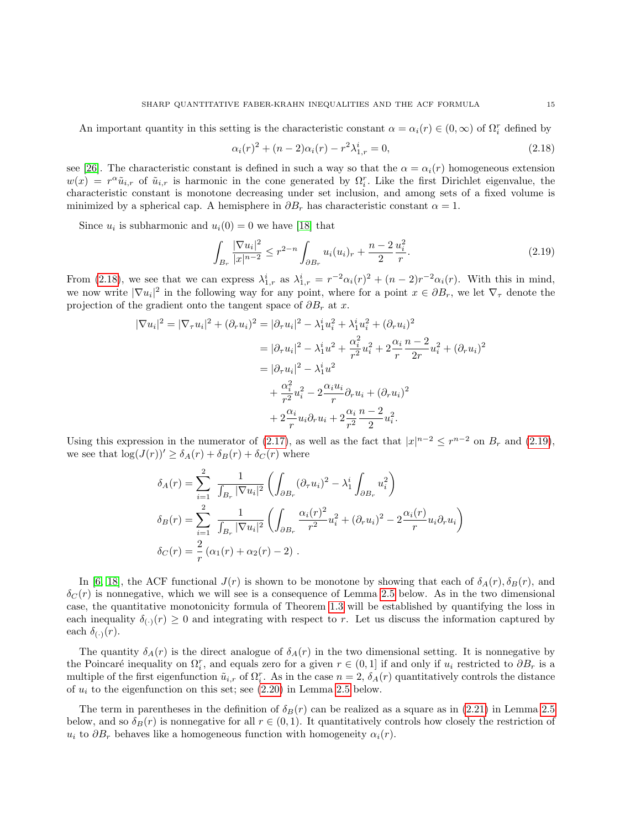An important quantity in this setting is the characteristic constant  $\alpha = \alpha_i(r) \in (0, \infty)$  of  $\Omega_i^r$  defined by

<span id="page-14-0"></span>
$$
\alpha_i(r)^2 + (n-2)\alpha_i(r) - r^2 \lambda_{1,r}^i = 0,\tag{2.18}
$$

see [\[26\]](#page-37-22). The characteristic constant is defined in such a way so that the  $\alpha = \alpha_i(r)$  homogeneous extension  $w(x) = r^{\alpha} \tilde{u}_{i,r}$  of  $\tilde{u}_{i,r}$  is harmonic in the cone generated by  $\Omega_i^r$ . Like the first Dirichlet eigenvalue, the characteristic constant is monotone decreasing under set inclusion, and among sets of a fixed volume is minimized by a spherical cap. A hemisphere in  $\partial B_r$  has characteristic constant  $\alpha = 1$ .

Since  $u_i$  is subharmonic and  $u_i(0) = 0$  we have [\[18\]](#page-37-21) that

<span id="page-14-1"></span>
$$
\int_{B_r} \frac{|\nabla u_i|^2}{|x|^{n-2}} \le r^{2-n} \int_{\partial B_r} u_i(u_i)_r + \frac{n-2}{2} \frac{u_i^2}{r}.
$$
\n(2.19)

From [\(2.18\)](#page-14-0), we see that we can express  $\lambda_{1,r}^i$  as  $\lambda_{1,r}^i = r^{-2} \alpha_i(r)^2 + (n-2)r^{-2} \alpha_i(r)$ . With this in mind, we now write  $|\nabla u_i|^2$  in the following way for any point, where for a point  $x \in \partial B_r$ , we let  $\nabla_\tau$  denote the projection of the gradient onto the tangent space of  $\partial B_r$  at x.

$$
|\nabla u_i|^2 = |\nabla_\tau u_i|^2 + (\partial_r u_i)^2 = |\partial_\tau u_i|^2 - \lambda_1^i u_i^2 + \lambda_1^i u_i^2 + (\partial_r u_i)^2
$$
  
=  $|\partial_\tau u_i|^2 - \lambda_1^i u^2 + \frac{\alpha_i^2}{r^2} u_i^2 + 2\frac{\alpha_i}{r} \frac{n-2}{2r} u_i^2 + (\partial_r u_i)^2$   
=  $|\partial_\tau u_i|^2 - \lambda_1^i u^2$   
+  $\frac{\alpha_i^2}{r^2} u_i^2 - 2\frac{\alpha_i u_i}{r} \partial_r u_i + (\partial_r u_i)^2$   
+  $2\frac{\alpha_i}{r} u_i \partial_r u_i + 2\frac{\alpha_i}{r^2} \frac{n-2}{2} u_i^2$ .

Using this expression in the numerator of [\(2.17\)](#page-13-2), as well as the fact that  $|x|^{n-2} \leq r^{n-2}$  on  $B_r$  and [\(2.19\)](#page-14-1), we see that  $\log(J(r))' \geq \delta_A(r) + \delta_B(r) + \delta_C(r)$  where

$$
\delta_A(r) = \sum_{i=1}^2 \frac{1}{\int_{B_r} |\nabla u_i|^2} \left( \int_{\partial B_r} (\partial_\tau u_i)^2 - \lambda_1^i \int_{\partial B_r} u_i^2 \right)
$$
  

$$
\delta_B(r) = \sum_{i=1}^2 \frac{1}{\int_{B_r} |\nabla u_i|^2} \left( \int_{\partial B_r} \frac{\alpha_i(r)^2}{r^2} u_i^2 + (\partial_r u_i)^2 - 2 \frac{\alpha_i(r)}{r} u_i \partial_r u_i \right)
$$
  

$$
\delta_C(r) = \frac{2}{r} (\alpha_1(r) + \alpha_2(r) - 2).
$$

In [\[6,](#page-37-18) [18\]](#page-37-21), the ACF functional  $J(r)$  is shown to be monotone by showing that each of  $\delta_A(r), \delta_B(r)$ , and  $\delta_C(r)$  is nonnegative, which we will see is a consequence of Lemma [2.5](#page-15-0) below. As in the two dimensional case, the quantitative monotonicity formula of Theorem [1.3](#page-3-0) will be established by quantifying the loss in each inequality  $\delta_{(·)}(r) \geq 0$  and integrating with respect to r. Let us discuss the information captured by each  $\delta_{(\cdot)}(r)$ .

The quantity  $\delta_A(r)$  is the direct analogue of  $\delta_A(r)$  in the two dimensional setting. It is nonnegative by the Poincaré inequality on  $\Omega_i^r$ , and equals zero for a given  $r \in (0,1]$  if and only if  $u_i$  restricted to  $\partial B_r$  is a multiple of the first eigenfunction  $\tilde{u}_{i,r}$  of  $\Omega_i^r$ . As in the case  $n=2$ ,  $\delta_A(r)$  quantitatively controls the distance of  $u_i$  to the eigenfunction on this set; see  $(2.20)$  in Lemma [2.5](#page-15-0) below.

The term in parentheses in the definition of  $\delta_B(r)$  can be realized as a square as in [\(2.21\)](#page-15-2) in Lemma [2.5](#page-15-0) below, and so  $\delta_B(r)$  is nonnegative for all  $r \in (0,1)$ . It quantitatively controls how closely the restriction of  $u_i$  to  $\partial B_r$  behaves like a homogeneous function with homogeneity  $\alpha_i(r)$ .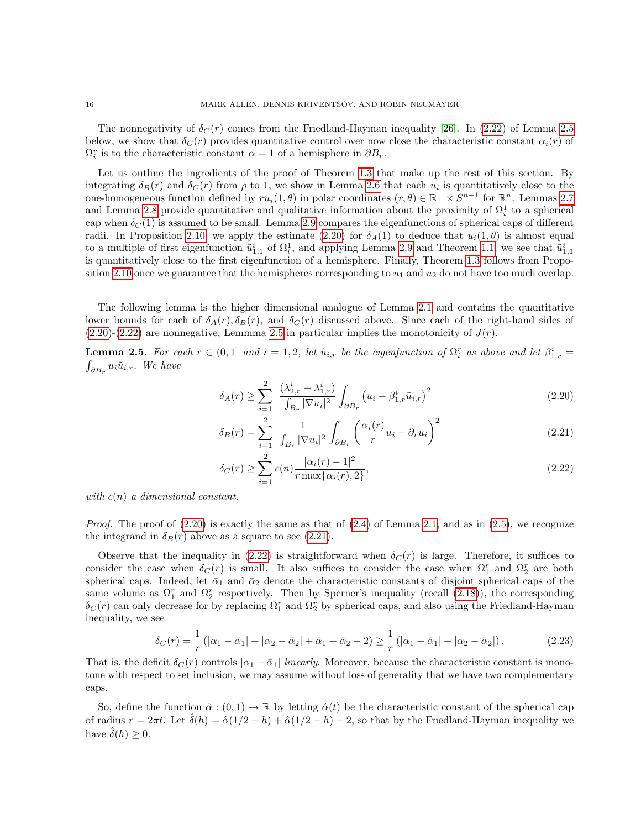The nonnegativity of  $\delta_C(r)$  comes from the Friedland-Hayman inequality [\[26\]](#page-37-22). In [\(2.22\)](#page-15-3) of Lemma [2.5](#page-15-0) below, we show that  $\delta_C(r)$  provides quantitative control over now close the characteristic constant  $\alpha_i(r)$  of  $\Omega_i^r$  is to the characteristic constant  $\alpha = 1$  of a hemisphere in  $\partial B_r$ .

Let us outline the ingredients of the proof of Theorem [1.3](#page-3-0) that make up the rest of this section. By integrating  $\delta_B(r)$  and  $\delta_C(r)$  from  $\rho$  to 1, we show in Lemma [2.6](#page-16-0) that each  $u_i$  is quantitatively close to the one-homogeneous function defined by  $ru_i(1,\theta)$  in polar coordinates  $(r,\theta) \in \mathbb{R}_+ \times S^{n-1}$  for  $\mathbb{R}^n$ . Lemmas [2.7](#page-16-1) and Lemma [2.8](#page-16-2) provide quantitative and qualitative information about the proximity of  $\Omega_i^1$  to a spherical cap when  $\delta_C(1)$  is assumed to be small. Lemma [2.9](#page-17-0) compares the eigenfunctions of spherical caps of different radii. In Proposition [2.10,](#page-18-0) we apply the estimate [\(2.20\)](#page-15-1) for  $\delta_A(1)$  to deduce that  $u_i(1,\theta)$  is almost equal to a multiple of first eigenfunction  $\tilde{u}_{1,1}^i$  of  $\Omega_i^1$ , and applying Lemma [2.9](#page-17-0) and Theorem [1.1,](#page-1-2) we see that  $\tilde{u}_{1,1}^i$ is quantitatively close to the first eigenfunction of a hemisphere. Finally, Theorem [1.3](#page-3-0) follows from Propo-sition [2.10](#page-18-0) once we guarantee that the hemispheres corresponding to  $u_1$  and  $u_2$  do not have too much overlap.

The following lemma is the higher dimensional analogue of Lemma [2.1](#page-8-0) and contains the quantitative lower bounds for each of  $\delta_A(r), \delta_B(r)$ , and  $\delta_C(r)$  discussed above. Since each of the right-hand sides of  $(2.20)-(2.22)$  $(2.20)-(2.22)$  $(2.20)-(2.22)$  are nonnegative, Lemmma [2.5](#page-15-0) in particular implies the monotonicity of  $J(r)$ .

<span id="page-15-0"></span>**Lemma 2.5.** For each  $r \in (0,1]$  and  $i = 1,2$ , let  $\tilde{u}_{i,r}$  be the eigenfunction of  $\Omega_i^r$  as above and let  $\beta_{1,r}^i =$  $\int_{\partial B_r} u_i \tilde{u}_{i,r}$ . We have

$$
\delta_A(r) \ge \sum_{i=1}^2 \frac{(\lambda_{2,r}^i - \lambda_{1,r}^i)}{\int_{B_r} |\nabla u_i|^2} \int_{\partial B_r} \left( u_i - \beta_{1,r}^i \tilde{u}_{i,r} \right)^2 \tag{2.20}
$$

<span id="page-15-2"></span><span id="page-15-1"></span>
$$
\delta_B(r) = \sum_{i=1}^2 \frac{1}{\int_{B_r} |\nabla u_i|^2} \int_{\partial B_r} \left( \frac{\alpha_i(r)}{r} u_i - \partial_r u_i \right)^2 \tag{2.21}
$$

<span id="page-15-3"></span>
$$
\delta_C(r) \ge \sum_{i=1}^2 c(n) \frac{|\alpha_i(r) - 1|^2}{r \max\{\alpha_i(r), 2\}},\tag{2.22}
$$

with  $c(n)$  a dimensional constant.

*Proof.* The proof of  $(2.20)$  is exactly the same as that of  $(2.4)$  of Lemma [2.1,](#page-8-0) and as in  $(2.5)$ , we recognize the integrand in  $\delta_B(r)$  above as a square to see [\(2.21\)](#page-15-2).

Observe that the inequality in [\(2.22\)](#page-15-3) is straightforward when  $\delta_C(r)$  is large. Therefore, it suffices to consider the case when  $\delta_C(r)$  is small. It also suffices to consider the case when  $\Omega_1^r$  and  $\Omega_2^r$  are both spherical caps. Indeed, let  $\bar{\alpha}_1$  and  $\bar{\alpha}_2$  denote the characteristic constants of disjoint spherical caps of the same volume as  $\Omega_1^r$  and  $\Omega_2^r$  respectively. Then by Sperner's inequality (recall [\(2.18\)](#page-14-0)), the corresponding  $\delta_C(r)$  can only decrease for by replacing  $\Omega_1^r$  and  $\Omega_2^r$  by spherical caps, and also using the Friedland-Hayman inequality, we see

<span id="page-15-4"></span>
$$
\delta_C(r) = \frac{1}{r} \left( |\alpha_1 - \bar{\alpha}_1| + |\alpha_2 - \bar{\alpha}_2| + \bar{\alpha}_1 + \bar{\alpha}_2 - 2 \right) \ge \frac{1}{r} \left( |\alpha_1 - \bar{\alpha}_1| + |\alpha_2 - \bar{\alpha}_2| \right). \tag{2.23}
$$

That is, the deficit  $\delta_C(r)$  controls  $|\alpha_1 - \bar{\alpha}_1|$  linearly. Moreover, because the characteristic constant is monotone with respect to set inclusion, we may assume without loss of generality that we have two complementary caps.

So, define the function  $\hat{\alpha} : (0,1) \to \mathbb{R}$  by letting  $\hat{\alpha}(t)$  be the characteristic constant of the spherical cap of radius  $r = 2\pi t$ . Let  $\hat{\delta}(h) = \hat{\alpha}(1/2 + h) + \hat{\alpha}(1/2 - h) - 2$ , so that by the Friedland-Hayman inequality we have  $\hat{\delta}(h) \geq 0$ .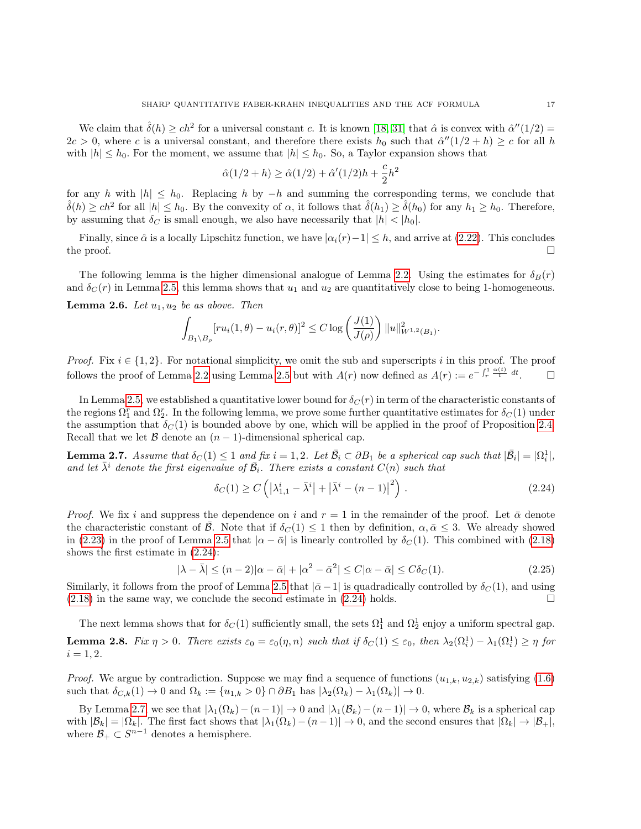We claim that  $\hat{\delta}(h) \ge ch^2$  for a universal constant c. It is known [\[18,](#page-37-21) [31\]](#page-38-11) that  $\hat{\alpha}$  is convex with  $\hat{\alpha}''(1/2)$  =  $2c > 0$ , where c is a universal constant, and therefore there exists  $h_0$  such that  $\hat{\alpha}''(1/2 + h) \geq c$  for all h with  $|h| \leq h_0$ . For the moment, we assume that  $|h| \leq h_0$ . So, a Taylor expansion shows that

$$
\hat{\alpha}(1/2 + h) \ge \hat{\alpha}(1/2) + \hat{\alpha}'(1/2)h + \frac{c}{2}h^2
$$

for any h with  $|h| \leq h_0$ . Replacing h by  $-h$  and summing the corresponding terms, we conclude that  $\hat{\delta}(h) \ge ch^2$  for all  $|h| \le h_0$ . By the convexity of  $\alpha$ , it follows that  $\hat{\delta}(h_1) \ge \hat{\delta}(h_0)$  for any  $h_1 \ge h_0$ . Therefore, by assuming that  $\delta_C$  is small enough, we also have necessarily that  $|h| < |h_0|$ .

Finally, since  $\hat{\alpha}$  is a locally Lipschitz function, we have  $|\alpha_i(r)-1| \leq h$ , and arrive at [\(2.22\)](#page-15-3). This concludes the proof.  $\Box$ 

The following lemma is the higher dimensional analogue of Lemma [2.2.](#page-9-0) Using the estimates for  $\delta_B(r)$ and  $\delta_C(r)$  in Lemma [2.5,](#page-15-0) this lemma shows that  $u_1$  and  $u_2$  are quantitatively close to being 1-homogeneous.

<span id="page-16-0"></span>**Lemma 2.6.** Let  $u_1, u_2$  be as above. Then

$$
\int_{B_1 \setminus B_{\rho}} [r u_i(1, \theta) - u_i(r, \theta)]^2 \le C \log \left( \frac{J(1)}{J(\rho)} \right) ||u||_{W^{1,2}(B_1)}^2
$$

*Proof.* Fix  $i \in \{1, 2\}$ . For notational simplicity, we omit the sub and superscripts i in this proof. The proof follows the proof of Lemma [2.2](#page-9-0) using Lemma [2.5](#page-15-0) but with  $A(r)$  now defined as  $A(r) := e^{-\int_r^1 \frac{\alpha(t)}{t} dt}$  $\Box$ 

In Lemma [2.5,](#page-15-0) we established a quantitative lower bound for  $\delta_C(r)$  in term of the characteristic constants of the regions  $\Omega_1^r$  and  $\Omega_2^r$ . In the following lemma, we prove some further quantitative estimates for  $\delta_C(1)$  under the assumption that  $\delta_C(1)$  is bounded above by one, which will be applied in the proof of Proposition [2.4.](#page-12-0) Recall that we let B denote an  $(n-1)$ -dimensional spherical cap.

<span id="page-16-1"></span>**Lemma 2.7.** Assume that  $\delta_C(1) \leq 1$  and fix  $i = 1, 2$ . Let  $\overline{\mathcal{B}}_i \subset \partial B_1$  be a spherical cap such that  $|\overline{\mathcal{B}}_i| = |\Omega_i^1|$ , and let  $\bar{\lambda}^i$  denote the first eigenvalue of  $\bar{\mathcal{B}}_i$ . There exists a constant  $C(n)$  such that

$$
\delta_C(1) \ge C\left(|\lambda_{1,1}^i - \bar{\lambda}^i| + |\bar{\lambda}^i - (n-1)|^2\right). \tag{2.24}
$$

<span id="page-16-3"></span>.

*Proof.* We fix i and suppress the dependence on i and  $r = 1$  in the remainder of the proof. Let  $\bar{\alpha}$  denote the characteristic constant of B. Note that if  $\delta_C(1) \leq 1$  then by definition,  $\alpha, \bar{\alpha} \leq 3$ . We already showed in [\(2.23\)](#page-15-4) in the proof of Lemma [2.5](#page-15-0) that  $|\alpha - \bar{\alpha}|$  is linearly controlled by  $\delta_C(1)$ . This combined with [\(2.18\)](#page-14-0) shows the first estimate in [\(2.24\)](#page-16-3):

$$
|\lambda - \bar{\lambda}| \le (n-2)|\alpha - \bar{\alpha}| + |\alpha^2 - \bar{\alpha}^2| \le C|\alpha - \bar{\alpha}| \le C\delta_C(1). \tag{2.25}
$$

Similarly, it follows from the proof of Lemma [2.5](#page-15-0) that  $|\bar{\alpha} - 1|$  is quadradically controlled by  $\delta_C(1)$ , and using  $(2.18)$  in the same way, we conclude the second estimate in  $(2.24)$  holds.

<span id="page-16-2"></span>The next lemma shows that for  $\delta_C(1)$  sufficiently small, the sets  $\Omega_1^1$  and  $\Omega_2^1$  enjoy a uniform spectral gap. **Lemma 2.8.** Fix  $\eta > 0$ . There exists  $\varepsilon_0 = \varepsilon_0(\eta, n)$  such that if  $\delta_C(1) \leq \varepsilon_0$ , then  $\lambda_2(\Omega_i^1) - \lambda_1(\Omega_i^1) \geq \eta$  for  $i = 1, 2.$ 

*Proof.* We argue by contradiction. Suppose we may find a sequence of functions  $(u_{1,k}, u_{2,k})$  satisfying  $(1.6)$ such that  $\delta_{C,k}(1) \to 0$  and  $\Omega_k := \{u_{1,k} > 0\} \cap \partial B_1$  has  $|\lambda_2(\Omega_k) - \lambda_1(\Omega_k)| \to 0$ .

By Lemma [2.7,](#page-16-1) we see that  $|\lambda_1(\Omega_k)-(n-1)| \to 0$  and  $|\lambda_1(\mathcal{B}_k)-(n-1)| \to 0$ , where  $\mathcal{B}_k$  is a spherical cap with  $|\mathcal{B}_k| = |\Omega_k|$ . The first fact shows that  $|\lambda_1(\Omega_k) - (n-1)| \to 0$ , and the second ensures that  $|\Omega_k| \to |\mathcal{B}_+|$ , where  $\mathcal{B}_+ \subset S^{n-1}$  denotes a hemisphere.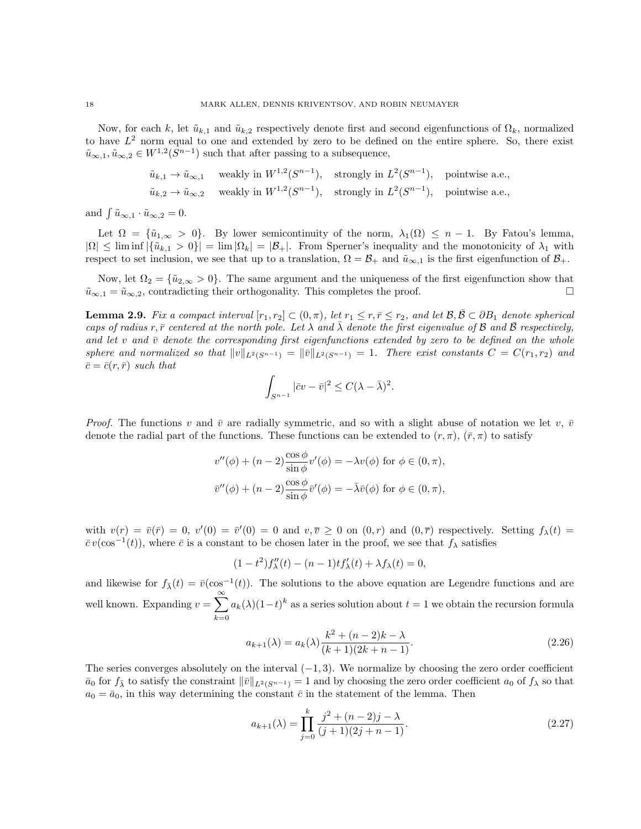Now, for each k, let  $\tilde{u}_{k,1}$  and  $\tilde{u}_{k,2}$  respectively denote first and second eigenfunctions of  $\Omega_k$ , normalized to have  $L^2$  norm equal to one and extended by zero to be defined on the entire sphere. So, there exist  $\tilde{u}_{\infty,1}, \tilde{u}_{\infty,2} \in W^{1,2}(S^{n-1})$  such that after passing to a subsequence,

$$
\tilde{u}_{k,1} \to \tilde{u}_{\infty,1} \quad \text{ weakly in } W^{1,2}(S^{n-1}), \quad \text{strongly in } L^2(S^{n-1}), \quad \text{pointwise a.e.,}
$$
\n
$$
\tilde{u}_{k,2} \to \tilde{u}_{\infty,2} \quad \text{ weakly in } W^{1,2}(S^{n-1}), \quad \text{strongly in } L^2(S^{n-1}), \quad \text{pointwise a.e.,}
$$

and  $\int \tilde{u}_{\infty,1} \cdot \tilde{u}_{\infty,2} = 0.$ 

Let  $\Omega = \{\tilde{u}_{1,\infty} > 0\}$ . By lower semicontinuity of the norm,  $\lambda_1(\Omega) \leq n-1$ . By Fatou's lemma,  $|\Omega| \leq \liminf |\{\tilde{u}_{k,1} > 0\}| = \lim |\Omega_k| = |\mathcal{B}_+|$ . From Sperner's inequality and the monotonicity of  $\lambda_1$  with respect to set inclusion, we see that up to a translation,  $\Omega = \mathcal{B}_+$  and  $\tilde{u}_{\infty,1}$  is the first eigenfunction of  $\mathcal{B}_+$ .

Now, let  $\Omega_2 = {\tilde{u}_{2,\infty} > 0}$ . The same argument and the uniqueness of the first eigenfunction show that  $\tilde{u}_{\infty,1} = \tilde{u}_{\infty,2}$ , contradicting their orthogonality. This completes the proof.

<span id="page-17-0"></span>**Lemma 2.9.** Fix a compact interval  $[r_1, r_2] \subset (0, \pi)$ , let  $r_1 \leq r, \overline{r} \leq r_2$ , and let  $\mathcal{B}, \mathcal{B} \subset \partial B_1$  denote spherical caps of radius r,  $\bar{r}$  centered at the north pole. Let  $\lambda$  and  $\lambda$  denote the first eigenvalue of B and B respectively, and let v and  $\bar{v}$  denote the corresponding first eigenfunctions extended by zero to be defined on the whole sphere and normalized so that  $||v||_{L^2(S^{n-1})} = ||\overline{v}||_{L^2(S^{n-1})} = 1$ . There exist constants  $C = C(r_1, r_2)$  and  $\bar{c} = \bar{c}(r, \bar{r})$  such that

$$
\int_{S^{n-1}} |\bar{c}v - \bar{v}|^2 \le C(\lambda - \bar{\lambda})^2.
$$

*Proof.* The functions v and  $\bar{v}$  are radially symmetric, and so with a slight abuse of notation we let v,  $\bar{v}$ denote the radial part of the functions. These functions can be extended to  $(r, \pi)$ ,  $(\bar{r}, \pi)$  to satisfy

$$
v''(\phi) + (n-2)\frac{\cos\phi}{\sin\phi}v'(\phi) = -\lambda v(\phi) \text{ for } \phi \in (0, \pi),
$$
  

$$
\bar{v}''(\phi) + (n-2)\frac{\cos\phi}{\sin\phi}\bar{v}'(\phi) = -\bar{\lambda}\bar{v}(\phi) \text{ for } \phi \in (0, \pi),
$$

with  $v(r) = \bar{v}(\bar{r}) = 0$ ,  $v'(0) = \bar{v}'(0) = 0$  and  $v, \bar{v} \ge 0$  on  $(0, r)$  and  $(0, \bar{r})$  respectively. Setting  $f_{\lambda}(t) =$  $\bar{c}v(\cos^{-1}(t))$ , where  $\bar{c}$  is a constant to be chosen later in the proof, we see that  $f_{\lambda}$  satisfies

$$
(1 - t^2) f''_{\lambda}(t) - (n - 1) t f'_{\lambda}(t) + \lambda f_{\lambda}(t) = 0,
$$

and likewise for  $f_{\bar{\lambda}}(t) = \bar{v}(\cos^{-1}(t))$ . The solutions to the above equation are Legendre functions and are well known. Expanding  $v = \sum_{n=0}^{\infty}$  $_{k=0}$  $a_k(\lambda)(1-t)^k$  as a series solution about  $t=1$  we obtain the recursion formula

<span id="page-17-1"></span>
$$
a_{k+1}(\lambda) = a_k(\lambda) \frac{k^2 + (n-2)k - \lambda}{(k+1)(2k+n-1)}.
$$
\n(2.26)

The series converges absolutely on the interval  $(-1, 3)$ . We normalize by choosing the zero order coefficient  $\bar{a}_0$  for  $f_{\lambda}$  to satisfy the constraint  $\|\bar{v}\|_{L^2(S^{n-1})} = 1$  and by choosing the zero order coefficient  $a_0$  of  $f_{\lambda}$  so that  $a_0 = \bar{a}_0$ , in this way determining the constant  $\bar{c}$  in the statement of the lemma. Then

$$
a_{k+1}(\lambda) = \prod_{j=0}^{k} \frac{j^2 + (n-2)j - \lambda}{(j+1)(2j+n-1)}.
$$
\n(2.27)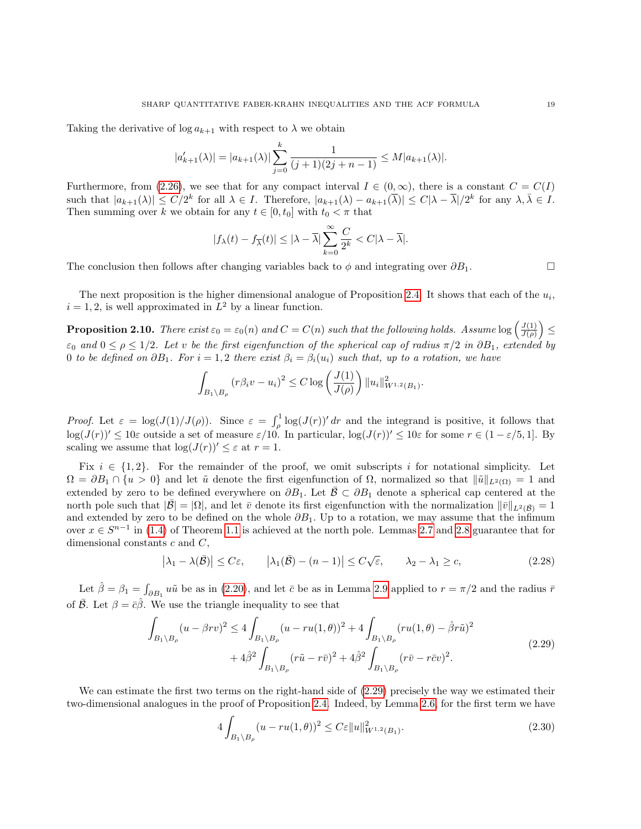Taking the derivative of  $\log a_{k+1}$  with respect to  $\lambda$  we obtain

$$
|a'_{k+1}(\lambda)| = |a_{k+1}(\lambda)| \sum_{j=0}^{k} \frac{1}{(j+1)(2j+n-1)} \le M|a_{k+1}(\lambda)|.
$$

Furthermore, from [\(2.26\)](#page-17-1), we see that for any compact interval  $I \in (0, \infty)$ , there is a constant  $C = C(I)$ such that  $|a_{k+1}(\lambda)| \leq C/2^k$  for all  $\lambda \in I$ . Therefore,  $|a_{k+1}(\lambda) - a_{k+1}(\overline{\lambda})| \leq C|\lambda - \overline{\lambda}|/2^k$  for any  $\lambda, \overline{\lambda} \in I$ . Then summing over k we obtain for any  $t \in [0, t_0]$  with  $t_0 < \pi$  that

$$
|f_{\lambda}(t)-f_{\overline{\lambda}}(t)|\leq |\lambda-\overline{\lambda}| \sum_{k=0}^{\infty}\frac{C}{2^{k}} < C|\lambda-\overline{\lambda}|.
$$

The conclusion then follows after changing variables back to  $\phi$  and integrating over  $\partial B_1$ .

The next proposition is the higher dimensional analogue of Proposition [2.4.](#page-12-0) It shows that each of the  $u_i$ ,  $i = 1, 2$ , is well approximated in  $L^2$  by a linear function.

<span id="page-18-0"></span>**Proposition 2.10.** There exist  $\varepsilon_0 = \varepsilon_0(n)$  and  $C = C(n)$  such that the following holds. Assume  $\log \left( \frac{J(1)}{J(\rho)} \right)$  $\frac{J(1)}{J(\rho)}\Big)\leq$  $\varepsilon_0$  and  $0 \le \rho \le 1/2$ . Let v be the first eigenfunction of the spherical cap of radius  $\pi/2$  in  $\partial B_1$ , extended by 0 to be defined on  $\partial B_1$ . For  $i = 1, 2$  there exist  $\beta_i = \beta_i(u_i)$  such that, up to a rotation, we have

$$
\int_{B_1 \setminus B_{\rho}} (r \beta_i v - u_i)^2 \le C \log \left( \frac{J(1)}{J(\rho)} \right) \|u_i\|_{W^{1,2}(B_1)}^2.
$$

Proof. Let  $\varepsilon = \log(J(1)/J(\rho))$ . Since  $\varepsilon = \int_{\rho}^{1} \log(J(r))' dr$  and the integrand is positive, it follows that  $\log(J(r))' \leq 10\varepsilon$  outside a set of measure  $\varepsilon/10$ . In particular,  $\log(J(r))' \leq 10\varepsilon$  for some  $r \in (1-\varepsilon/5, 1]$ . By scaling we assume that  $\log(J(r))' \leq \varepsilon$  at  $r = 1$ .

Fix  $i \in \{1,2\}$ . For the remainder of the proof, we omit subscripts i for notational simplicity. Let  $\Omega = \partial B_1 \cap \{u > 0\}$  and let  $\tilde{u}$  denote the first eigenfunction of  $\Omega$ , normalized so that  $\|\tilde{u}\|_{L^2(\Omega)} = 1$  and extended by zero to be defined everywhere on  $\partial B_1$ . Let  $\overline{B} \subset \partial B_1$  denote a spherical cap centered at the north pole such that  $|\bar{\mathcal{B}}| = |\Omega|$ , and let  $\bar{v}$  denote its first eigenfunction with the normalization  $\|\bar{v}\|_{L^2(\bar{\mathcal{B}})} = 1$ and extended by zero to be defined on the whole  $\partial B_1$ . Up to a rotation, we may assume that the infimum over  $x \in S^{n-1}$  in [\(1.4\)](#page-1-0) of Theorem [1.1](#page-1-2) is achieved at the north pole. Lemmas [2.7](#page-16-1) and [2.8](#page-16-2) guarantee that for dimensional constants  $c$  and  $C$ ,

<span id="page-18-2"></span>
$$
\left|\lambda_1 - \lambda(\bar{\mathcal{B}})\right| \le C\varepsilon, \qquad \left|\lambda_1(\bar{\mathcal{B}}) - (n-1)\right| \le C\sqrt{\varepsilon}, \qquad \lambda_2 - \lambda_1 \ge c,
$$
\n(2.28)

Let  $\hat{\beta} = \beta_1 = \int_{\partial B_1} u\tilde{u}$  be as in [\(2.20\)](#page-15-1), and let  $\bar{c}$  be as in Lemma [2.9](#page-17-0) applied to  $r = \pi/2$  and the radius  $\bar{r}$ of  $\overline{B}$ . Let  $\beta = \overline{c}\hat{\beta}$ . We use the triangle inequality to see that

$$
\int_{B_1 \setminus B_\rho} (u - \beta rv)^2 \le 4 \int_{B_1 \setminus B_\rho} (u - ru(1, \theta))^2 + 4 \int_{B_1 \setminus B_\rho} (ru(1, \theta) - \hat{\beta} r \tilde{u})^2 \n+ 4 \hat{\beta}^2 \int_{B_1 \setminus B_\rho} (r \tilde{u} - r \bar{v})^2 + 4 \hat{\beta}^2 \int_{B_1 \setminus B_\rho} (r \bar{v} - r \bar{c} v)^2.
$$
\n(2.29)

<span id="page-18-1"></span>We can estimate the first two terms on the right-hand side of [\(2.29\)](#page-18-1) precisely the way we estimated their two-dimensional analogues in the proof of Proposition [2.4.](#page-12-0) Indeed, by Lemma [2.6,](#page-16-0) for the first term we have

<span id="page-18-3"></span>
$$
4\int_{B_1 \setminus B_\rho} (u - ru(1, \theta))^2 \le C\varepsilon \|u\|_{W^{1,2}(B_1)}^2.
$$
\n(2.30)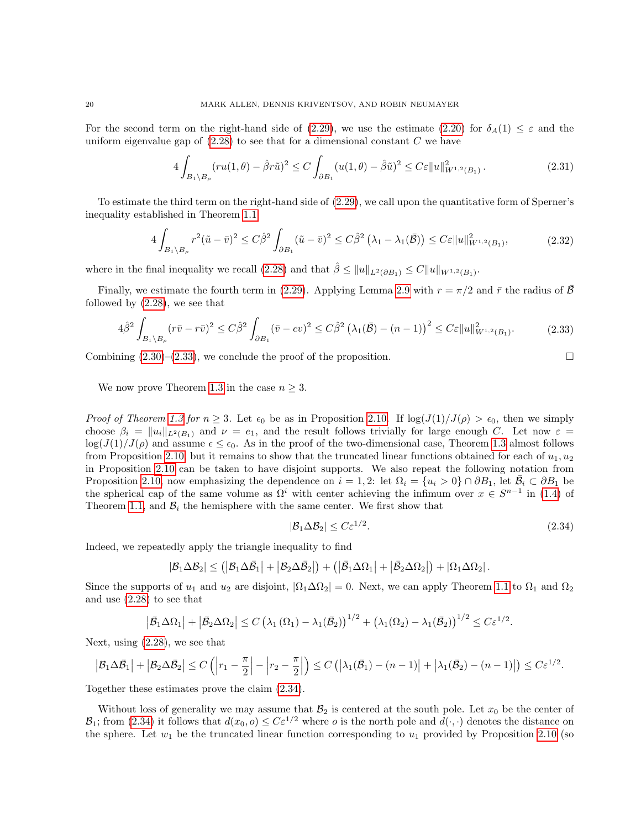For the second term on the right-hand side of [\(2.29\)](#page-18-1), we use the estimate [\(2.20\)](#page-15-1) for  $\delta_A(1) \leq \varepsilon$  and the uniform eigenvalue gap of  $(2.28)$  to see that for a dimensional constant C we have

$$
4\int_{B_1\setminus B_\rho} (ru(1,\theta) - \hat{\beta}r\tilde{u})^2 \le C\int_{\partial B_1} (u(1,\theta) - \hat{\beta}\tilde{u})^2 \le C\epsilon \|u\|_{W^{1,2}(B_1)}^2.
$$
 (2.31)

To estimate the third term on the right-hand side of [\(2.29\)](#page-18-1), we call upon the quantitative form of Sperner's inequality established in Theorem [1.1:](#page-1-2)

$$
4\int_{B_1\setminus B_\rho} r^2(\tilde{u}-\bar{v})^2 \le C\hat{\beta}^2 \int_{\partial B_1} (\tilde{u}-\bar{v})^2 \le C\hat{\beta}^2 (\lambda_1-\lambda_1(\bar{B})) \le C\epsilon \|u\|_{W^{1,2}(B_1)}^2,
$$
\n(2.32)

where in the final inequality we recall  $(2.28)$  and that  $\hat{\beta} \leq ||u||_{L^2(\partial B_1)} \leq C||u||_{W^{1,2}(B_1)}$ .

Finally, we estimate the fourth term in [\(2.29\)](#page-18-1). Applying Lemma [2.9](#page-17-0) with  $r = \pi/2$  and  $\bar{r}$  the radius of  $\bar{\beta}$ followed by [\(2.28\)](#page-18-2), we see that

$$
4\hat{\beta}^2 \int_{B_1 \setminus B_\rho} (r\bar{v} - r\bar{v})^2 \le C\hat{\beta}^2 \int_{\partial B_1} (\bar{v} - cv)^2 \le C\hat{\beta}^2 \left(\lambda_1(\bar{B}) - (n-1)\right)^2 \le C\varepsilon \|u\|_{W^{1,2}(B_1)}^2.
$$
 (2.33)

<span id="page-19-0"></span>Combining  $(2.30)$ – $(2.33)$ , we conclude the proof of the proposition.

We now prove Theorem [1.3](#page-3-0) in the case  $n \geq 3$ .

*Proof of Theorem [1.3](#page-3-0) for n*  $\geq$  3. Let  $\epsilon_0$  be as in Proposition [2.10.](#page-18-0) If  $\log(J(1)/J(\rho) > \epsilon_0$ , then we simply choose  $\beta_i = ||u_i||_{L^2(B_1)}$  and  $\nu = e_1$ , and the result follows trivially for large enough C. Let now  $\varepsilon =$  $\log(J(1)/J(\rho))$  and assume  $\epsilon \leq \epsilon_0$ . As in the proof of the two-dimensional case, Theorem [1.3](#page-3-0) almost follows from Proposition [2.10,](#page-18-0) but it remains to show that the truncated linear functions obtained for each of  $u_1, u_2$ in Proposition [2.10](#page-18-0) can be taken to have disjoint supports. We also repeat the following notation from Proposition [2.10,](#page-18-0) now emphasizing the dependence on  $i = 1, 2$ : let  $\Omega_i = \{u_i > 0\} \cap \partial B_1$ , let  $\overline{B}_i \subset \partial B_1$  be the spherical cap of the same volume as  $\Omega^i$  with center achieving the infimum over  $x \in S^{n-1}$  in [\(1.4\)](#page-1-0) of Theorem [1.1,](#page-1-2) and  $\mathcal{B}_i$  the hemisphere with the same center. We first show that

<span id="page-19-1"></span>
$$
|\mathcal{B}_1 \Delta \mathcal{B}_2| \le C \varepsilon^{1/2}.
$$
\n(2.34)

Indeed, we repeatedly apply the triangle inequality to find

$$
|\mathcal{B}_1 \Delta \mathcal{B}_2| \leq (|\mathcal{B}_1 \Delta \bar{\mathcal{B}}_1| + |\mathcal{B}_2 \Delta \bar{\mathcal{B}}_2|) + (|\bar{\mathcal{B}}_1 \Delta \Omega_1| + |\bar{\mathcal{B}}_2 \Delta \Omega_2|) + |\Omega_1 \Delta \Omega_2|.
$$

Since the supports of  $u_1$  and  $u_2$  are disjoint,  $|\Omega_1 \Delta \Omega_2| = 0$ . Next, we can apply Theorem [1.1](#page-1-2) to  $\Omega_1$  and  $\Omega_2$ and use [\(2.28\)](#page-18-2) to see that

$$
\left|\bar{\mathcal{B}}_1\Delta\Omega_1\right|+\left|\bar{\mathcal{B}}_2\Delta\Omega_2\right|\leq C\left(\lambda_1\left(\Omega_1\right)-\lambda_1\left(\bar{\mathcal{B}}_2\right)\right)^{1/2}+\left(\lambda_1\left(\Omega_2\right)-\lambda_1\left(\bar{\mathcal{B}}_2\right)\right)^{1/2}\leq C\epsilon^{1/2}.
$$

Next, using [\(2.28\)](#page-18-2), we see that

$$
\left|\mathcal{B}_1\Delta\bar{\mathcal{B}}_1\right|+\left|\mathcal{B}_2\Delta\bar{\mathcal{B}}_2\right|\leq C\left(\left|r_1-\frac{\pi}{2}\right|-\left|r_2-\frac{\pi}{2}\right|\right)\leq C\left(\left|\lambda_1(\bar{\mathcal{B}}_1)-(n-1)\right|+\left|\lambda_1(\bar{\mathcal{B}}_2)-(n-1)\right|\right)\leq C\epsilon^{1/2}.
$$

Together these estimates prove the claim [\(2.34\)](#page-19-1).

Without loss of generality we may assume that  $\mathcal{B}_2$  is centered at the south pole. Let  $x_0$  be the center of  $\mathcal{B}_1$ ; from [\(2.34\)](#page-19-1) it follows that  $d(x_0, o) \leq C \varepsilon^{1/2}$  where *o* is the north pole and  $d(\cdot, \cdot)$  denotes the distance on the sphere. Let  $w_1$  be the truncated linear function corresponding to  $u_1$  provided by Proposition [2.10](#page-18-0) (so

$$
\Box
$$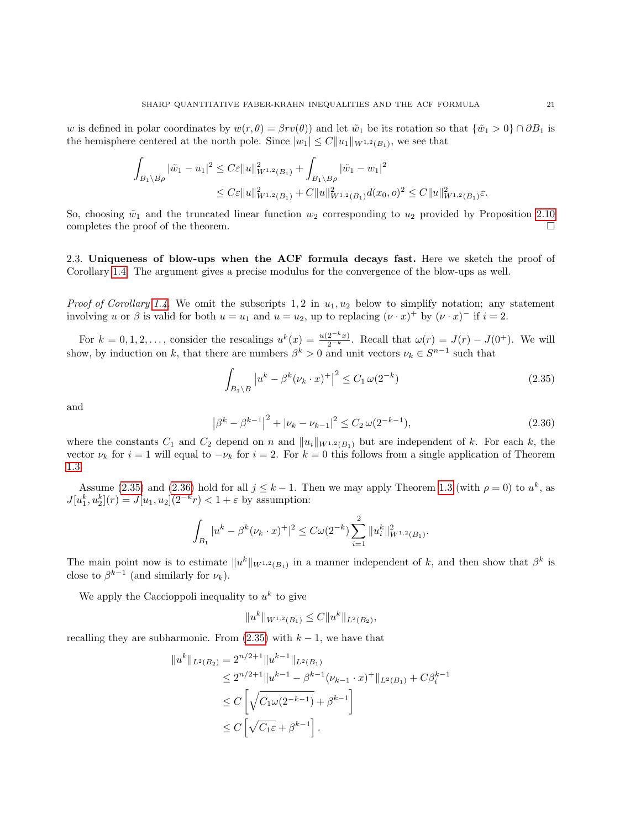w is defined in polar coordinates by  $w(r, \theta) = \beta r v(\theta)$  and let  $\tilde{w}_1$  be its rotation so that  $\{\tilde{w}_1 > 0\} \cap \partial B_1$  is the hemisphere centered at the north pole. Since  $|w_1| \leq C ||u_1||_{W^{1,2}(B_1)}$ , we see that

$$
\int_{B_1 \setminus B\rho} |\tilde{w}_1 - u_1|^2 \le C\varepsilon \|u\|_{W^{1,2}(B_1)}^2 + \int_{B_1 \setminus B\rho} |\tilde{w}_1 - w_1|^2
$$
\n
$$
\le C\varepsilon \|u\|_{W^{1,2}(B_1)}^2 + C \|u\|_{W^{1,2}(B_1)}^2 d(x_0, o)^2 \le C \|u\|_{W^{1,2}(B_1)}^2 \varepsilon.
$$

So, choosing  $\tilde{w}_1$  and the truncated linear function  $w_2$  corresponding to  $u_2$  provided by Proposition [2.10](#page-18-0) completes the proof of the theorem.  $\Box$ 

<span id="page-20-0"></span>2.3. Uniqueness of blow-ups when the ACF formula decays fast. Here we sketch the proof of Corollary [1.4.](#page-4-1) The argument gives a precise modulus for the convergence of the blow-ups as well.

*Proof of Corollary [1.4.](#page-4-1)* We omit the subscripts 1, 2 in  $u_1, u_2$  below to simplify notation; any statement involving u or  $\beta$  is valid for both  $u = u_1$  and  $u = u_2$ , up to replacing  $(\nu \cdot x)^+$  by  $(\nu \cdot x)^-$  if  $i = 2$ .

For  $k = 0, 1, 2, \ldots$ , consider the rescalings  $u^k(x) = \frac{u(2^{-k}x)}{2^{-k}}$ . Recall that  $\omega(r) = J(r) - J(0^+)$ . We will show, by induction on k, that there are numbers  $\beta^k > 0$  and unit vectors  $\nu_k \in S^{n-1}$  such that

<span id="page-20-1"></span>
$$
\int_{B_1 \backslash B} \left| u^k - \beta^k (\nu_k \cdot x)^+ \right|^2 \le C_1 \, \omega(2^{-k}) \tag{2.35}
$$

and

<span id="page-20-2"></span>
$$
\left|\beta^{k} - \beta^{k-1}\right|^{2} + \left|\nu_{k} - \nu_{k-1}\right|^{2} \le C_{2} \,\omega(2^{-k-1}),\tag{2.36}
$$

where the constants  $C_1$  and  $C_2$  depend on n and  $||u_i||_{W^{1,2}(B_1)}$  but are independent of k. For each k, the vector  $\nu_k$  for  $i = 1$  will equal to  $-\nu_k$  for  $i = 2$ . For  $k = 0$  this follows from a single application of Theorem [1.3.](#page-3-0)

Assume [\(2.35\)](#page-20-1) and [\(2.36\)](#page-20-2) hold for all  $j \leq k-1$ . Then we may apply Theorem [1.3](#page-3-0) (with  $\rho = 0$ ) to  $u^k$ , as  $J[u_1^k, u_2^k](r) = J[u_1, u_2](2^{-k}r) < 1 + \varepsilon$  by assumption:

$$
\int_{B_1} |u^k - \beta^k (\nu_k \cdot x)^+|^2 \leq C \omega(2^{-k}) \sum_{i=1}^2 \|u_i^k\|_{W^{1,2}(B_1)}^2.
$$

The main point now is to estimate  $||u^k||_{W^{1,2}(B_1)}$  in a manner independent of k, and then show that  $\beta^k$  is close to  $\beta^{k-1}$  (and similarly for  $\nu_k$ ).

We apply the Caccioppoli inequality to  $u^k$  to give

$$
||u^k||_{W^{1,2}(B_1)} \leq C||u^k||_{L^2(B_2)},
$$

recalling they are subharmonic. From  $(2.35)$  with  $k-1$ , we have that

$$
||u^k||_{L^2(B_2)} = 2^{n/2+1}||u^{k-1}||_{L^2(B_1)}
$$
  
\n
$$
\le 2^{n/2+1}||u^{k-1} - \beta^{k-1}(\nu_{k-1} \cdot x)^+||_{L^2(B_1)} + C\beta_i^{k-1}
$$
  
\n
$$
\le C\left[\sqrt{C_1\omega(2^{-k-1})} + \beta^{k-1}\right]
$$
  
\n
$$
\le C\left[\sqrt{C_1\varepsilon} + \beta^{k-1}\right].
$$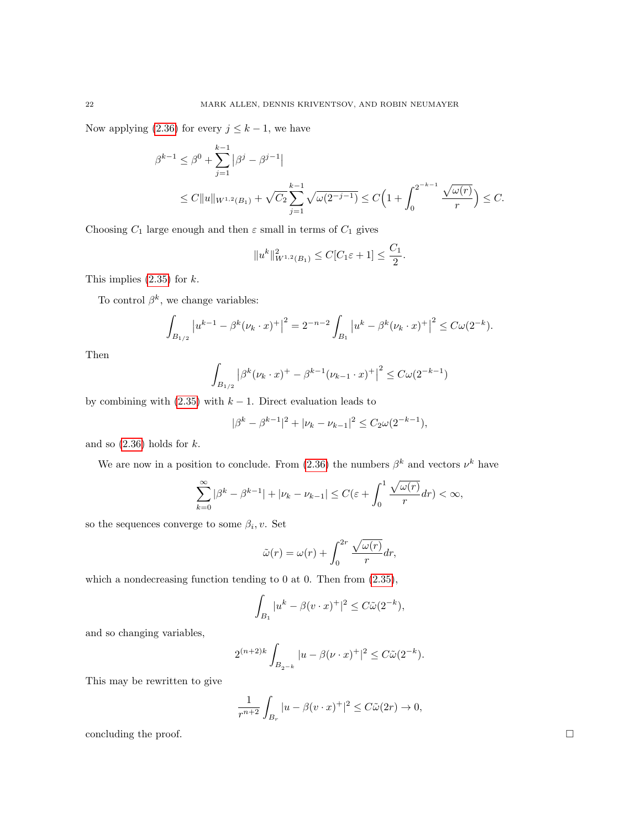Now applying [\(2.36\)](#page-20-2) for every  $j \leq k - 1$ , we have

$$
\beta^{k-1} \le \beta^0 + \sum_{j=1}^{k-1} |\beta^j - \beta^{j-1}|
$$
  
 
$$
\le C \|u\|_{W^{1,2}(B_1)} + \sqrt{C_2} \sum_{j=1}^{k-1} \sqrt{\omega(2^{-j-1})} \le C \Big( 1 + \int_0^{2^{-k-1}} \frac{\sqrt{\omega(r)}}{r} \Big) \le C.
$$

Choosing  $C_1$  large enough and then  $\varepsilon$  small in terms of  $C_1$  gives

$$
||u^k||^2_{W^{1,2}(B_1)} \leq C[C_1\varepsilon + 1] \leq \frac{C_1}{2}.
$$

This implies  $(2.35)$  for  $k$ .

To control  $\beta^k$ , we change variables:

$$
\int_{B_{1/2}} |u^{k-1} - \beta^k (\nu_k \cdot x)^+|^2 = 2^{-n-2} \int_{B_1} |u^k - \beta^k (\nu_k \cdot x)^+|^2 \leq C \omega(2^{-k}).
$$

Then

$$
\int_{B_{1/2}} |\beta^k(\nu_k \cdot x)^+ - \beta^{k-1}(\nu_{k-1} \cdot x)^+|^2 \leq C \omega(2^{-k-1})
$$

by combining with  $(2.35)$  with  $k - 1$ . Direct evaluation leads to

$$
|\beta^k - \beta^{k-1}|^2 + |\nu_k - \nu_{k-1}|^2 \le C_2 \omega(2^{-k-1}),
$$

and so  $(2.36)$  holds for  $k$ .

We are now in a position to conclude. From [\(2.36\)](#page-20-2) the numbers  $\beta^k$  and vectors  $\nu^k$  have

$$
\sum_{k=0}^{\infty} |\beta^k - \beta^{k-1}| + |\nu_k - \nu_{k-1}| \le C(\varepsilon + \int_0^1 \frac{\sqrt{\omega(r)}}{r} dr) < \infty,
$$

so the sequences converge to some  $\beta_i, v$ . Set

$$
\tilde{\omega}(r) = \omega(r) + \int_0^{2r} \frac{\sqrt{\omega(r)}}{r} dr,
$$

which a nondecreasing function tending to 0 at 0. Then from  $(2.35)$ ,

$$
\int_{B_1} |u^k - \beta (v \cdot x)^+|^2 \le C\tilde{\omega}(2^{-k}),
$$

and so changing variables,

$$
2^{(n+2)k} \int_{B_{2^{-k}}} |u - \beta(\nu \cdot x)^{+}|^{2} \leq C\tilde{\omega}(2^{-k}).
$$

This may be rewritten to give

$$
\frac{1}{r^{n+2}} \int_{B_r} |u - \beta(v \cdot x)^{+}|^2 \leq C\tilde{\omega}(2r) \to 0,
$$

concluding the proof.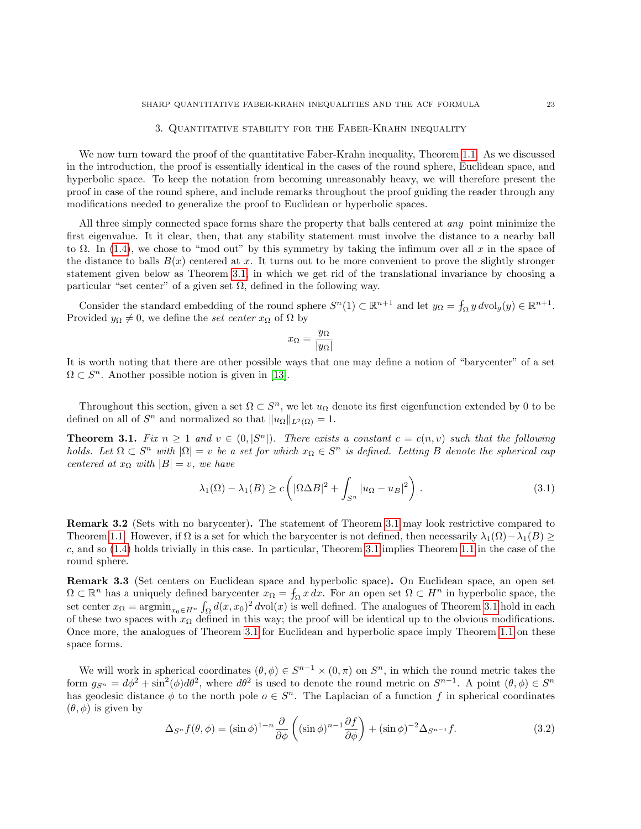### 3. Quantitative stability for the Faber-Krahn inequality

<span id="page-22-0"></span>We now turn toward the proof of the quantitative Faber-Krahn inequality, Theorem [1.1.](#page-1-2) As we discussed in the introduction, the proof is essentially identical in the cases of the round sphere, Euclidean space, and hyperbolic space. To keep the notation from becoming unreasonably heavy, we will therefore present the proof in case of the round sphere, and include remarks throughout the proof guiding the reader through any modifications needed to generalize the proof to Euclidean or hyperbolic spaces.

All three simply connected space forms share the property that balls centered at any point minimize the first eigenvalue. It it clear, then, that any stability statement must involve the distance to a nearby ball to  $\Omega$ . In [\(1.4\)](#page-1-0), we chose to "mod out" by this symmetry by taking the infimum over all x in the space of the distance to balls  $B(x)$  centered at x. It turns out to be more convenient to prove the slightly stronger statement given below as Theorem [3.1,](#page-22-1) in which we get rid of the translational invariance by choosing a particular "set center" of a given set  $\Omega$ , defined in the following way.

Consider the standard embedding of the round sphere  $S^n(1) \subset \mathbb{R}^{n+1}$  and let  $y_{\Omega} = \int_{\Omega} y \, d\text{vol}_g(y) \in \mathbb{R}^{n+1}$ . Provided  $y_{\Omega} \neq 0$ , we define the set center  $x_{\Omega}$  of  $\Omega$  by

$$
x_{\Omega} = \frac{y_{\Omega}}{|y_{\Omega}|}
$$

It is worth noting that there are other possible ways that one may define a notion of "barycenter" of a set  $\Omega \subset S^n$ . Another possible notion is given in [\[13\]](#page-37-23).

Throughout this section, given a set  $\Omega \subset S^n$ , we let  $u_{\Omega}$  denote its first eigenfunction extended by 0 to be defined on all of  $S^n$  and normalized so that  $||u_{\Omega}||_{L^2(\Omega)} = 1$ .

<span id="page-22-1"></span>**Theorem 3.1.** Fix  $n \geq 1$  and  $v \in (0, |S^n|)$ . There exists a constant  $c = c(n, v)$  such that the following holds. Let  $\Omega \subset S^n$  with  $|\Omega| = v$  be a set for which  $x_{\Omega} \in S^n$  is defined. Letting B denote the spherical cap centered at  $x_{\Omega}$  with  $|B| = v$ , we have

$$
\lambda_1(\Omega) - \lambda_1(B) \ge c \left( |\Omega \Delta B|^2 + \int_{S^n} |u_{\Omega} - u_B|^2 \right).
$$
 (3.1)

Remark 3.2 (Sets with no barycenter). The statement of Theorem [3.1](#page-22-1) may look restrictive compared to Theorem [1.1.](#page-1-2) However, if  $\Omega$  is a set for which the barycenter is not defined, then necessarily  $\lambda_1(\Omega) - \lambda_1(B) \ge$ c, and so [\(1.4\)](#page-1-0) holds trivially in this case. In particular, Theorem [3.1](#page-22-1) implies Theorem [1.1](#page-1-2) in the case of the round sphere.

Remark 3.3 (Set centers on Euclidean space and hyperbolic space). On Euclidean space, an open set  $\Omega \subset \mathbb{R}^n$  has a uniquely defined barycenter  $x_{\Omega} = \int_{\Omega} x \, dx$ . For an open set  $\Omega \subset H^n$  in hyperbolic space, the set center  $x_{\Omega} = \operatorname{argmin}_{x_{0} \in H^{n}} \int_{\Omega} d(x, x_{0})^{2} d\text{vol}(x)$  is well defined. The analogues of Theorem [3.1](#page-22-1) hold in each of these two spaces with  $x_{\Omega}$  defined in this way; the proof will be identical up to the obvious modifications. Once more, the analogues of Theorem [3.1](#page-22-1) for Euclidean and hyperbolic space imply Theorem [1.1](#page-1-2) on these space forms.

We will work in spherical coordinates  $(\theta, \phi) \in S^{n-1} \times (0, \pi)$  on  $S^n$ , in which the round metric takes the form  $g_{S^n} = d\phi^2 + \sin^2(\phi)d\theta^2$ , where  $d\theta^2$  is used to denote the round metric on  $S^{n-1}$ . A point  $(\theta, \phi) \in S^n$ has geodesic distance  $\phi$  to the north pole  $o \in S<sup>n</sup>$ . The Laplacian of a function f in spherical coordinates  $(\theta, \phi)$  is given by

<span id="page-22-2"></span>
$$
\Delta_{S^n} f(\theta, \phi) = (\sin \phi)^{1-n} \frac{\partial}{\partial \phi} \left( (\sin \phi)^{n-1} \frac{\partial f}{\partial \phi} \right) + (\sin \phi)^{-2} \Delta_{S^{n-1}} f. \tag{3.2}
$$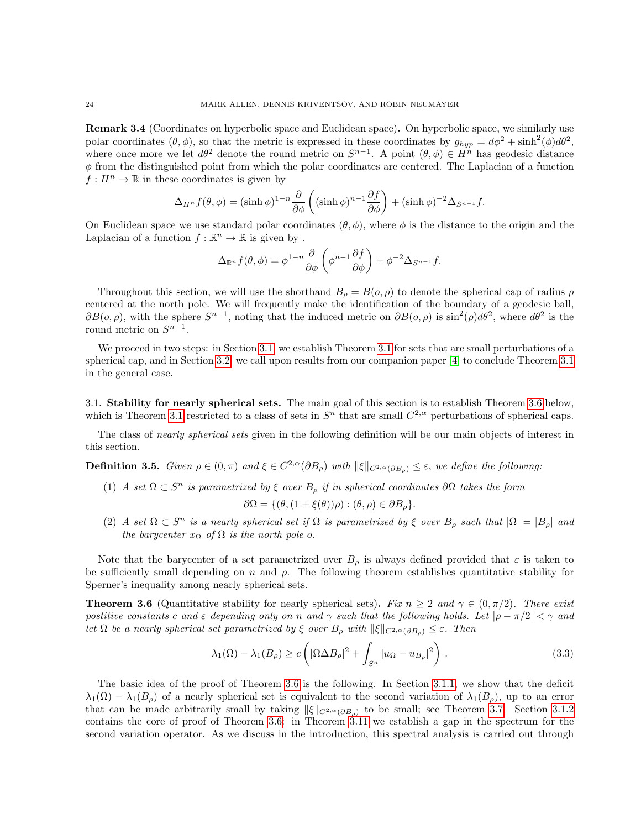Remark 3.4 (Coordinates on hyperbolic space and Euclidean space). On hyperbolic space, we similarly use polar coordinates  $(\theta, \phi)$ , so that the metric is expressed in these coordinates by  $g_{hyp} = d\phi^2 + \sinh^2(\phi)d\theta^2$ , where once more we let  $d\theta^2$  denote the round metric on  $S^{n-1}$ . A point  $(\theta, \phi) \in H^n$  has geodesic distance  $\phi$  from the distinguished point from which the polar coordinates are centered. The Laplacian of a function  $f: H^n \to \mathbb{R}$  in these coordinates is given by

$$
\Delta_{H^n} f(\theta, \phi) = (\sinh \phi)^{1-n} \frac{\partial}{\partial \phi} \left( (\sinh \phi)^{n-1} \frac{\partial f}{\partial \phi} \right) + (\sinh \phi)^{-2} \Delta_{S^{n-1}} f.
$$

On Euclidean space we use standard polar coordinates  $(\theta, \phi)$ , where  $\phi$  is the distance to the origin and the Laplacian of a function  $f : \mathbb{R}^n \to \mathbb{R}$  is given by.

$$
\Delta_{\mathbb{R}^n} f(\theta, \phi) = \phi^{1-n} \frac{\partial}{\partial \phi} \left( \phi^{n-1} \frac{\partial f}{\partial \phi} \right) + \phi^{-2} \Delta_{S^{n-1}} f.
$$

Throughout this section, we will use the shorthand  $B_{\rho} = B(o, \rho)$  to denote the spherical cap of radius  $\rho$ centered at the north pole. We will frequently make the identification of the boundary of a geodesic ball,  $\partial B(o, \rho)$ , with the sphere  $S^{n-1}$ , noting that the induced metric on  $\partial B(o, \rho)$  is  $\sin^2(\rho) d\theta^2$ , where  $d\theta^2$  is the round metric on  $S^{n-1}$ .

We proceed in two steps: in Section [3.1,](#page-23-0) we establish Theorem [3.1](#page-22-1) for sets that are small perturbations of a spherical cap, and in Section [3.2,](#page-34-0) we call upon results from our companion paper [\[4\]](#page-37-20) to conclude Theorem [3.1](#page-22-1) in the general case.

<span id="page-23-0"></span>3.1. Stability for nearly spherical sets. The main goal of this section is to establish Theorem [3.6](#page-23-1) below, which is Theorem [3.1](#page-22-1) restricted to a class of sets in  $S<sup>n</sup>$  that are small  $C<sup>2,\alpha</sup>$  perturbations of spherical caps.

The class of *nearly spherical sets* given in the following definition will be our main objects of interest in this section.

**Definition 3.5.** Given  $\rho \in (0, \pi)$  and  $\xi \in C^{2,\alpha}(\partial B_{\rho})$  with  $\|\xi\|_{C^{2,\alpha}(\partial B_{\rho})} \leq \varepsilon$ , we define the following:

(1) A set  $\Omega \subset S^n$  is parametrized by  $\xi$  over  $B_\rho$  if in spherical coordinates  $\partial \Omega$  takes the form

$$
\partial\Omega = \{(\theta, (1+\xi(\theta))\rho) : (\theta, \rho) \in \partial B_{\rho}\}.
$$

(2) A set  $\Omega \subset S^n$  is a nearly spherical set if  $\Omega$  is parametrized by  $\xi$  over  $B_\rho$  such that  $|\Omega| = |B_\rho|$  and the barycenter  $x_{\Omega}$  of  $\Omega$  is the north pole o.

Note that the barycenter of a set parametrized over  $B<sub>o</sub>$  is always defined provided that  $\varepsilon$  is taken to be sufficiently small depending on  $n$  and  $\rho$ . The following theorem establishes quantitative stability for Sperner's inequality among nearly spherical sets.

<span id="page-23-1"></span>**Theorem 3.6** (Quantitative stability for nearly spherical sets). Fix  $n \geq 2$  and  $\gamma \in (0, \pi/2)$ . There exist postitive constants c and  $\varepsilon$  depending only on n and  $\gamma$  such that the following holds. Let  $|\rho - \pi/2| < \gamma$  and let  $\Omega$  be a nearly spherical set parametrized by  $\xi$  over  $B_\rho$  with  $\|\xi\|_{C^{2,\alpha}(\partial B_\rho)} \leq \varepsilon$ . Then

$$
\lambda_1(\Omega) - \lambda_1(B_\rho) \ge c \left( |\Omega \Delta B_\rho|^2 + \int_{S^n} |u_{\Omega} - u_{B_\rho}|^2 \right).
$$
 (3.3)

The basic idea of the proof of Theorem [3.6](#page-23-1) is the following. In Section [3.1.1,](#page-24-0) we show that the deficit  $\lambda_1(\Omega) - \lambda_1(B_\rho)$  of a nearly spherical set is equivalent to the second variation of  $\lambda_1(B_\rho)$ , up to an error that can be made arbitrarily small by taking  $\|\xi\|_{C^{2,\alpha}(\partial B_{\rho})}$  to be small; see Theorem [3.7.](#page-24-1) Section [3.1.2](#page-25-0) contains the core of proof of Theorem [3.6:](#page-23-1) in Theorem [3.11](#page-27-0) we establish a gap in the spectrum for the second variation operator. As we discuss in the introduction, this spectral analysis is carried out through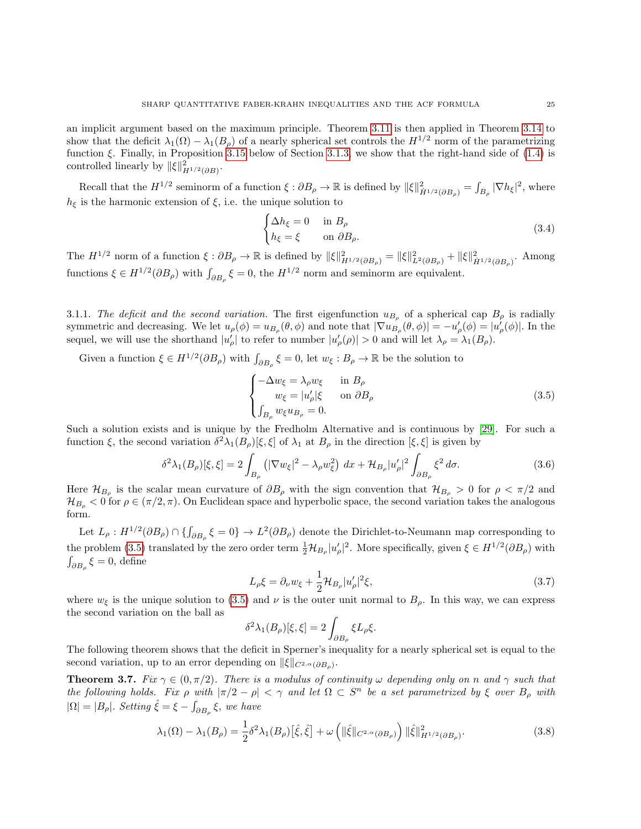an implicit argument based on the maximum principle. Theorem [3.11](#page-27-0) is then applied in Theorem [3.14](#page-30-0) to show that the deficit  $\lambda_1(\Omega) - \lambda_1(B_\rho)$  of a nearly spherical set controls the  $H^{1/2}$  norm of the parametrizing function  $\xi$ . Finally, in Proposition [3.15](#page-31-0) below of Section [3.1.3,](#page-31-1) we show that the right-hand side of [\(1.4\)](#page-1-0) is controlled linearly by  $\|\xi\|_{H^{1/2}(\partial B)}^2$ .

Recall that the  $H^{1/2}$  seminorm of a function  $\xi : \partial B_{\rho} \to \mathbb{R}$  is defined by  $\|\xi\|_{\dot{H}^{1/2}(\partial B_{\rho})}^2 = \int_{B_{\rho}} |\nabla h_{\xi}|^2$ , where  $h_{\xi}$  is the harmonic extension of  $\xi$ , i.e. the unique solution to

<span id="page-24-5"></span>
$$
\begin{cases} \Delta h_{\xi} = 0 & \text{in } B_{\rho} \\ h_{\xi} = \xi & \text{on } \partial B_{\rho}. \end{cases}
$$
 (3.4)

The  $H^{1/2}$  norm of a function  $\xi : \partial B_\rho \to \mathbb{R}$  is defined by  $\|\xi\|_{H^{1/2}(\partial B_\rho)}^2 = \|\xi\|_{L^2(\partial B_\rho)}^2 + \|\xi\|_{\dot{H}^{1/2}(\partial B_\rho)}^2$ . Among functions  $\xi \in H^{1/2}(\partial B_{\rho})$  with  $\int_{\partial B_{\rho}} \xi = 0$ , the  $H^{1/2}$  norm and seminorm are equivalent.

<span id="page-24-0"></span>3.1.1. The deficit and the second variation. The first eigenfunction  $u_{B_\rho}$  of a spherical cap  $B_\rho$  is radially symmetric and decreasing. We let  $u_{\rho}(\phi) = u_{B_{\rho}}(\theta, \phi)$  and note that  $|\nabla u_{B_{\rho}}(\theta, \phi)| = -u'_{\rho}(\phi) = |u'_{\rho}(\phi)|$ . In the sequel, we will use the shorthand  $|u'_{\rho}|$  to refer to number  $|u'_{\rho}(\rho)| > 0$  and will let  $\lambda_{\rho} = \lambda_1(B_{\rho}).$ 

Given a function  $\xi \in H^{1/2}(\partial B_\rho)$  with  $\int_{\partial B_\rho} \xi = 0$ , let  $w_\xi : B_\rho \to \mathbb{R}$  be the solution to

<span id="page-24-2"></span>
$$
\begin{cases}\n-\Delta w_{\xi} = \lambda_{\rho} w_{\xi} & \text{in } B_{\rho} \\
w_{\xi} = |u_{\rho}'|\xi & \text{on } \partial B_{\rho} \\
\int_{B_{\rho}} w_{\xi} u_{B_{\rho}} = 0.\n\end{cases}
$$
\n(3.5)

Such a solution exists and is unique by the Fredholm Alternative and is continuous by [\[29\]](#page-38-12). For such a function  $\xi$ , the second variation  $\delta^2 \lambda_1(B_\rho)[\xi, \xi]$  of  $\lambda_1$  at  $B_\rho$  in the direction  $[\xi, \xi]$  is given by

<span id="page-24-4"></span>
$$
\delta^2 \lambda_1(B_\rho)[\xi,\xi] = 2 \int_{B_\rho} \left( |\nabla w_\xi|^2 - \lambda_\rho w_\xi^2 \right) dx + \mathcal{H}_{B_\rho} |u_\rho'|^2 \int_{\partial B_\rho} \xi^2 d\sigma. \tag{3.6}
$$

Here  $\mathcal{H}_{B_{\rho}}$  is the scalar mean curvature of  $\partial B_{\rho}$  with the sign convention that  $\mathcal{H}_{B_{\rho}} > 0$  for  $\rho < \pi/2$  and  $\mathcal{H}_{B_{\rho}} < 0$  for  $\rho \in (\pi/2, \pi)$ . On Euclidean space and hyperbolic space, the second variation takes the analogous form.

Let  $L_{\rho}: H^{1/2}(\partial B_{\rho}) \cap \{\int_{\partial B_{\rho}} \xi = 0\} \to L^2(\partial B_{\rho})$  denote the Dirichlet-to-Neumann map corresponding to the problem [\(3.5\)](#page-24-2) translated by the zero order term  $\frac{1}{2} \mathcal{H}_{B_\rho} |u'_\rho|^2$ . More specifically, given  $\xi \in H^{1/2}(\partial B_\rho)$  with  $\int_{\partial B_{\rho}} \xi = 0$ , define

<span id="page-24-3"></span>
$$
L_{\rho}\xi = \partial_{\nu}w_{\xi} + \frac{1}{2}\mathcal{H}_{B_{\rho}}|u_{\rho}'|^{2}\xi,
$$
\n(3.7)

where  $w_{\xi}$  is the unique solution to [\(3.5\)](#page-24-2) and  $\nu$  is the outer unit normal to  $B_{\rho}$ . In this way, we can express the second variation on the ball as

$$
\delta^2 \lambda_1(B_\rho)[\xi, \xi] = 2 \int_{\partial B_\rho} \xi L_\rho \xi.
$$

The following theorem shows that the deficit in Sperner's inequality for a nearly spherical set is equal to the second variation, up to an error depending on  $\|\xi\|_{C^{2,\alpha}(\partial B_{\rho})}$ .

<span id="page-24-1"></span>**Theorem 3.7.** Fix  $\gamma \in (0, \pi/2)$ . There is a modulus of continuity  $\omega$  depending only on n and  $\gamma$  such that the following holds. Fix  $\rho$  with  $|\pi/2 - \rho| < \gamma$  and let  $\Omega \subset S^n$  be a set parametrized by  $\xi$  over  $B_\rho$  with  $|\Omega| = |B_\rho|$ . Setting  $\hat{\xi} = \xi - \int_{\partial B_\rho} \xi$ , we have

$$
\lambda_1(\Omega) - \lambda_1(B_\rho) = \frac{1}{2} \delta^2 \lambda_1(B_\rho) [\hat{\xi}, \hat{\xi}] + \omega \left( \| \hat{\xi} \|_{C^{2,\alpha}(\partial B_\rho)} \right) \| \hat{\xi} \|_{H^{1/2}(\partial B_\rho)}^2.
$$
 (3.8)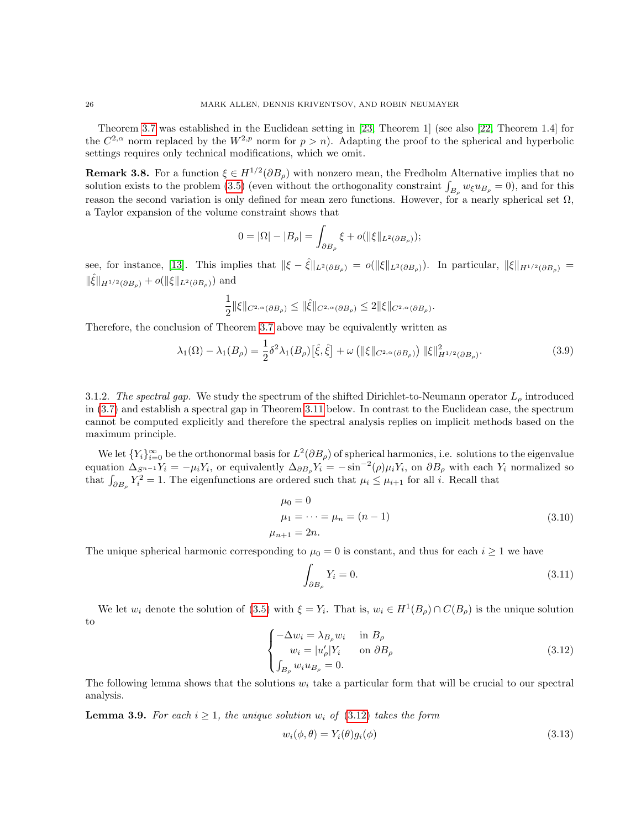Theorem [3.7](#page-24-1) was established in the Euclidean setting in [\[23,](#page-37-24) Theorem 1] (see also [\[22,](#page-37-25) Theorem 1.4] for the  $C^{2,\alpha}$  norm replaced by the  $W^{2,p}$  norm for  $p > n$ ). Adapting the proof to the spherical and hyperbolic settings requires only technical modifications, which we omit.

<span id="page-25-6"></span>**Remark 3.8.** For a function  $\xi \in H^{1/2}(\partial B_{\rho})$  with nonzero mean, the Fredholm Alternative implies that no solution exists to the problem [\(3.5\)](#page-24-2) (even without the orthogonality constraint  $\int_{B_\rho} w_\xi u_{B_\rho} = 0$ ), and for this reason the second variation is only defined for mean zero functions. However, for a nearly spherical set  $\Omega$ , a Taylor expansion of the volume constraint shows that

$$
0 = |\Omega| - |B_{\rho}| = \int_{\partial B_{\rho}} \xi + o(||\xi||_{L^{2}(\partial B_{\rho})});
$$

see, for instance, [\[13\]](#page-37-23). This implies that  $\|\xi - \hat{\xi}\|_{L^2(\partial B_\rho)} = o(\|\xi\|_{L^2(\partial B_\rho)})$ . In particular,  $\|\xi\|_{H^{1/2}(\partial B_\rho)} = o(\|\xi\|_{L^2(\partial B_\rho)})$  $\|\hat{\xi}\|_{H^{1/2}(\partial B_{\rho})} + o(\|\xi\|_{L^2(\partial B_{\rho})})$  and

$$
\frac{1}{2}\|\xi\|_{C^{2,\alpha}(\partial B_\rho)}\leq \|\hat \xi\|_{C^{2,\alpha}(\partial B_\rho)}\leq 2\|\xi\|_{C^{2,\alpha}(\partial B_\rho)}.
$$

Therefore, the conclusion of Theorem [3.7](#page-24-1) above may be equivalently written as

$$
\lambda_1(\Omega) - \lambda_1(B_\rho) = \frac{1}{2} \delta^2 \lambda_1(B_\rho) [\hat{\xi}, \hat{\xi}] + \omega \left( \| \xi \|_{C^{2,\alpha}(\partial B_\rho)} \right) \| \xi \|_{H^{1/2}(\partial B_\rho)}^2.
$$
 (3.9)

<span id="page-25-0"></span>3.1.2. The spectral gap. We study the spectrum of the shifted Dirichlet-to-Neumann operator  $L_{\rho}$  introduced in [\(3.7\)](#page-24-3) and establish a spectral gap in Theorem [3.11](#page-27-0) below. In contrast to the Euclidean case, the spectrum cannot be computed explicitly and therefore the spectral analysis replies on implicit methods based on the maximum principle.

We let  ${Y_i}_{i=0}^{\infty}$  be the orthonormal basis for  $L^2(\partial B_\rho)$  of spherical harmonics, i.e. solutions to the eigenvalue equation  $\Delta_{S^{n-1}}Y_i = -\mu_i Y_i$ , or equivalently  $\Delta_{\partial B_\rho} Y_i = -\sin^{-2}(\rho)\mu_i Y_i$ , on  $\partial B_\rho$  with each  $Y_i$  normalized so that  $\int_{\partial B_{\rho}} Y_i^2 = 1$ . The eigenfunctions are ordered such that  $\mu_i \leq \mu_{i+1}$  for all i. Recall that

$$
\mu_0 = 0
$$
  
\n
$$
\mu_1 = \dots = \mu_n = (n-1)
$$
  
\n
$$
\mu_{n+1} = 2n.
$$
\n(3.10)

<span id="page-25-5"></span>The unique spherical harmonic corresponding to  $\mu_0 = 0$  is constant, and thus for each  $i \geq 1$  we have

<span id="page-25-3"></span>
$$
\int_{\partial B_{\rho}} Y_i = 0. \tag{3.11}
$$

We let  $w_i$  denote the solution of [\(3.5\)](#page-24-2) with  $\xi = Y_i$ . That is,  $w_i \in H^1(B_\rho) \cap C(B_\rho)$  is the unique solution to

<span id="page-25-1"></span>
$$
\begin{cases}\n-\Delta w_i = \lambda_{B_\rho} w_i & \text{in } B_\rho \\
w_i = |u_\rho'| Y_i & \text{on } \partial B_\rho \\
\int_{B_\rho} w_i u_{B_\rho} = 0.\n\end{cases}
$$
\n(3.12)

The following lemma shows that the solutions  $w_i$  take a particular form that will be crucial to our spectral analysis.

<span id="page-25-4"></span>**Lemma 3.9.** For each  $i \geq 1$ , the unique solution  $w_i$  of [\(3.12\)](#page-25-1) takes the form

<span id="page-25-2"></span>
$$
w_i(\phi, \theta) = Y_i(\theta)g_i(\phi) \tag{3.13}
$$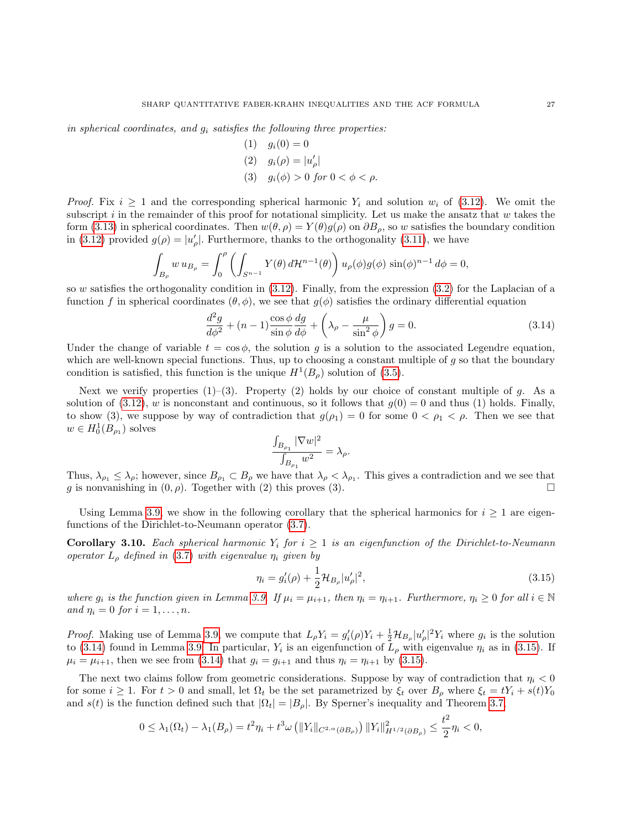in spherical coordinates, and  $g_i$  satisfies the following three properties:

(1) 
$$
g_i(0) = 0
$$
  
\n(2)  $g_i(\rho) = |u'_\rho|$   
\n(3)  $g_i(\phi) > 0 \text{ for } 0 < \phi < \rho$ .

*Proof.* Fix  $i \geq 1$  and the corresponding spherical harmonic  $Y_i$  and solution  $w_i$  of [\(3.12\)](#page-25-1). We omit the subscript i in the remainder of this proof for notational simplicity. Let us make the ansatz that  $w$  takes the form [\(3.13\)](#page-25-2) in spherical coordinates. Then  $w(\theta, \rho) = Y(\theta)g(\rho)$  on  $\partial B_{\rho}$ , so w satisfies the boundary condition in [\(3.12\)](#page-25-1) provided  $g(\rho) = |u'_{\rho}|$ . Furthermore, thanks to the orthogonality [\(3.11\)](#page-25-3), we have

$$
\int_{B_{\rho}} w u_{B_{\rho}} = \int_0^{\rho} \left( \int_{S^{n-1}} Y(\theta) d\mathcal{H}^{n-1}(\theta) \right) u_{\rho}(\phi) g(\phi) \sin(\phi)^{n-1} d\phi = 0,
$$

so w satisfies the orthogonality condition in  $(3.12)$ . Finally, from the expression  $(3.2)$  for the Laplacian of a function f in spherical coordinates  $(\theta, \phi)$ , we see that  $q(\phi)$  satisfies the ordinary differential equation

<span id="page-26-0"></span>
$$
\frac{d^2g}{d\phi^2} + (n-1)\frac{\cos\phi}{\sin\phi}\frac{dg}{d\phi} + \left(\lambda_\rho - \frac{\mu}{\sin^2\phi}\right)g = 0.
$$
\n(3.14)

Under the change of variable  $t = \cos \phi$ , the solution q is a solution to the associated Legendre equation, which are well-known special functions. Thus, up to choosing a constant multiple of  $g$  so that the boundary condition is satisfied, this function is the unique  $H^1(B_\rho)$  solution of [\(3.5\)](#page-24-2).

Next we verify properties  $(1)$ – $(3)$ . Property  $(2)$  holds by our choice of constant multiple of g. As a solution of [\(3.12\)](#page-25-1), w is nonconstant and continuous, so it follows that  $g(0) = 0$  and thus (1) holds. Finally, to show (3), we suppose by way of contradiction that  $g(\rho_1) = 0$  for some  $0 < \rho_1 < \rho$ . Then we see that  $w \in H_0^1(B_{\rho_1})$  solves

$$
\frac{\int_{B_{\rho_1}}|\nabla w|^2}{\int_{B_{\rho_1}}w^2}=\lambda_\rho.
$$

Thus,  $\lambda_{\rho_1} \leq \lambda_{\rho}$ ; however, since  $B_{\rho_1} \subset B_{\rho}$  we have that  $\lambda_{\rho} < \lambda_{\rho_1}$ . This gives a contradiction and we see that g is nonvanishing in  $(0, \rho)$ . Together with (2) this proves (3).

Using Lemma [3.9,](#page-25-4) we show in the following corollary that the spherical harmonics for  $i \geq 1$  are eigenfunctions of the Dirichlet-to-Neumann operator [\(3.7\)](#page-24-3).

<span id="page-26-2"></span>**Corollary 3.10.** Each spherical harmonic  $Y_i$  for  $i \geq 1$  is an eigenfunction of the Dirichlet-to-Neumann operator  $L_{\rho}$  defined in [\(3.7\)](#page-24-3) with eigenvalue  $\eta_i$  given by

<span id="page-26-1"></span>
$$
\eta_i = g_i'(\rho) + \frac{1}{2} \mathcal{H}_{B_\rho} |u_\rho'|^2, \tag{3.15}
$$

where  $g_i$  is the function given in Lemma [3.9.](#page-25-4) If  $\mu_i = \mu_{i+1}$ , then  $\eta_i = \eta_{i+1}$ . Furthermore,  $\eta_i \geq 0$  for all  $i \in \mathbb{N}$ and  $\eta_i = 0$  for  $i = 1, \ldots, n$ .

*Proof.* Making use of Lemma [3.9,](#page-25-4) we compute that  $L_{\rho}Y_i = g'_i(\rho)Y_i + \frac{1}{2}\mathcal{H}_{B_{\rho}}|u'_{\rho}|^2Y_i$  where  $g_i$  is the solution to [\(3.14\)](#page-26-0) found in Lemma [3.9.](#page-25-4) In particular,  $Y_i$  is an eigenfunction of  $L_\rho$  with eigenvalue  $\eta_i$  as in [\(3.15\)](#page-26-1). If  $\mu_i = \mu_{i+1}$ , then we see from [\(3.14\)](#page-26-0) that  $g_i = g_{i+1}$  and thus  $\eta_i = \eta_{i+1}$  by [\(3.15\)](#page-26-1).

The next two claims follow from geometric considerations. Suppose by way of contradiction that  $\eta_i < 0$ for some  $i \geq 1$ . For  $t > 0$  and small, let  $\Omega_t$  be the set parametrized by  $\xi_t$  over  $B_\rho$  where  $\xi_t = tY_i + s(t)Y_0$ and  $s(t)$  is the function defined such that  $|\Omega_t| = |B_\rho|$ . By Sperner's inequality and Theorem [3.7,](#page-24-1)

$$
0 \leq \lambda_1(\Omega_t) - \lambda_1(B_\rho) = t^2 \eta_i + t^3 \omega \left( \|Y_i\|_{C^{2,\alpha}(\partial B_\rho)} \right) \|Y_i\|_{H^{1/2}(\partial B_\rho)}^2 \leq \frac{t^2}{2} \eta_i < 0,
$$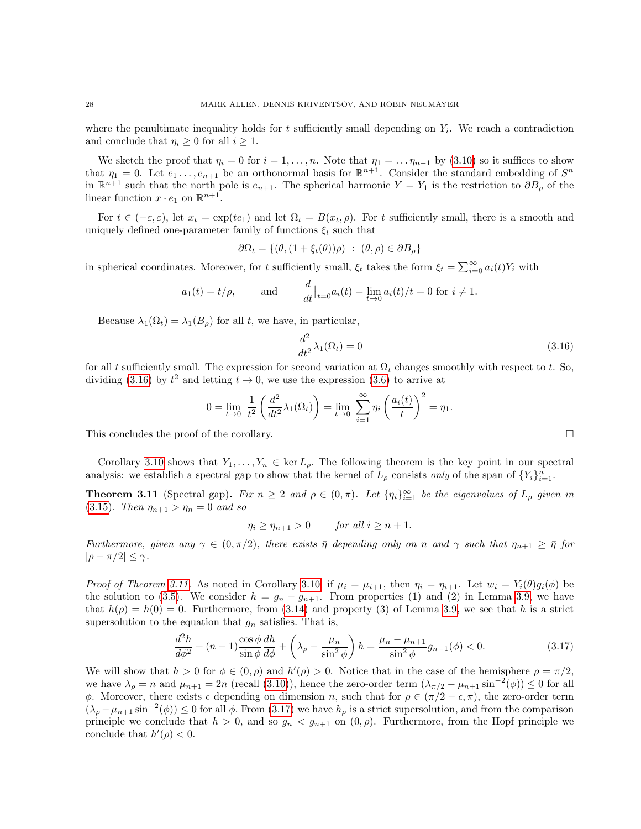where the penultimate inequality holds for  $t$  sufficiently small depending on  $Y_i$ . We reach a contradiction and conclude that  $\eta_i \geq 0$  for all  $i \geq 1$ .

We sketch the proof that  $\eta_i = 0$  for  $i = 1, \ldots, n$ . Note that  $\eta_1 = \ldots \eta_{n-1}$  by [\(3.10\)](#page-25-5) so it suffices to show that  $\eta_1 = 0$ . Let  $e_1, \ldots, e_{n+1}$  be an orthonormal basis for  $\mathbb{R}^{n+1}$ . Consider the standard embedding of  $S^n$ in  $\mathbb{R}^{n+1}$  such that the north pole is  $e_{n+1}$ . The spherical harmonic  $Y = Y_1$  is the restriction to  $\partial B_\rho$  of the linear function  $x \cdot e_1$  on  $\mathbb{R}^{n+1}$ .

For  $t \in (-\varepsilon, \varepsilon)$ , let  $x_t = \exp(t e_1)$  and let  $\Omega_t = B(x_t, \rho)$ . For t sufficiently small, there is a smooth and uniquely defined one-parameter family of functions  $\xi_t$  such that

$$
\partial \Omega_t = \{ (\theta, (1 + \xi_t(\theta))\rho) : (\theta, \rho) \in \partial B_\rho \}
$$

in spherical coordinates. Moreover, for t sufficiently small,  $\xi_t$  takes the form  $\xi_t = \sum_{i=0}^{\infty} a_i(t) Y_i$  with

$$
a_1(t) = t/\rho
$$
, and  $\frac{d}{dt}\Big|_{t=0} a_i(t) = \lim_{t \to 0} a_i(t)/t = 0$  for  $i \neq 1$ .

Because  $\lambda_1(\Omega_t) = \lambda_1(B_\rho)$  for all t, we have, in particular,

<span id="page-27-1"></span>
$$
\frac{d^2}{dt^2}\lambda_1(\Omega_t) = 0\tag{3.16}
$$

for all t sufficiently small. The expression for second variation at  $\Omega_t$  changes smoothly with respect to t. So, dividing [\(3.16\)](#page-27-1) by  $t^2$  and letting  $t \to 0$ , we use the expression [\(3.6\)](#page-24-4) to arrive at

$$
0 = \lim_{t \to 0} \frac{1}{t^2} \left( \frac{d^2}{dt^2} \lambda_1(\Omega_t) \right) = \lim_{t \to 0} \sum_{i=1}^{\infty} \eta_i \left( \frac{a_i(t)}{t} \right)^2 = \eta_1.
$$
  
This concludes the proof of the corollary.

Corollary [3.10](#page-26-2) shows that  $Y_1, \ldots, Y_n \in \text{ker } L_\rho$ . The following theorem is the key point in our spectral analysis: we establish a spectral gap to show that the kernel of  $L_\rho$  consists *only* of the span of  $\{Y_i\}_{i=1}^n$ .

<span id="page-27-0"></span>**Theorem 3.11** (Spectral gap). Fix  $n \geq 2$  and  $\rho \in (0, \pi)$ . Let  $\{\eta_i\}_{i=1}^{\infty}$  be the eigenvalues of  $L_{\rho}$  given in [\(3.15\)](#page-26-1). Then  $\eta_{n+1} > \eta_n = 0$  and so

 $\eta_i \geq \eta_{n+1} > 0$  for all  $i \geq n+1$ .

Furthermore, given any  $\gamma \in (0, \pi/2)$ , there exists  $\overline{\eta}$  depending only on n and  $\gamma$  such that  $\eta_{n+1} \geq \overline{\eta}$  for  $|\rho - \pi/2| \leq \gamma$ .

*Proof of Theorem [3.11.](#page-27-0)* As noted in Corollary [3.10,](#page-26-2) if  $\mu_i = \mu_{i+1}$ , then  $\eta_i = \eta_{i+1}$ . Let  $w_i = Y_i(\theta)g_i(\phi)$  be the solution to [\(3.5\)](#page-24-2). We consider  $h = g_n - g_{n+1}$ . From properties (1) and (2) in Lemma [3.9,](#page-25-4) we have that  $h(\rho) = h(0) = 0$ . Furthermore, from [\(3.14\)](#page-26-0) and property (3) of Lemma [3.9,](#page-25-4) we see that h is a strict supersolution to the equation that  $g_n$  satisfies. That is,

<span id="page-27-2"></span>
$$
\frac{d^2h}{d\phi^2} + (n-1)\frac{\cos\phi}{\sin\phi}\frac{dh}{d\phi} + \left(\lambda_\rho - \frac{\mu_n}{\sin^2\phi}\right)h = \frac{\mu_n - \mu_{n+1}}{\sin^2\phi}g_{n-1}(\phi) < 0. \tag{3.17}
$$

We will show that  $h > 0$  for  $\phi \in (0, \rho)$  and  $h'(\rho) > 0$ . Notice that in the case of the hemisphere  $\rho = \pi/2$ , we have  $\lambda_{\rho} = n$  and  $\mu_{n+1} = 2n$  (recall [\(3.10\)](#page-25-5)), hence the zero-order term  $(\lambda_{\pi/2} - \mu_{n+1} \sin^{-2}(\phi)) \leq 0$  for all φ. Moreover, there exists  $\epsilon$  depending on dimension n, such that for  $\rho \in (\pi/2 - \epsilon, \pi)$ , the zero-order term  $(\lambda_\rho - \mu_{n+1} \sin^{-2}(\phi)) \leq 0$  for all  $\phi$ . From [\(3.17\)](#page-27-2) we have  $h_\rho$  is a strict supersolution, and from the comparison principle we conclude that  $h > 0$ , and so  $g_n < g_{n+1}$  on  $(0, \rho)$ . Furthermore, from the Hopf principle we conclude that  $h'(\rho) < 0$ .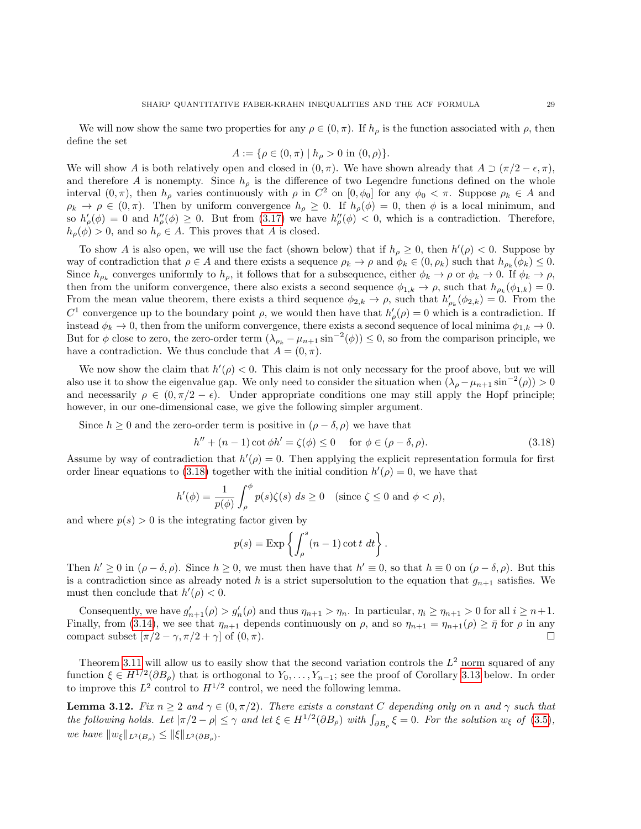We will now show the same two properties for any  $\rho \in (0, \pi)$ . If  $h_{\rho}$  is the function associated with  $\rho$ , then define the set

$$
A := \{ \rho \in (0, \pi) \mid h_{\rho} > 0 \text{ in } (0, \rho) \}.
$$

We will show A is both relatively open and closed in  $(0, \pi)$ . We have shown already that  $A \supset (\pi/2 - \epsilon, \pi)$ , and therefore A is nonempty. Since  $h_{\rho}$  is the difference of two Legendre functions defined on the whole interval  $(0, \pi)$ , then  $h_{\rho}$  varies continuously with  $\rho$  in  $C^2$  on  $[0, \phi_0]$  for any  $\phi_0 < \pi$ . Suppose  $\rho_k \in A$  and  $\rho_k \to \rho \in (0, \pi)$ . Then by uniform convergence  $h_\rho \geq 0$ . If  $h_\rho(\phi) = 0$ , then  $\phi$  is a local minimum, and so  $h'_{\rho}(\phi) = 0$  and  $h''_{\rho}(\phi) \geq 0$ . But from [\(3.17\)](#page-27-2) we have  $h''_{\rho}(\phi) < 0$ , which is a contradiction. Therefore,  $h_{\rho}(\phi) > 0$ , and so  $h_{\rho} \in A$ . This proves that A is closed.

To show A is also open, we will use the fact (shown below) that if  $h_{\rho} \geq 0$ , then  $h'(\rho) < 0$ . Suppose by way of contradiction that  $\rho \in A$  and there exists a sequence  $\rho_k \to \rho$  and  $\phi_k \in (0, \rho_k)$  such that  $h_{\rho_k}(\phi_k) \leq 0$ . Since  $h_{\rho_k}$  converges uniformly to  $h_{\rho}$ , it follows that for a subsequence, either  $\phi_k \to \rho$  or  $\phi_k \to 0$ . If  $\phi_k \to \rho$ , then from the uniform convergence, there also exists a second sequence  $\phi_{1,k} \to \rho$ , such that  $h_{\rho_k}(\phi_{1,k}) = 0$ . From the mean value theorem, there exists a third sequence  $\phi_{2,k} \to \rho$ , such that  $h'_{\rho_k}(\phi_{2,k}) = 0$ . From the  $C^1$  convergence up to the boundary point  $\rho$ , we would then have that  $h'_{\rho}(\rho) = 0$  which is a contradiction. If instead  $\phi_k \to 0$ , then from the uniform convergence, there exists a second sequence of local minima  $\phi_{1,k} \to 0$ . But for  $\phi$  close to zero, the zero-order term  $(\lambda_{\rho_k} - \mu_{n+1} \sin^{-2}(\phi)) \leq 0$ , so from the comparison principle, we have a contradiction. We thus conclude that  $A = (0, \pi)$ .

We now show the claim that  $h'(\rho) < 0$ . This claim is not only necessary for the proof above, but we will also use it to show the eigenvalue gap. We only need to consider the situation when  $(\lambda_\rho - \mu_{n+1} \sin^{-2}(\rho)) > 0$ and necessarily  $\rho \in (0, \pi/2 - \epsilon)$ . Under appropriate conditions one may still apply the Hopf principle; however, in our one-dimensional case, we give the following simpler argument.

Since  $h \geq 0$  and the zero-order term is positive in  $(\rho - \delta, \rho)$  we have that

<span id="page-28-0"></span>
$$
h'' + (n - 1)\cot\phi h' = \zeta(\phi) \le 0 \quad \text{for } \phi \in (\rho - \delta, \rho). \tag{3.18}
$$

Assume by way of contradiction that  $h'(\rho) = 0$ . Then applying the explicit representation formula for first order linear equations to [\(3.18\)](#page-28-0) together with the initial condition  $h'(\rho) = 0$ , we have that

$$
h'(\phi) = \frac{1}{p(\phi)} \int_{\rho}^{\phi} p(s)\zeta(s) \ ds \ge 0 \quad \text{(since } \zeta \le 0 \text{ and } \phi < \rho\text{)},
$$

and where  $p(s) > 0$  is the integrating factor given by

$$
p(s) = \exp\left\{ \int_{\rho}^{s} (n-1) \cot t \, dt \right\}.
$$

Then  $h' \geq 0$  in  $(\rho - \delta, \rho)$ . Since  $h \geq 0$ , we must then have that  $h' \equiv 0$ , so that  $h \equiv 0$  on  $(\rho - \delta, \rho)$ . But this is a contradiction since as already noted h is a strict supersolution to the equation that  $g_{n+1}$  satisfies. We must then conclude that  $h'(\rho) < 0$ .

Consequently, we have  $g'_{n+1}(\rho) > g'_{n}(\rho)$  and thus  $\eta_{n+1} > \eta_n$ . In particular,  $\eta_i \ge \eta_{n+1} > 0$  for all  $i \ge n+1$ . Finally, from [\(3.14\)](#page-26-0), we see that  $\eta_{n+1}$  depends continuously on  $\rho$ , and so  $\eta_{n+1} = \eta_{n+1}(\rho) \geq \bar{\eta}$  for  $\rho$  in any compact subset  $[\pi/2 - \gamma, \pi/2 + \gamma]$  of  $(0, \pi)$ .

Theorem [3.11](#page-27-0) will allow us to easily show that the second variation controls the  $L^2$  norm squared of any function  $\xi \in H^{1/2}(\partial B_\rho)$  that is orthogonal to  $Y_0, \ldots, Y_{n-1}$ ; see the proof of Corollary [3.13](#page-29-0) below. In order to improve this  $L^2$  control to  $H^{1/2}$  control, we need the following lemma.

<span id="page-28-1"></span>**Lemma 3.12.** Fix  $n \geq 2$  and  $\gamma \in (0, \pi/2)$ . There exists a constant C depending only on n and  $\gamma$  such that the following holds. Let  $|\pi/2 - \rho| \leq \gamma$  and let  $\xi \in H^{1/2}(\partial B_{\rho})$  with  $\int_{\partial B_{\rho}} \xi = 0$ . For the solution  $w_{\xi}$  of  $(3.5)$ , we have  $||w_{\xi}||_{L^2(B_{\rho})} \le ||\xi||_{L^2(\partial B_{\rho})}$ .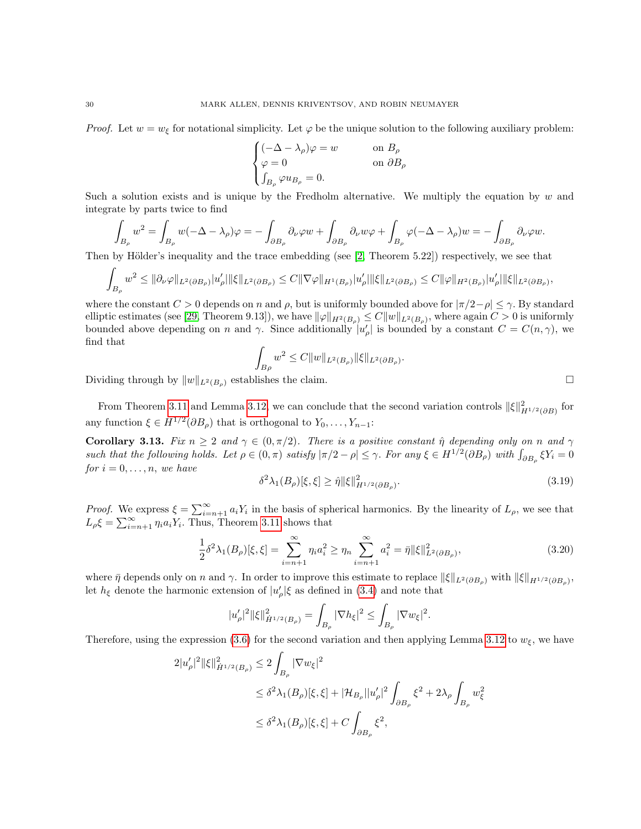*Proof.* Let  $w = w_{\xi}$  for notational simplicity. Let  $\varphi$  be the unique solution to the following auxiliary problem:

$$
\begin{cases} (-\Delta - \lambda_{\rho})\varphi = w & \text{on } B_{\rho} \\ \varphi = 0 & \text{on } \partial B_{\rho} \\ \int_{B_{\rho}} \varphi u_{B_{\rho}} = 0. \end{cases}
$$

Such a solution exists and is unique by the Fredholm alternative. We multiply the equation by  $w$  and integrate by parts twice to find

$$
\int_{B_{\rho}} w^2 = \int_{B_{\rho}} w(-\Delta - \lambda_{\rho})\varphi = -\int_{\partial B_{\rho}} \partial_{\nu}\varphi w + \int_{\partial B_{\rho}} \partial_{\nu}w\varphi + \int_{B_{\rho}} \varphi(-\Delta - \lambda_{\rho})w = -\int_{\partial B_{\rho}} \partial_{\nu}\varphi w.
$$

Then by Hölder's inequality and the trace embedding (see  $(2,$  Theorem 5.22) respectively, we see that

$$
\int_{B_{\rho}} w^2 \leq \|\partial_{\nu}\varphi\|_{L^2(\partial B_{\rho})}|u'_{\rho}|\|\xi\|_{L^2(\partial B_{\rho})} \leq C\|\nabla\varphi\|_{H^1(B_{\rho})}|u'_{\rho}|\|\xi\|_{L^2(\partial B_{\rho})} \leq C\|\varphi\|_{H^2(B_{\rho})}|u'_{\rho}|\|\xi\|_{L^2(\partial B_{\rho})},
$$

where the constant  $C > 0$  depends on n and  $\rho$ , but is uniformly bounded above for  $|\pi/2-\rho| \leq \gamma$ . By standard elliptic estimates (see [\[29,](#page-38-12) Theorem 9.13]), we have  $\|\varphi\|_{H^2(B_\rho)} \leq C \|w\|_{L^2(B_\rho)}$ , where again  $C > 0$  is uniformly bounded above depending on n and  $\gamma$ . Since additionally  $|u'_{\rho}|$  is bounded by a constant  $C = C(n, \gamma)$ , we find that

$$
\int_{B\rho} w^2 \le C \|w\|_{L^2(B_\rho)} \|\xi\|_{L^2(\partial B_\rho)}
$$

Dividing through by  $||w||_{L^2(B_0)}$  establishes the claim.

From Theorem [3.11](#page-27-0) and Lemma [3.12,](#page-28-1) we can conclude that the second variation controls  $\|\xi\|_{H^{1/2}(\partial B)}^2$  for any function  $\xi \in H^{1/2}(\partial B_{\rho})$  that is orthogonal to  $Y_0, \ldots, Y_{n-1}$ :

<span id="page-29-0"></span>**Corollary 3.13.** Fix  $n \geq 2$  and  $\gamma \in (0, \pi/2)$ . There is a positive constant  $\hat{\eta}$  depending only on n and  $\gamma$ such that the following holds. Let  $\rho \in (0, \pi)$  satisfy  $|\pi/2 - \rho| \leq \gamma$ . For any  $\xi \in H^{1/2}(\partial B_{\rho})$  with  $\int_{\partial B_{\rho}} \xi Y_i = 0$ for  $i = 0, \ldots, n$ , we have

$$
\delta^2 \lambda_1(B_\rho)[\xi, \xi] \ge \hat{\eta} \|\xi\|_{H^{1/2}(\partial B_\rho)}^2. \tag{3.19}
$$

.

*Proof.* We express  $\xi = \sum_{i=n+1}^{\infty} a_i Y_i$  in the basis of spherical harmonics. By the linearity of  $L_{\rho}$ , we see that  $L_{\rho} \xi = \sum_{i=n+1}^{\infty} \eta_i a_i Y_i$ . Thus, Theorem [3.11](#page-27-0) shows that

<span id="page-29-1"></span>
$$
\frac{1}{2}\delta^2\lambda_1(B_\rho)[\xi,\xi] = \sum_{i=n+1}^{\infty} \eta_i a_i^2 \ge \eta_n \sum_{i=n+1}^{\infty} a_i^2 = \bar{\eta} \|\xi\|_{L^2(\partial B_\rho)}^2,
$$
\n(3.20)

where  $\bar{\eta}$  depends only on n and  $\gamma$ . In order to improve this estimate to replace  $\|\xi\|_{L^2(\partial B_\rho)}$  with  $\|\xi\|_{H^{1/2}(\partial B_\rho)},$ let  $h_{\xi}$  denote the harmonic extension of  $|u'_{\rho}|\xi$  as defined in [\(3.4\)](#page-24-5) and note that

$$
|u'_{\rho}|^{2} \|\xi\|_{\dot{H}^{1/2}(B_{\rho})}^{2} = \int_{B_{\rho}} |\nabla h_{\xi}|^{2} \leq \int_{B_{\rho}} |\nabla w_{\xi}|^{2}.
$$

Therefore, using the expression [\(3.6\)](#page-24-4) for the second variation and then applying Lemma [3.12](#page-28-1) to  $w_f$ , we have

$$
\begin{split} 2|u'_{\rho}|^{2} \| \xi \|_{\dot{H}^{1/2}(B_{\rho})}^{2} &\leq 2 \int_{B_{\rho}} |\nabla w_{\xi}|^{2} \\ &\leq \delta^{2} \lambda_{1}(B_{\rho})[\xi, \xi] + |\mathcal{H}_{B_{\rho}}| |u'_{\rho}|^{2} \int_{\partial B_{\rho}} \xi^{2} + 2\lambda_{\rho} \int_{B_{\rho}} w_{\xi}^{2} \\ &\leq \delta^{2} \lambda_{1}(B_{\rho})[\xi, \xi] + C \int_{\partial B_{\rho}} \xi^{2}, \end{split}
$$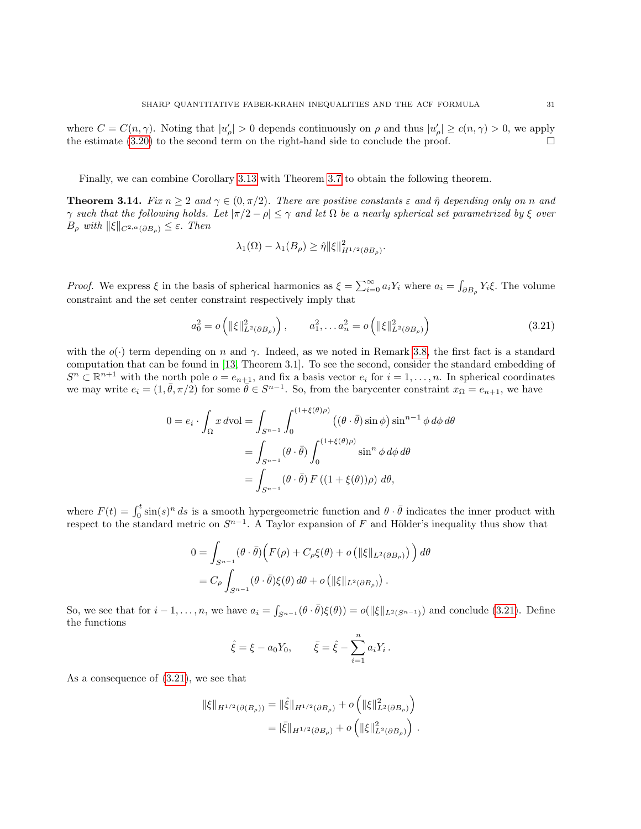where  $C = C(n, \gamma)$ . Noting that  $|u'_{\rho}| > 0$  depends continuously on  $\rho$  and thus  $|u'_{\rho}| \ge c(n, \gamma) > 0$ , we apply the estimate  $(3.20)$  to the second term on the right-hand side to conclude the proof.

Finally, we can combine Corollary [3.13](#page-29-0) with Theorem [3.7](#page-24-1) to obtain the following theorem.

<span id="page-30-0"></span>**Theorem 3.14.** Fix  $n \geq 2$  and  $\gamma \in (0, \pi/2)$ . There are positive constants  $\varepsilon$  and  $\hat{\eta}$  depending only on n and  $\gamma$  such that the following holds. Let  $|\pi/2 - \rho| \leq \gamma$  and let  $\Omega$  be a nearly spherical set parametrized by  $\xi$  over  $B_\rho$  with  $\|\xi\|_{C^{2,\alpha}(\partial B_\rho)} \leq \varepsilon$ . Then

<span id="page-30-1"></span>
$$
\lambda_1(\Omega) - \lambda_1(B_\rho) \ge \hat{\eta} \|\xi\|_{H^{1/2}(\partial B_\rho)}^2.
$$

*Proof.* We express  $\xi$  in the basis of spherical harmonics as  $\xi = \sum_{i=0}^{\infty} a_i Y_i$  where  $a_i = \int_{\partial B_\rho} Y_i \xi$ . The volume constraint and the set center constraint respectively imply that

$$
a_0^2 = o\left(\|\xi\|_{L^2(\partial B_\rho)}^2\right), \qquad a_1^2, \dots a_n^2 = o\left(\|\xi\|_{L^2(\partial B_\rho)}^2\right) \tag{3.21}
$$

with the  $o(\cdot)$  term depending on n and  $\gamma$ . Indeed, as we noted in Remark [3.8,](#page-25-6) the first fact is a standard computation that can be found in [\[13,](#page-37-23) Theorem 3.1]. To see the second, consider the standard embedding of  $S^n \subset \mathbb{R}^{n+1}$  with the north pole  $o = e_{n+1}$ , and fix a basis vector  $e_i$  for  $i = 1, ..., n$ . In spherical coordinates we may write  $e_i = (1, \bar{\theta}, \pi/2)$  for some  $\bar{\theta} \in S^{n-1}$ . So, from the barycenter constraint  $x_{\Omega} = e_{n+1}$ , we have

$$
0 = e_i \cdot \int_{\Omega} x \, d\text{vol} = \int_{S^{n-1}} \int_0^{(1+\xi(\theta)\rho)} \left( (\theta \cdot \bar{\theta}) \sin \phi \right) \sin^{n-1} \phi \, d\phi \, d\theta
$$

$$
= \int_{S^{n-1}} (\theta \cdot \bar{\theta}) \int_0^{(1+\xi(\theta)\rho)} \sin^n \phi \, d\phi \, d\theta
$$

$$
= \int_{S^{n-1}} (\theta \cdot \bar{\theta}) F \left( (1+\xi(\theta))\rho \right) \, d\theta,
$$

where  $F(t) = \int_0^t \sin(s)^n ds$  is a smooth hypergeometric function and  $\theta \cdot \bar{\theta}$  indicates the inner product with respect to the standard metric on  $S^{n-1}$ . A Taylor expansion of F and Hölder's inequality thus show that

$$
0 = \int_{S^{n-1}} (\theta \cdot \bar{\theta}) \Big( F(\rho) + C_{\rho} \xi(\theta) + o \left( \| \xi \|_{L^2(\partial B_{\rho})} \right) \Big) d\theta
$$
  
=  $C_{\rho} \int_{S^{n-1}} (\theta \cdot \bar{\theta}) \xi(\theta) d\theta + o \left( \| \xi \|_{L^2(\partial B_{\rho})} \right).$ 

So, we see that for  $i-1,\ldots,n$ , we have  $a_i = \int_{S^{n-1}} (\theta \cdot \bar{\theta}) \xi(\theta) = o(||\xi||_{L^2(S^{n-1})})$  and conclude [\(3.21\)](#page-30-1). Define the functions

$$
\hat{\xi} = \xi - a_0 Y_0, \qquad \bar{\xi} = \hat{\xi} - \sum_{i=1}^n a_i Y_i.
$$

As a consequence of [\(3.21\)](#page-30-1), we see that

$$
\begin{aligned} \|\xi\|_{H^{1/2}(\partial(B_{\rho}))} &= \|\hat{\xi}\|_{H^{1/2}(\partial B_{\rho})} + o\left(\|\xi\|_{L^2(\partial B_{\rho})}^2\right) \\ &= |\bar{\xi}\|_{H^{1/2}(\partial B_{\rho})} + o\left(\|\xi\|_{L^2(\partial B_{\rho})}^2\right) \,. \end{aligned}
$$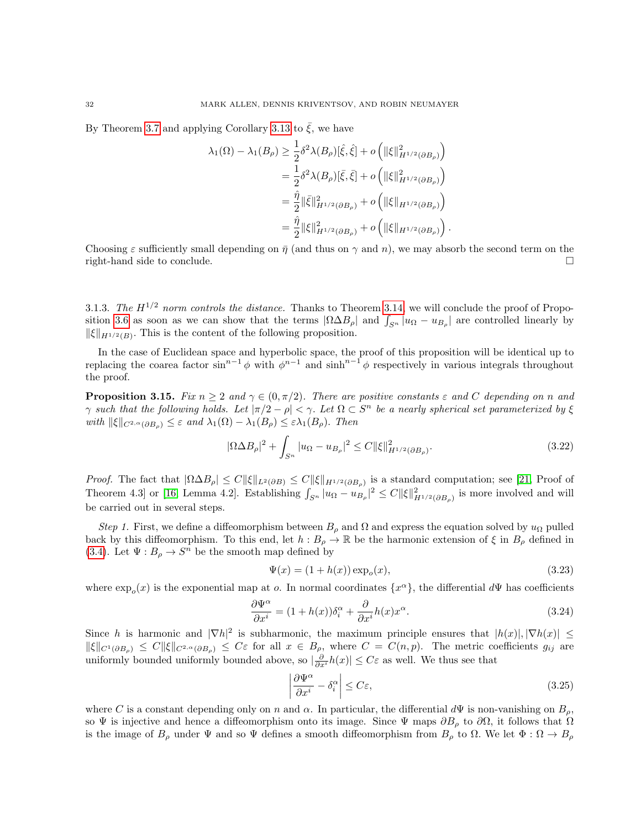By Theorem [3.7](#page-24-1) and applying Corollary [3.13](#page-29-0) to  $\bar{\xi}$ , we have

$$
\lambda_1(\Omega) - \lambda_1(B_\rho) \ge \frac{1}{2} \delta^2 \lambda(B_\rho) [\hat{\xi}, \hat{\xi}] + o\left( \|\xi\|_{H^{1/2}(\partial B_\rho)}^2 \right)
$$
  
=  $\frac{1}{2} \delta^2 \lambda(B_\rho) [\bar{\xi}, \bar{\xi}] + o\left( \|\xi\|_{H^{1/2}(\partial B_\rho)}^2 \right)$   
=  $\frac{\hat{\eta}}{2} \|\bar{\xi}\|_{H^{1/2}(\partial B_\rho)}^2 + o\left( \|\xi\|_{H^{1/2}(\partial B_\rho)} \right)$   
=  $\frac{\hat{\eta}}{2} \|\xi\|_{H^{1/2}(\partial B_\rho)}^2 + o\left( \|\xi\|_{H^{1/2}(\partial B_\rho)} \right).$ 

Choosing  $\varepsilon$  sufficiently small depending on  $\bar{\eta}$  (and thus on  $\gamma$  and n), we may absorb the second term on the right-hand side to conclude.

<span id="page-31-1"></span>3.1.3. The  $H^{1/2}$  norm controls the distance. Thanks to Theorem [3.14,](#page-30-0) we will conclude the proof of Propo-sition [3.6](#page-23-1) as soon as we can show that the terms  $|\Omega \Delta B_{\rho}|$  and  $\int_{S^n} |u_{\Omega} - u_{B_{\rho}}|$  are controlled linearly by  $\|\xi\|_{H^{1/2}(B)}$ . This is the content of the following proposition.

In the case of Euclidean space and hyperbolic space, the proof of this proposition will be identical up to replacing the coarea factor  $\sin^{n-1}\phi$  with  $\phi^{n-1}$  and  $\sinh^{n-1}\phi$  respectively in various integrals throughout the proof.

<span id="page-31-0"></span>**Proposition 3.15.** Fix  $n \geq 2$  and  $\gamma \in (0, \pi/2)$ . There are positive constants  $\varepsilon$  and C depending on n and  $\gamma$  such that the following holds. Let  $|\pi/2 - \rho| < \gamma$ . Let  $\Omega \subset S^n$  be a nearly spherical set parameterized by  $\xi$ with  $\|\xi\|_{C^{2,\alpha}(\partial B_{\rho})} \leq \varepsilon$  and  $\lambda_1(\Omega) - \lambda_1(B_{\rho}) \leq \varepsilon \lambda_1(B_{\rho})$ . Then

$$
|\Omega \Delta B_{\rho}|^2 + \int_{S^n} |u_{\Omega} - u_{B_\rho}|^2 \le C \|\xi\|_{H^{1/2}(\partial B_\rho)}^2.
$$
 (3.22)

*Proof.* The fact that  $|\Omega \Delta B_{\rho}| \leq C ||\xi||_{L^2(\partial B)} \leq C ||\xi||_{H^{1/2}(\partial B_{\rho})}$  is a standard computation; see [\[21,](#page-37-8) Proof of Theorem 4.3] or [\[16,](#page-37-7) Lemma 4.2]. Establishing  $\int_{S^n} |u_{\Omega} - u_{B_\rho}|^2 \leq C ||\xi||^2_{H^{1/2}(\partial B_\rho)}$  is more involved and will be carried out in several steps.

Step 1. First, we define a diffeomorphism between  $B_\rho$  and  $\Omega$  and express the equation solved by  $u_\Omega$  pulled back by this diffeomorphism. To this end, let  $h : B_\rho \to \mathbb{R}$  be the harmonic extension of  $\xi$  in  $B_\rho$  defined in [\(3.4\)](#page-24-5). Let  $\Psi: B_{\rho} \to S^{n}$  be the smooth map defined by

$$
\Psi(x) = (1 + h(x)) \exp_o(x), \tag{3.23}
$$

where  $\exp_o(x)$  is the exponential map at o. In normal coordinates  $\{x^{\alpha}\}\$ , the differential  $d\Psi$  has coefficients

<span id="page-31-2"></span>
$$
\frac{\partial \Psi^{\alpha}}{\partial x^{i}} = (1 + h(x))\delta^{\alpha}_{i} + \frac{\partial}{\partial x^{i}}h(x)x^{\alpha}.
$$
\n(3.24)

Since h is harmonic and  $|\nabla h|^2$  is subharmonic, the maximum principle ensures that  $|h(x)|, |\nabla h(x)| \le$  $\|\xi\|_{C^1(\partial B_\rho)} \leq C \|\xi\|_{C^{2,\alpha}(\partial B_\rho)} \leq C\varepsilon$  for all  $x \in B_\rho$ , where  $C = C(n,p)$ . The metric coefficients  $g_{ij}$  are uniformly bounded uniformly bounded above, so  $|\frac{\partial}{\partial x^i}h(x)| \leq C\varepsilon$  as well. We thus see that

<span id="page-31-3"></span>
$$
\left|\frac{\partial \Psi^{\alpha}}{\partial x^{i}} - \delta^{\alpha}_{i}\right| \le C\varepsilon,
$$
\n(3.25)

where C is a constant depending only on n and  $\alpha$ . In particular, the differential  $d\Psi$  is non-vanishing on  $B_{\rho}$ , so  $\Psi$  is injective and hence a diffeomorphism onto its image. Since  $\Psi$  maps  $\partial B_\rho$  to  $\partial \Omega$ , it follows that  $\Omega$ is the image of  $B_\rho$  under  $\Psi$  and so  $\Psi$  defines a smooth diffeomorphism from  $B_\rho$  to  $\Omega$ . We let  $\Phi : \Omega \to B_\rho$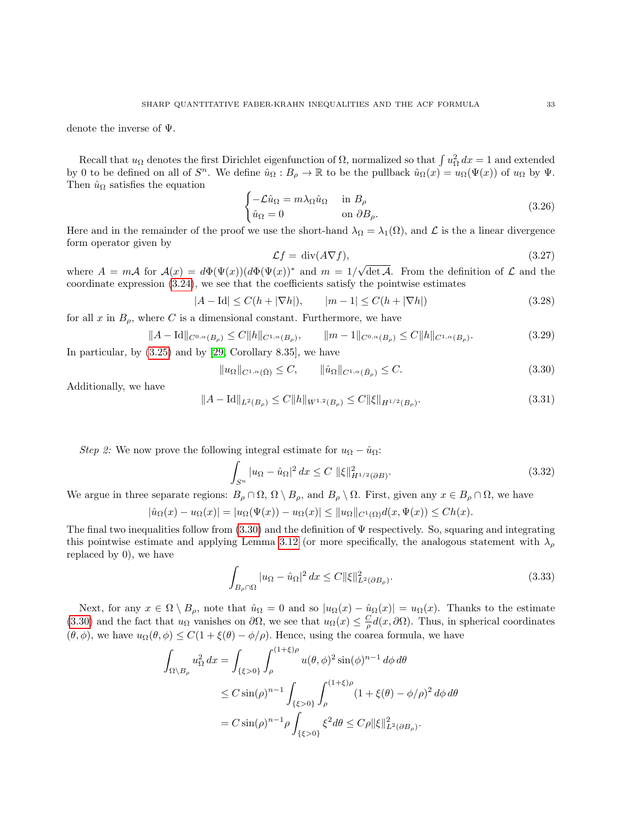denote the inverse of Ψ.

Recall that  $u_{\Omega}$  denotes the first Dirichlet eigenfunction of  $\Omega$ , normalized so that  $\int u_{\Omega}^2 dx = 1$  and extended by 0 to be defined on all of  $S^n$ . We define  $\hat{u}_{\Omega}: B_{\rho} \to \mathbb{R}$  to be the pullback  $\hat{u}_{\Omega}(x) = u_{\Omega}(\Psi(x))$  of  $u_{\Omega}$  by  $\Psi$ . Then  $\hat{u}_{\Omega}$  satisfies the equation

$$
\begin{cases}\n-\mathcal{L}\hat{u}_{\Omega} = m\lambda_{\Omega}\hat{u}_{\Omega} & \text{in } B_{\rho} \\
\hat{u}_{\Omega} = 0 & \text{on } \partial B_{\rho}.\n\end{cases}
$$
\n(3.26)

Here and in the remainder of the proof we use the short-hand  $\lambda_{\Omega} = \lambda_1(\Omega)$ , and  $\mathcal L$  is the a linear divergence form operator given by

$$
\mathcal{L}f = \text{div}(A\nabla f),\tag{3.27}
$$

where  $A = m\mathcal{A}$  for  $\mathcal{A}(x) = d\Phi(\Psi(x))(d\Phi(\Psi(x))^*$  and  $m = 1/\sqrt{2\pi k}$  $\det A$ . From the definition of  $\mathcal L$  and the coordinate expression [\(3.24\)](#page-31-2), we see that the coefficients satisfy the pointwise estimates

<span id="page-32-3"></span>
$$
|A - \text{Id}| \le C(h + |\nabla h|), \qquad |m - 1| \le C(h + |\nabla h|) \tag{3.28}
$$

for all x in  $B_{\rho}$ , where C is a dimensional constant. Furthermore, we have

$$
||A - \text{Id}||_{C^{0,\alpha}(B_{\rho})} \le C ||h||_{C^{1,\alpha}(B_{\rho})}, \qquad ||m - 1||_{C^{0,\alpha}(B_{\rho})} \le C ||h||_{C^{1,\alpha}(B_{\rho})}.
$$
\n(3.29)

In particular, by [\(3.25\)](#page-31-3) and by [\[29,](#page-38-12) Corollary 8.35], we have

<span id="page-32-0"></span>
$$
||u_{\Omega}||_{C^{1,\alpha}(\bar{\Omega})} \leq C, \qquad ||\hat{u}_{\Omega}||_{C^{1,\alpha}(\bar{B}_{\rho})} \leq C. \tag{3.30}
$$

Additionally, we have

<span id="page-32-4"></span>
$$
||A - \text{Id}||_{L^{2}(B_{\rho})} \le C ||h||_{W^{1,2}(B_{\rho})} \le C ||\xi||_{H^{1/2}(B_{\rho})}.
$$
\n(3.31)

Step 2: We now prove the following integral estimate for  $u_{\Omega} - \hat{u}_{\Omega}$ :

<span id="page-32-2"></span>
$$
\int_{S^n} |u_{\Omega} - \hat{u}_{\Omega}|^2 dx \le C \, \|\xi\|_{H^{1/2}(\partial B)}^2.
$$
\n(3.32)

We argue in three separate regions:  $B_\rho \cap \Omega$ ,  $\Omega \setminus B_\rho$ , and  $B_\rho \setminus \Omega$ . First, given any  $x \in B_\rho \cap \Omega$ , we have

$$
|\hat{u}_{\Omega}(x) - u_{\Omega}(x)| = |u_{\Omega}(\Psi(x)) - u_{\Omega}(x)| \le ||u_{\Omega}||_{C^{1}(\Omega)}d(x, \Psi(x)) \le Ch(x).
$$

The final two inequalities follow from  $(3.30)$  and the definition of  $\Psi$  respectively. So, squaring and integrating this pointwise estimate and applying Lemma [3.12](#page-28-1) (or more specifically, the analogous statement with  $\lambda_{\rho}$ replaced by 0), we have

<span id="page-32-1"></span>
$$
\int_{B_{\rho}\cap\Omega} |u_{\Omega} - \hat{u}_{\Omega}|^2 dx \le C \|\xi\|_{L^2(\partial B_{\rho})}^2.
$$
\n(3.33)

Next, for any  $x \in \Omega \setminus B_\rho$ , note that  $\hat{u}_\Omega = 0$  and so  $|u_\Omega(x) - \hat{u}_\Omega(x)| = u_\Omega(x)$ . Thanks to the estimate [\(3.30\)](#page-32-0) and the fact that  $u_{\Omega}$  vanishes on  $\partial\Omega$ , we see that  $u_{\Omega}(x) \leq \frac{C}{\rho}d(x,\partial\Omega)$ . Thus, in spherical coordinates  $(\theta, \phi)$ , we have  $u_{\Omega}(\theta, \phi) \leq C(1 + \xi(\theta) - \phi/\rho)$ . Hence, using the coarea formula, we have

$$
\int_{\Omega \setminus B_{\rho}} u_{\Omega}^{2} dx = \int_{\{\xi > 0\}} \int_{\rho}^{(1+\xi)\rho} u(\theta, \phi)^{2} \sin(\phi)^{n-1} d\phi d\theta
$$
\n
$$
\leq C \sin(\rho)^{n-1} \int_{\{\xi > 0\}} \int_{\rho}^{(1+\xi)\rho} (1 + \xi(\theta) - \phi/\rho)^{2} d\phi d\theta
$$
\n
$$
= C \sin(\rho)^{n-1} \rho \int_{\{\xi > 0\}} \xi^{2} d\theta \leq C\rho \|\xi\|_{L^{2}(\partial B_{\rho})}^{2}.
$$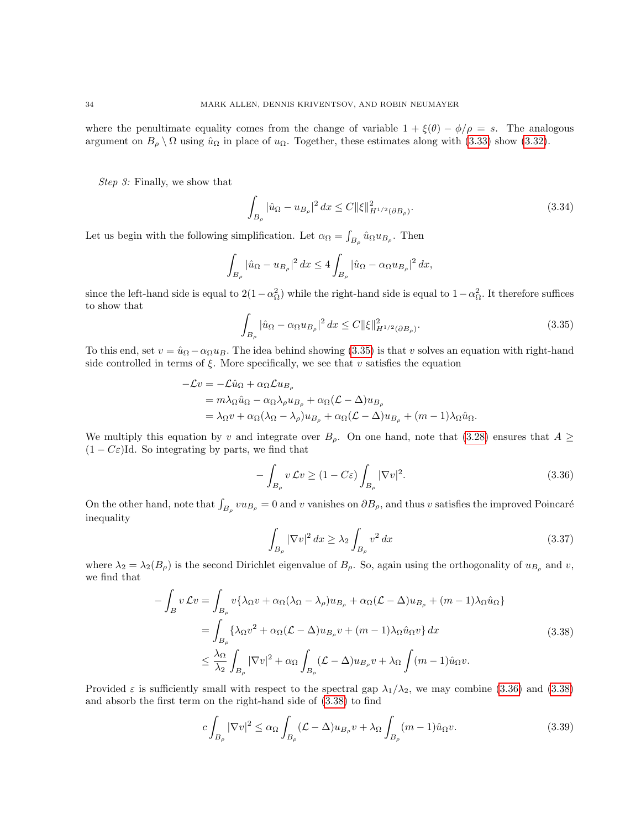where the penultimate equality comes from the change of variable  $1 + \xi(\theta) - \phi/\rho = s$ . The analogous argument on  $B_\rho \setminus \Omega$  using  $\hat{u}_\Omega$  in place of  $u_\Omega$ . Together, these estimates along with [\(3.33\)](#page-32-1) show [\(3.32\)](#page-32-2).

Step 3: Finally, we show that

<span id="page-33-4"></span>
$$
\int_{B_{\rho}} |\hat{u}_{\Omega} - u_{B_{\rho}}|^2 dx \le C \|\xi\|_{H^{1/2}(\partial B_{\rho})}^2.
$$
\n(3.34)

Let us begin with the following simplification. Let  $\alpha_{\Omega} = \int_{B_{\rho}} \hat{u}_{\Omega} u_{B_{\rho}}$ . Then

$$
\int_{B_{\rho}} |\hat{u}_{\Omega} - u_{B_{\rho}}|^2 dx \le 4 \int_{B_{\rho}} |\hat{u}_{\Omega} - \alpha_{\Omega} u_{B_{\rho}}|^2 dx,
$$

since the left-hand side is equal to  $2(1-\alpha_{\Omega}^2)$  while the right-hand side is equal to  $1-\alpha_{\Omega}^2$ . It therefore suffices to show that

<span id="page-33-0"></span>
$$
\int_{B_{\rho}} |\hat{u}_{\Omega} - \alpha_{\Omega} u_{B_{\rho}}|^2 dx \le C \|\xi\|_{H^{1/2}(\partial B_{\rho})}^2.
$$
\n(3.35)

To this end, set  $v = \hat{u}_{\Omega} - \alpha_{\Omega} u_B$ . The idea behind showing [\(3.35\)](#page-33-0) is that v solves an equation with right-hand side controlled in terms of  $\xi$ . More specifically, we see that v satisfies the equation

$$
-\mathcal{L}v = -\mathcal{L}\hat{u}_{\Omega} + \alpha_{\Omega}\mathcal{L}u_{B_{\rho}}
$$
  
=  $m\lambda_{\Omega}\hat{u}_{\Omega} - \alpha_{\Omega}\lambda_{\rho}u_{B_{\rho}} + \alpha_{\Omega}(\mathcal{L} - \Delta)u_{B_{\rho}}$   
=  $\lambda_{\Omega}v + \alpha_{\Omega}(\lambda_{\Omega} - \lambda_{\rho})u_{B_{\rho}} + \alpha_{\Omega}(\mathcal{L} - \Delta)u_{B_{\rho}} + (m - 1)\lambda_{\Omega}\hat{u}_{\Omega}.$ 

We multiply this equation by v and integrate over  $B_{\rho}$ . On one hand, note that [\(3.28\)](#page-32-3) ensures that  $A \geq$  $(1 - C\varepsilon)$ Id. So integrating by parts, we find that

<span id="page-33-1"></span>
$$
-\int_{B_{\rho}} v \mathcal{L}v \ge (1 - C\varepsilon) \int_{B_{\rho}} |\nabla v|^2.
$$
\n(3.36)

On the other hand, note that  $\int_{B_\rho} vu_{B_\rho} = 0$  and v vanishes on  $\partial B_\rho$ , and thus v satisfies the improved Poincaré inequality

$$
\int_{B_{\rho}} |\nabla v|^2 dx \ge \lambda_2 \int_{B_{\rho}} v^2 dx \tag{3.37}
$$

where  $\lambda_2 = \lambda_2(B_\rho)$  is the second Dirichlet eigenvalue of  $B_\rho$ . So, again using the orthogonality of  $u_{B_\rho}$  and v, we find that

$$
-\int_{B} v \mathcal{L}v = \int_{B_{\rho}} v \{\lambda_{\Omega}v + \alpha_{\Omega}(\lambda_{\Omega} - \lambda_{\rho})u_{B_{\rho}} + \alpha_{\Omega}(\mathcal{L} - \Delta)u_{B_{\rho}} + (m - 1)\lambda_{\Omega}\hat{u}_{\Omega}\}\
$$
  

$$
= \int_{B_{\rho}} \{\lambda_{\Omega}v^{2} + \alpha_{\Omega}(\mathcal{L} - \Delta)u_{B_{\rho}}v + (m - 1)\lambda_{\Omega}\hat{u}_{\Omega}v\}dx
$$
  

$$
\leq \frac{\lambda_{\Omega}}{\lambda_{2}} \int_{B_{\rho}} |\nabla v|^{2} + \alpha_{\Omega} \int_{B_{\rho}} (\mathcal{L} - \Delta)u_{B_{\rho}}v + \lambda_{\Omega} \int (m - 1)\hat{u}_{\Omega}v.
$$
 (3.38)

<span id="page-33-2"></span>Provided  $\varepsilon$  is sufficiently small with respect to the spectral gap  $\lambda_1/\lambda_2$ , we may combine [\(3.36\)](#page-33-1) and [\(3.38\)](#page-33-2) and absorb the first term on the right-hand side of [\(3.38\)](#page-33-2) to find

<span id="page-33-3"></span>
$$
c\int_{B_{\rho}}|\nabla v|^{2} \leq \alpha_{\Omega} \int_{B_{\rho}} (\mathcal{L} - \Delta)u_{B_{\rho}} v + \lambda_{\Omega} \int_{B_{\rho}} (m-1)\hat{u}_{\Omega} v.
$$
 (3.39)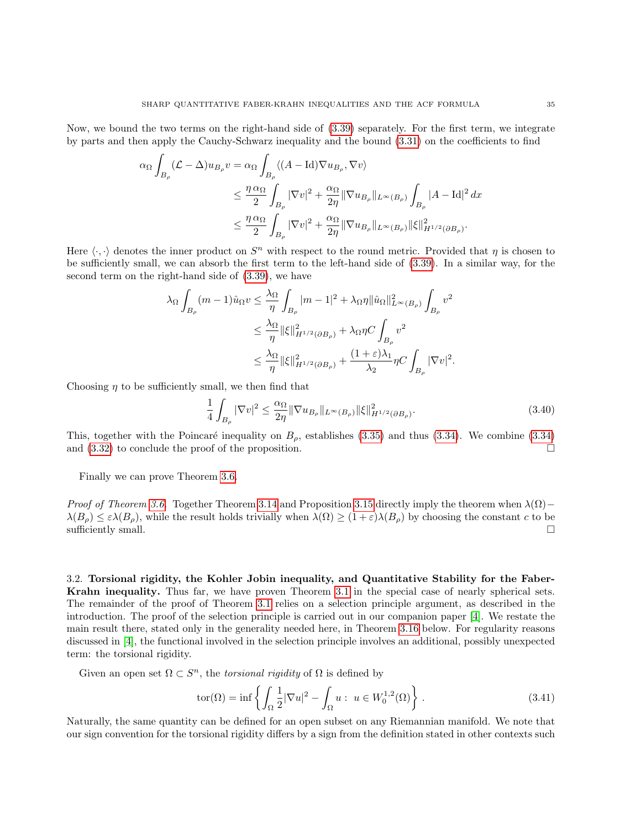Now, we bound the two terms on the right-hand side of [\(3.39\)](#page-33-3) separately. For the first term, we integrate by parts and then apply the Cauchy-Schwarz inequality and the bound [\(3.31\)](#page-32-4) on the coefficients to find

$$
\alpha_{\Omega} \int_{B_{\rho}} (\mathcal{L} - \Delta) u_{B_{\rho}} v = \alpha_{\Omega} \int_{B_{\rho}} \langle (A - \text{Id}) \nabla u_{B_{\rho}}, \nabla v \rangle
$$
  

$$
\leq \frac{\eta \alpha_{\Omega}}{2} \int_{B_{\rho}} |\nabla v|^{2} + \frac{\alpha_{\Omega}}{2\eta} \|\nabla u_{B_{\rho}}\|_{L^{\infty}(B_{\rho})} \int_{B_{\rho}} |A - \text{Id}|^{2} dx
$$
  

$$
\leq \frac{\eta \alpha_{\Omega}}{2} \int_{B_{\rho}} |\nabla v|^{2} + \frac{\alpha_{\Omega}}{2\eta} \|\nabla u_{B_{\rho}}\|_{L^{\infty}(B_{\rho})} \|\xi\|_{H^{1/2}(\partial B_{\rho})}^{2}.
$$

Here  $\langle \cdot, \cdot \rangle$  denotes the inner product on  $S<sup>n</sup>$  with respect to the round metric. Provided that  $\eta$  is chosen to be sufficiently small, we can absorb the first term to the left-hand side of [\(3.39\)](#page-33-3). In a similar way, for the second term on the right-hand side of [\(3.39\)](#page-33-3), we have

$$
\begin{aligned} \lambda_\Omega \int_{B_\rho} (m-1) \hat{u}_\Omega v &\leq \frac{\lambda_\Omega}{\eta} \int_{B_\rho} |m-1|^2 + \lambda_\Omega \eta \|\hat{u}_\Omega\|_{L^\infty(B_\rho)}^2 \int_{B_\rho} v^2 \\ &\leq \frac{\lambda_\Omega}{\eta} \|\xi\|_{H^{1/2}(\partial B_\rho)}^2 + \lambda_\Omega \eta C \int_{B_\rho} v^2 \\ &\leq \frac{\lambda_\Omega}{\eta} \|\xi\|_{H^{1/2}(\partial B_\rho)}^2 + \frac{(1+\varepsilon)\lambda_1}{\lambda_2} \eta C \int_{B_\rho} |\nabla v|^2. \end{aligned}
$$

Choosing  $\eta$  to be sufficiently small, we then find that

$$
\frac{1}{4} \int_{B_{\rho}} |\nabla v|^2 \le \frac{\alpha_{\Omega}}{2\eta} \|\nabla u_{B_{\rho}}\|_{L^{\infty}(B_{\rho})} \|\xi\|_{H^{1/2}(\partial B_{\rho})}^2.
$$
\n(3.40)

This, together with the Poincaré inequality on  $B_{\rho}$ , establishes [\(3.35\)](#page-33-0) and thus [\(3.34\)](#page-33-4). We combine (3.34) and  $(3.32)$  to conclude the proof of the proposition.

Finally we can prove Theorem [3.6.](#page-23-1)

*Proof of Theorem [3.6.](#page-23-1)* Together Theorem [3.14](#page-30-0) and Proposition [3.15](#page-31-0) directly imply the theorem when  $\lambda(\Omega)$  –  $\lambda(B_\rho) \leq \varepsilon \lambda(B_\rho)$ , while the result holds trivially when  $\lambda(\Omega) \geq (1+\varepsilon)\lambda(B_\rho)$  by choosing the constant c to be sufficiently small.  $\square$ 

<span id="page-34-0"></span>3.2. Torsional rigidity, the Kohler Jobin inequality, and Quantitative Stability for the Faber-Krahn inequality. Thus far, we have proven Theorem [3.1](#page-22-1) in the special case of nearly spherical sets. The remainder of the proof of Theorem [3.1](#page-22-1) relies on a selection principle argument, as described in the introduction. The proof of the selection principle is carried out in our companion paper [\[4\]](#page-37-20). We restate the main result there, stated only in the generality needed here, in Theorem [3.16](#page-35-0) below. For regularity reasons discussed in [\[4\]](#page-37-20), the functional involved in the selection principle involves an additional, possibly unexpected term: the torsional rigidity.

Given an open set  $\Omega \subset S^n$ , the *torsional rigidity* of  $\Omega$  is defined by

<span id="page-34-1"></span>
$$
tor(\Omega) = \inf \left\{ \int_{\Omega} \frac{1}{2} |\nabla u|^2 - \int_{\Omega} u : u \in W_0^{1,2}(\Omega) \right\}.
$$
 (3.41)

Naturally, the same quantity can be defined for an open subset on any Riemannian manifold. We note that our sign convention for the torsional rigidity differs by a sign from the definition stated in other contexts such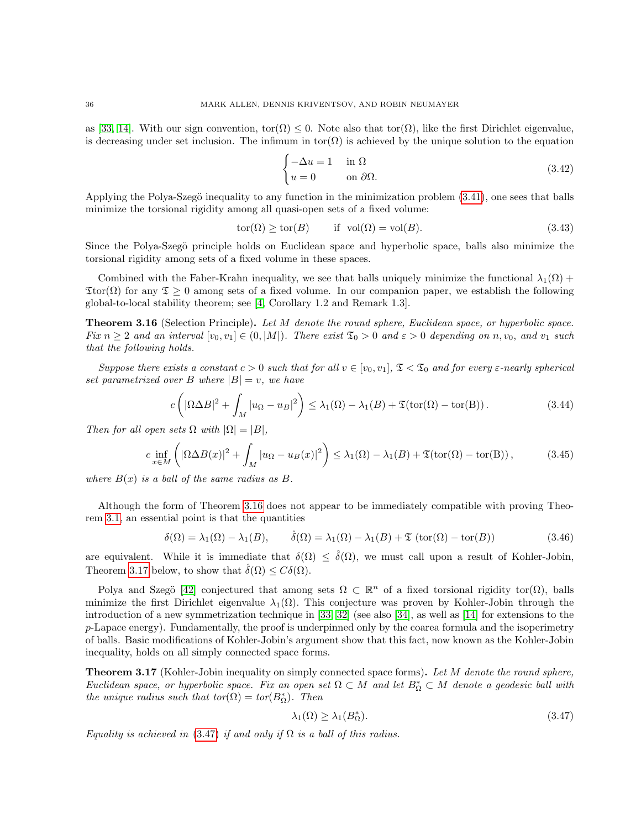as [\[33,](#page-38-13) [14\]](#page-37-27). With our sign convention,  $\text{tor}(\Omega) \leq 0$ . Note also that  $\text{tor}(\Omega)$ , like the first Dirichlet eigenvalue, is decreasing under set inclusion. The infimum in tor $(\Omega)$  is achieved by the unique solution to the equation

$$
\begin{cases}\n-\Delta u = 1 & \text{in } \Omega \\
u = 0 & \text{on } \partial\Omega.\n\end{cases}
$$
\n(3.42)

Applying the Polya-Szegö inequality to any function in the minimization problem  $(3.41)$ , one sees that balls minimize the torsional rigidity among all quasi-open sets of a fixed volume:

$$
tor(\Omega) \ge tor(B) \qquad \text{if } vol(\Omega) = vol(B). \tag{3.43}
$$

Since the Polya-Szegö principle holds on Euclidean space and hyperbolic space, balls also minimize the torsional rigidity among sets of a fixed volume in these spaces.

Combined with the Faber-Krahn inequality, we see that balls uniquely minimize the functional  $\lambda_1(\Omega)$  +  $\text{Tor}(\Omega)$  for any  $\mathfrak{T} \geq 0$  among sets of a fixed volume. In our companion paper, we establish the following global-to-local stability theorem; see [\[4,](#page-37-20) Corollary 1.2 and Remark 1.3].

<span id="page-35-0"></span>**Theorem 3.16** (Selection Principle). Let M denote the round sphere, Euclidean space, or hyperbolic space. Fix  $n \geq 2$  and an interval  $[v_0, v_1] \in (0, |M|)$ . There exist  $\mathfrak{T}_0 > 0$  and  $\varepsilon > 0$  depending on n,  $v_0$ , and  $v_1$  such that the following holds.

Suppose there exists a constant  $c > 0$  such that for all  $v \in [v_0, v_1]$ ,  $\mathfrak{T} < \mathfrak{T}_0$  and for every  $\varepsilon$ -nearly spherical set parametrized over B where  $|B| = v$ , we have

<span id="page-35-3"></span>
$$
c\left(|\Omega \Delta B|^2 + \int_M |u_{\Omega} - u_B|^2\right) \le \lambda_1(\Omega) - \lambda_1(B) + \mathfrak{T}(\text{tor}(\Omega) - \text{tor}(B)).\tag{3.44}
$$

Then for all open sets  $\Omega$  with  $|\Omega| = |B|$ ,

<span id="page-35-4"></span>
$$
c \inf_{x \in M} \left( |\Omega \Delta B(x)|^2 + \int_M |u_{\Omega} - u_B(x)|^2 \right) \le \lambda_1(\Omega) - \lambda_1(B) + \mathfrak{T}(\text{tor}(\Omega) - \text{tor}(B)), \tag{3.45}
$$

where  $B(x)$  is a ball of the same radius as B.

Although the form of Theorem [3.16](#page-35-0) does not appear to be immediately compatible with proving Theorem [3.1,](#page-22-1) an essential point is that the quantities

$$
\delta(\Omega) = \lambda_1(\Omega) - \lambda_1(B), \qquad \hat{\delta}(\Omega) = \lambda_1(\Omega) - \lambda_1(B) + \mathfrak{T}(\text{tor}(\Omega) - \text{tor}(B))
$$
\n(3.46)

are equivalent. While it is immediate that  $\delta(\Omega) \leq \hat{\delta}(\Omega)$ , we must call upon a result of Kohler-Jobin, Theorem [3.17](#page-35-1) below, to show that  $\hat{\delta}(\Omega) \leq C\delta(\Omega)$ .

Polya and Szegö [\[42\]](#page-38-1) conjectured that among sets  $\Omega \subset \mathbb{R}^n$  of a fixed torsional rigidity tor( $\Omega$ ), balls minimize the first Dirichlet eigenvalue  $\lambda_1(\Omega)$ . This conjecture was proven by Kohler-Jobin through the introduction of a new symmetrization technique in [\[33,](#page-38-13) [32\]](#page-38-14) (see also [\[34\]](#page-38-15), as well as [\[14\]](#page-37-27) for extensions to the  $p$ -Lapace energy). Fundamentally, the proof is underpinned only by the coarea formula and the isoperimetry of balls. Basic modifications of Kohler-Jobin's argument show that this fact, now known as the Kohler-Jobin inequality, holds on all simply connected space forms.

<span id="page-35-1"></span>**Theorem 3.17** (Kohler-Jobin inequality on simply connected space forms). Let M denote the round sphere, Euclidean space, or hyperbolic space. Fix an open set  $\Omega \subset M$  and let  $B_{\Omega}^* \subset M$  denote a geodesic ball with the unique radius such that  $\text{tor}(\Omega) = \text{tor}(B_{\Omega}^*)$ . Then

<span id="page-35-2"></span>
$$
\lambda_1(\Omega) \ge \lambda_1(B_{\Omega}^*). \tag{3.47}
$$

Equality is achieved in [\(3.47\)](#page-35-2) if and only if  $\Omega$  is a ball of this radius.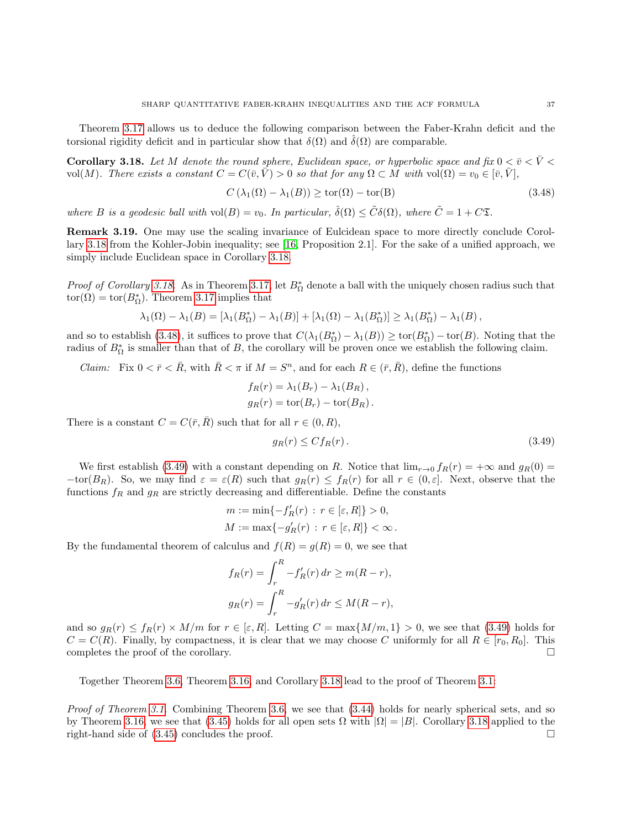Theorem [3.17](#page-35-1) allows us to deduce the following comparison between the Faber-Krahn deficit and the torsional rigidity deficit and in particular show that  $\delta(\Omega)$  and  $\delta(\Omega)$  are comparable.

<span id="page-36-0"></span>Corollary 3.18. Let M denote the round sphere, Euclidean space, or hyperbolic space and fix  $0 < \bar{v} < \bar{V} <$ vol(M). There exists a constant  $C = C(\bar{v}, \bar{V}) > 0$  so that for any  $\Omega \subset M$  with vol( $\Omega$ ) =  $v_0 \in [\bar{v}, \bar{V}],$ 

<span id="page-36-1"></span>
$$
C(\lambda_1(\Omega) - \lambda_1(B)) \ge \text{tor}(\Omega) - \text{tor}(B)
$$
\n(3.48)

where B is a geodesic ball with  $vol(B) = v_0$ . In particular,  $\hat{\delta}(\Omega) \leq \tilde{C}\delta(\Omega)$ , where  $\tilde{C} = 1 + C\mathfrak{T}$ .

Remark 3.19. One may use the scaling invariance of Eulcidean space to more directly conclude Corollary [3.18](#page-36-0) from the Kohler-Jobin inequality; see [\[16,](#page-37-7) Proposition 2.1]. For the sake of a unified approach, we simply include Euclidean space in Corollary [3.18.](#page-36-0)

*Proof of Corollary [3.18.](#page-36-0)* As in Theorem [3.17,](#page-35-1) let  $B^*_{\Omega}$  denote a ball with the uniquely chosen radius such that  $\text{tor}(\Omega) = \text{tor}(B_{\Omega}^*)$ . Theorem [3.17](#page-35-1) implies that

$$
\lambda_1(\Omega) - \lambda_1(B) = \left[\lambda_1(B_{\Omega}^*) - \lambda_1(B)\right] + \left[\lambda_1(\Omega) - \lambda_1(B_{\Omega}^*)\right] \ge \lambda_1(B_{\Omega}^*) - \lambda_1(B),
$$

and so to establish [\(3.48\)](#page-36-1), it suffices to prove that  $C(\lambda_1(B_{\Omega}^*) - \lambda_1(B)) \geq \text{tor}(B_{\Omega}^*) - \text{tor}(B)$ . Noting that the radius of  $B_{\Omega}^*$  is smaller than that of B, the corollary will be proven once we establish the following claim.

*Claim:* Fix  $0 < \bar{r} < \bar{R}$ , with  $\bar{R} < \pi$  if  $M = S<sup>n</sup>$ , and for each  $R \in (\bar{r}, \bar{R})$ , define the functions

$$
f_R(r) = \lambda_1(B_r) - \lambda_1(B_R),
$$
  

$$
g_R(r) = \text{tor}(B_r) - \text{tor}(B_R).
$$

There is a constant  $C = C(\bar{r}, \bar{R})$  such that for all  $r \in (0, R)$ ,

<span id="page-36-2"></span>
$$
g_R(r) \leq C f_R(r). \tag{3.49}
$$

We first establish [\(3.49\)](#page-36-2) with a constant depending on R. Notice that  $\lim_{r\to 0} f_R(r) = +\infty$  and  $g_R(0) =$  $-\text{tor}(B_R)$ . So, we may find  $\varepsilon = \varepsilon(R)$  such that  $g_R(r) \leq f_R(r)$  for all  $r \in (0,\varepsilon]$ . Next, observe that the functions  $f_R$  and  $g_R$  are strictly decreasing and differentiable. Define the constants

$$
m := \min\{-f'_R(r) : r \in [\varepsilon, R]\} > 0,
$$
  

$$
M := \max\{-g'_R(r) : r \in [\varepsilon, R]\} < \infty.
$$

By the fundamental theorem of calculus and  $f(R) = g(R) = 0$ , we see that

$$
f_R(r) = \int_r^R -f'_R(r) dr \ge m(R - r),
$$
  

$$
g_R(r) = \int_r^R -g'_R(r) dr \le M(R - r),
$$

and so  $g_R(r) \le f_R(r) \times M/m$  for  $r \in [\varepsilon, R]$ . Letting  $C = \max\{M/m, 1\} > 0$ , we see that [\(3.49\)](#page-36-2) holds for  $C = C(R)$ . Finally, by compactness, it is clear that we may choose C uniformly for all  $R \in [r_0, R_0]$ . This completes the proof of the corollary.

Together Theorem [3.6,](#page-23-1) Theorem [3.16,](#page-35-0) and Corollary [3.18](#page-36-0) lead to the proof of Theorem [3.1:](#page-22-1)

Proof of Theorem [3.1.](#page-22-1) Combining Theorem [3.6,](#page-23-1) we see that  $(3.44)$  holds for nearly spherical sets, and so by Theorem [3.16,](#page-35-0) we see that [\(3.45\)](#page-35-4) holds for all open sets  $\Omega$  with  $|\Omega| = |B|$ . Corollary [3.18](#page-36-0) applied to the right-hand side of  $(3.45)$  concludes the proof.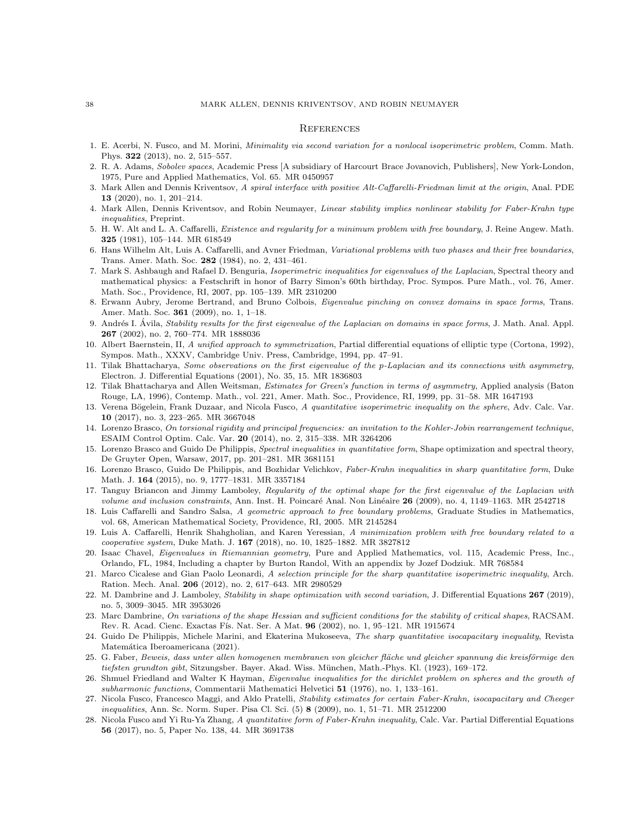#### **REFERENCES**

- <span id="page-37-9"></span>1. E. Acerbi, N. Fusco, and M. Morini, Minimality via second variation for a nonlocal isoperimetric problem, Comm. Math. Phys. 322 (2013), no. 2, 515–557.
- <span id="page-37-26"></span>2. R. A. Adams, Sobolev spaces, Academic Press [A subsidiary of Harcourt Brace Jovanovich, Publishers], New York-London, 1975, Pure and Applied Mathematics, Vol. 65. MR 0450957
- <span id="page-37-19"></span>3. Mark Allen and Dennis Kriventsov, A spiral interface with positive Alt-Caffarelli-Friedman limit at the origin, Anal. PDE 13 (2020), no. 1, 201–214.
- <span id="page-37-20"></span>4. Mark Allen, Dennis Kriventsov, and Robin Neumayer, Linear stability implies nonlinear stability for Faber-Krahn type inequalities, Preprint.
- <span id="page-37-16"></span>5. H. W. Alt and L. A. Caffarelli, Existence and regularity for a minimum problem with free boundary, J. Reine Angew. Math. 325 (1981), 105–144. MR 618549
- <span id="page-37-18"></span>6. Hans Wilhelm Alt, Luis A. Caffarelli, and Avner Friedman, Variational problems with two phases and their free boundaries, Trans. Amer. Math. Soc. 282 (1984), no. 2, 431–461.
- <span id="page-37-2"></span>7. Mark S. Ashbaugh and Rafael D. Benguria, Isoperimetric inequalities for eigenvalues of the Laplacian, Spectral theory and mathematical physics: a Festschrift in honor of Barry Simon's 60th birthday, Proc. Sympos. Pure Math., vol. 76, Amer. Math. Soc., Providence, RI, 2007, pp. 105–139. MR 2310200
- <span id="page-37-14"></span>8. Erwann Aubry, Jerome Bertrand, and Bruno Colbois, Eigenvalue pinching on convex domains in space forms, Trans. Amer. Math. Soc. 361 (2009), no. 1, 1–18.
- <span id="page-37-13"></span>9. Andrés I. Ávila, *Stability results for the first eigenvalue of the Laplacian on domains in space forms*, J. Math. Anal. Appl. 267 (2002), no. 2, 760–774. MR 1888036
- <span id="page-37-1"></span>10. Albert Baernstein, II, A unified approach to symmetrization, Partial differential equations of elliptic type (Cortona, 1992), Sympos. Math., XXXV, Cambridge Univ. Press, Cambridge, 1994, pp. 47–91.
- <span id="page-37-5"></span>11. Tilak Bhattacharya, Some observations on the first eigenvalue of the p-Laplacian and its connections with asymmetry, Electron. J. Differential Equations (2001), No. 35, 15. MR 1836803
- <span id="page-37-4"></span>12. Tilak Bhattacharya and Allen Weitsman, *Estimates for Green's function in terms of asymmetry*, Applied analysis (Baton Rouge, LA, 1996), Contemp. Math., vol. 221, Amer. Math. Soc., Providence, RI, 1999, pp. 31–58. MR 1647193
- <span id="page-37-23"></span>13. Verena Bögelein, Frank Duzaar, and Nicola Fusco, A quantitative isoperimetric inequality on the sphere, Adv. Calc. Var. 10 (2017), no. 3, 223–265. MR 3667048
- <span id="page-37-27"></span>14. Lorenzo Brasco, On torsional rigidity and principal frequencies: an invitation to the Kohler-Jobin rearrangement technique, ESAIM Control Optim. Calc. Var. 20 (2014), no. 2, 315–338. MR 3264206
- <span id="page-37-12"></span>15. Lorenzo Brasco and Guido De Philippis, Spectral inequalities in quantitative form, Shape optimization and spectral theory, De Gruyter Open, Warsaw, 2017, pp. 201–281. MR 3681151
- <span id="page-37-7"></span>16. Lorenzo Brasco, Guido De Philippis, and Bozhidar Velichkov, Faber-Krahn inequalities in sharp quantitative form, Duke Math. J. 164 (2015), no. 9, 1777–1831. MR 3357184
- <span id="page-37-15"></span>17. Tanguy Briancon and Jimmy Lamboley, Regularity of the optimal shape for the first eigenvalue of the Laplacian with volume and inclusion constraints, Ann. Inst. H. Poincaré Anal. Non Linéaire  $26$  (2009), no. 4, 1149–1163. MR 2542718
- <span id="page-37-21"></span>18. Luis Caffarelli and Sandro Salsa, A geometric approach to free boundary problems, Graduate Studies in Mathematics, vol. 68, American Mathematical Society, Providence, RI, 2005. MR 2145284
- <span id="page-37-17"></span>19. Luis A. Caffarelli, Henrik Shahgholian, and Karen Yeressian, A minimization problem with free boundary related to a cooperative system, Duke Math. J. 167 (2018), no. 10, 1825–1882. MR 3827812
- <span id="page-37-3"></span>20. Isaac Chavel, Eigenvalues in Riemannian geometry, Pure and Applied Mathematics, vol. 115, Academic Press, Inc., Orlando, FL, 1984, Including a chapter by Burton Randol, With an appendix by Jozef Dodziuk. MR 768584
- <span id="page-37-8"></span>21. Marco Cicalese and Gian Paolo Leonardi, A selection principle for the sharp quantitative isoperimetric inequality, Arch. Ration. Mech. Anal. 206 (2012), no. 2, 617–643. MR 2980529
- <span id="page-37-25"></span>22. M. Dambrine and J. Lamboley, Stability in shape optimization with second variation, J. Differential Equations 267 (2019), no. 5, 3009–3045. MR 3953026
- <span id="page-37-24"></span>23. Marc Dambrine, On variations of the shape Hessian and sufficient conditions for the stability of critical shapes, RACSAM. Rev. R. Acad. Cienc. Exactas Fís. Nat. Ser. A Mat. 96 (2002), no. 1, 95–121. MR 1915674
- <span id="page-37-11"></span>24. Guido De Philippis, Michele Marini, and Ekaterina Mukoseeva, The sharp quantitative isocapacitary inequality, Revista Matemática Iberoamericana (2021).
- <span id="page-37-0"></span>25. G. Faber, Beweis, dass unter allen homogenen membranen von gleicher fläche und gleicher spannung die kreisförmige den tiefsten grundton gibt, Sitzungsber. Bayer. Akad. Wiss. München, Math.-Phys. Kl. (1923), 169–172.
- <span id="page-37-22"></span>26. Shmuel Friedland and Walter K Hayman, Eigenvalue inequalities for the dirichlet problem on spheres and the growth of subharmonic functions, Commentarii Mathematici Helvetici 51 (1976), no. 1, 133-161.
- <span id="page-37-6"></span>27. Nicola Fusco, Francesco Maggi, and Aldo Pratelli, Stability estimates for certain Faber-Krahn, isocapacitary and Cheeger inequalities, Ann. Sc. Norm. Super. Pisa Cl. Sci. (5) 8 (2009), no. 1, 51–71. MR 2512200
- <span id="page-37-10"></span>28. Nicola Fusco and Yi Ru-Ya Zhang, A quantitative form of Faber-Krahn inequality, Calc. Var. Partial Differential Equations 56 (2017), no. 5, Paper No. 138, 44. MR 3691738